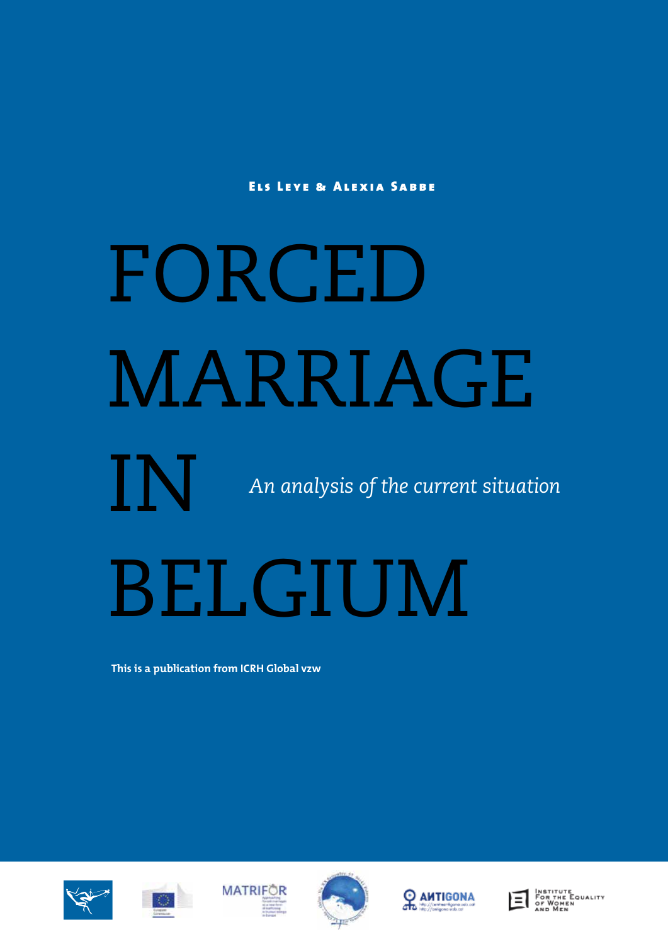Els Leye & Alexia Sabbe

# FORCED MARRIAGE

*An analysis of the current situation*

## BELGIUM

**This is a publication from ICRH Global vzw**





IN









Institute<br>For the Equality<br>of Women<br>and Men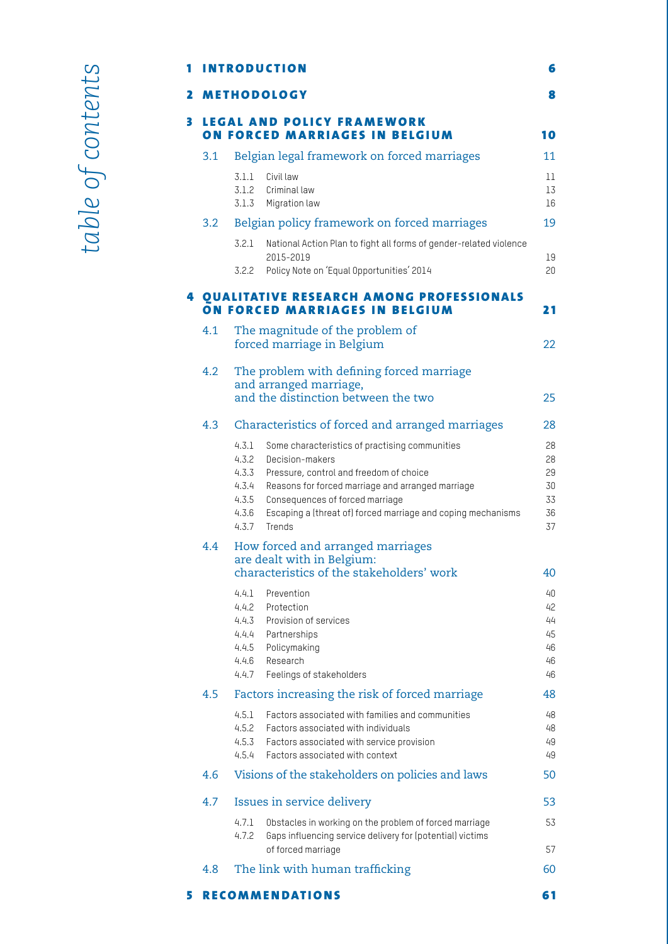## 1 INTRODUCTION 6

|   |                                                                     |                                                                                                              | <b>2 METHODOLOGY</b>                                                                                                                                                                                                                                                           | 8                                      |  |  |
|---|---------------------------------------------------------------------|--------------------------------------------------------------------------------------------------------------|--------------------------------------------------------------------------------------------------------------------------------------------------------------------------------------------------------------------------------------------------------------------------------|----------------------------------------|--|--|
| 3 | <b>LEGAL AND POLICY FRAMEWORK</b><br>ON FORCED MARRIAGES IN BELGIUM |                                                                                                              |                                                                                                                                                                                                                                                                                |                                        |  |  |
|   | 3.1                                                                 | Belgian legal framework on forced marriages                                                                  |                                                                                                                                                                                                                                                                                |                                        |  |  |
|   |                                                                     | 3.1.1<br>3.1.2<br>3.1.3                                                                                      | Civil law<br>Criminal law<br>Migration law                                                                                                                                                                                                                                     | $11\,$<br>13<br>16                     |  |  |
|   | 3.2                                                                 |                                                                                                              | Belgian policy framework on forced marriages                                                                                                                                                                                                                                   | 19                                     |  |  |
|   |                                                                     | 3.2.1                                                                                                        | National Action Plan to fight all forms of gender-related violence<br>2015-2019                                                                                                                                                                                                | 19                                     |  |  |
|   |                                                                     | 3.2.2                                                                                                        | Policy Note on 'Equal Opportunities' 2014                                                                                                                                                                                                                                      | 20                                     |  |  |
|   |                                                                     |                                                                                                              | <b>4 QUALITATIVE RESEARCH AMONG PROFESSIONALS</b><br>ON FORCED MARRIAGES IN BELGIUM                                                                                                                                                                                            | 21                                     |  |  |
|   | 4.1                                                                 | The magnitude of the problem of<br>forced marriage in Belgium                                                |                                                                                                                                                                                                                                                                                |                                        |  |  |
|   | 4.2                                                                 | The problem with defining forced marriage<br>and arranged marriage,                                          |                                                                                                                                                                                                                                                                                |                                        |  |  |
|   |                                                                     |                                                                                                              | and the distinction between the two                                                                                                                                                                                                                                            | 25                                     |  |  |
|   | 4.3                                                                 |                                                                                                              | Characteristics of forced and arranged marriages                                                                                                                                                                                                                               | 28                                     |  |  |
|   |                                                                     | 4.3.1<br>4.3.2<br>4.3.3<br>4.3.4<br>4.3.5<br>4.3.6<br>4.3.7                                                  | Some characteristics of practising communities<br>Decision-makers<br>Pressure, control and freedom of choice<br>Reasons for forced marriage and arranged marriage<br>Consequences of forced marriage<br>Escaping a (threat of) forced marriage and coping mechanisms<br>Trends | 28<br>28<br>29<br>30<br>33<br>36<br>37 |  |  |
|   | 4.4                                                                 | How forced and arranged marriages<br>are dealt with in Belgium:<br>characteristics of the stakeholders' work |                                                                                                                                                                                                                                                                                |                                        |  |  |
|   |                                                                     | 4.4.1<br>4.4.2<br>4.4.3<br>4.4.4<br>4.4.5<br>4.4.6<br>4.4.7                                                  | Prevention<br>Protection<br>Provision of services<br>Partnerships<br>Policymaking<br>Research<br>Feelings of stakeholders                                                                                                                                                      | 40<br>42<br>44<br>45<br>46<br>46<br>46 |  |  |
|   | 4.5                                                                 |                                                                                                              | Factors increasing the risk of forced marriage                                                                                                                                                                                                                                 |                                        |  |  |
|   |                                                                     | 4.5.1<br>4.5.2<br>4.5.3<br>4.5.4                                                                             | Factors associated with families and communities<br>Factors associated with individuals<br>Factors associated with service provision<br>Factors associated with context                                                                                                        | 48<br>48<br>49<br>49                   |  |  |
|   | 4.6                                                                 | Visions of the stakeholders on policies and laws                                                             |                                                                                                                                                                                                                                                                                |                                        |  |  |
|   | 4.7                                                                 |                                                                                                              | Issues in service delivery                                                                                                                                                                                                                                                     |                                        |  |  |
|   |                                                                     | 4.7.1<br>4.7.2                                                                                               | Obstacles in working on the problem of forced marriage<br>Gaps influencing service delivery for (potential) victims<br>of forced marriage                                                                                                                                      | 53<br>57                               |  |  |
|   | 4.8                                                                 |                                                                                                              | The link with human trafficking                                                                                                                                                                                                                                                | 60                                     |  |  |
| 5 | <b>RECOMMENDATIONS</b><br>61                                        |                                                                                                              |                                                                                                                                                                                                                                                                                |                                        |  |  |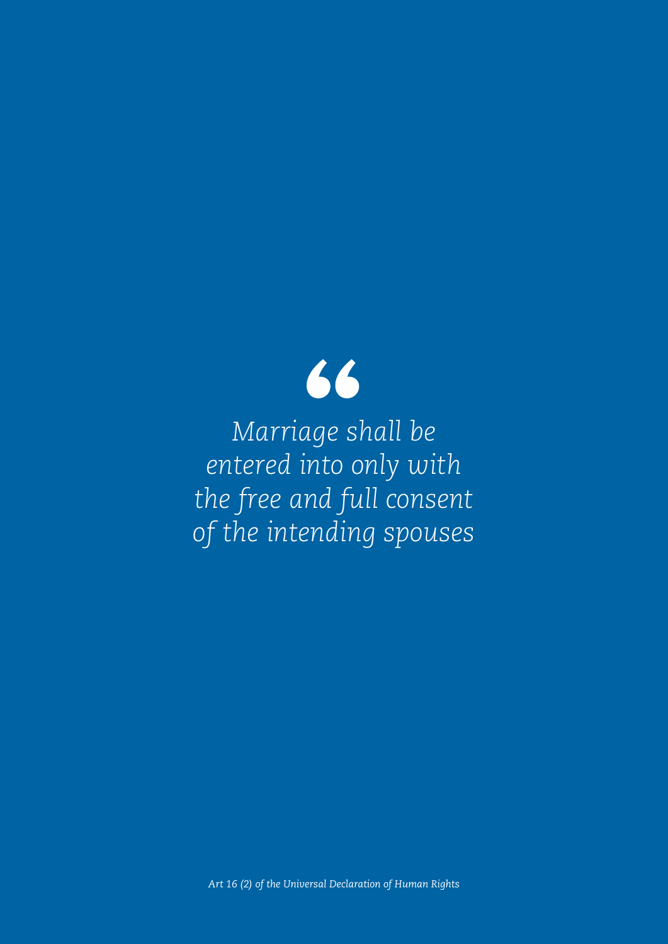

*Marriage shall be entered into only with the free and full consent of the intending spouses*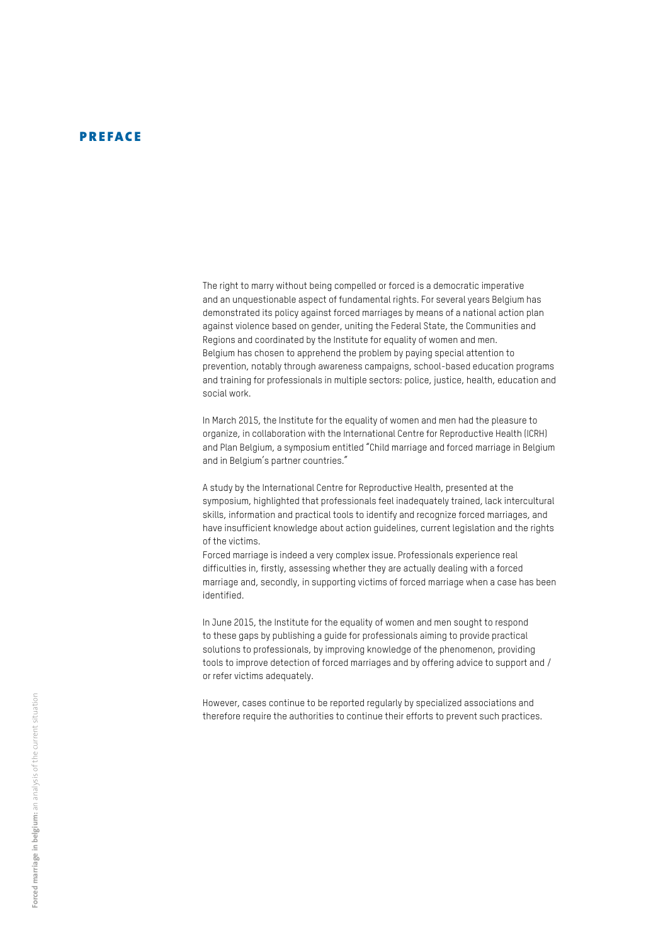#### PREFACE

The right to marry without being compelled or forced is a democratic imperative and an unquestionable aspect of fundamental rights. For several years Belgium has demonstrated its policy against forced marriages by means of a national action plan against violence based on gender, uniting the Federal State, the Communities and Regions and coordinated by the Institute for equality of women and men. Belgium has chosen to apprehend the problem by paying special attention to prevention, notably through awareness campaigns, school-based education programs and training for professionals in multiple sectors: police, justice, health, education and social work.

In March 2015, the Institute for the equality of women and men had the pleasure to organize, in collaboration with the International Centre for Reproductive Health (ICRH) and Plan Belgium, a symposium entitled "Child marriage and forced marriage in Belgium and in Belgium's partner countries."

A study by the International Centre for Reproductive Health, presented at the symposium, highlighted that professionals feel inadequately trained, lack intercultural skills, information and practical tools to identify and recognize forced marriages, and have insufficient knowledge about action guidelines, current legislation and the rights of the victims.

Forced marriage is indeed a very complex issue. Professionals experience real difficulties in, firstly, assessing whether they are actually dealing with a forced marriage and, secondly, in supporting victims of forced marriage when a case has been identified.

In June 2015, the Institute for the equality of women and men sought to respond to these gaps by publishing a guide for professionals aiming to provide practical solutions to professionals, by improving knowledge of the phenomenon, providing tools to improve detection of forced marriages and by offering advice to support and / or refer victims adequately.

However, cases continue to be reported regularly by specialized associations and therefore require the authorities to continue their efforts to prevent such practices.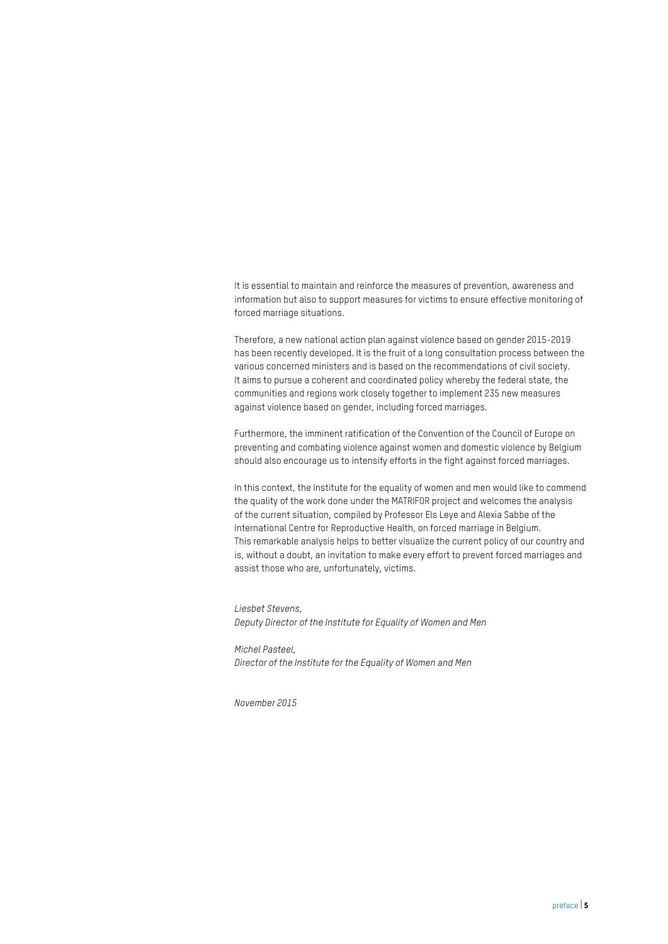It is essential to maintain and reinforce the measures of prevention, awareness and information but also to support measures for victims to ensure effective monitoring of forced marriage situations.

Therefore, a new national action plan against violence based on gender 2015-2019 has been recently developed. It is the fruit of a long consultation process between the various concerned ministers and is based on the recommendations of civil society. It aims to pursue a coherent and coordinated policy whereby the federal state, the communities and regions work closely together to implement 235 new measures against violence based on gender, including forced marriages.

Furthermore, the imminent ratification of the Convention of the Council of Europe on preventing and combating violence against women and domestic violence by Belgium should also encourage us to intensify efforts in the fight against forced marriages.

In this context, the Institute for the equality of women and men would like to commend the quality of the work done under the MATRIFOR project and welcomes the analysis of the current situation, compiled by Professor Els Leye and Alexia Sabbe of the International Centre for Reproductive Health, on forced marriage in Belgium. This remarkable analysis helps to better visualize the current policy of our country and is, without a doubt, an invitation to make every effort to prevent forced marriages and assist those who are, unfortunately, victims.

*Liesbet Stevens, Deputy Director of the Institute for Equality of Women and Men*

*Michel Pasteel, Director of the Institute for the Equality of Women and Men*

*November 2015*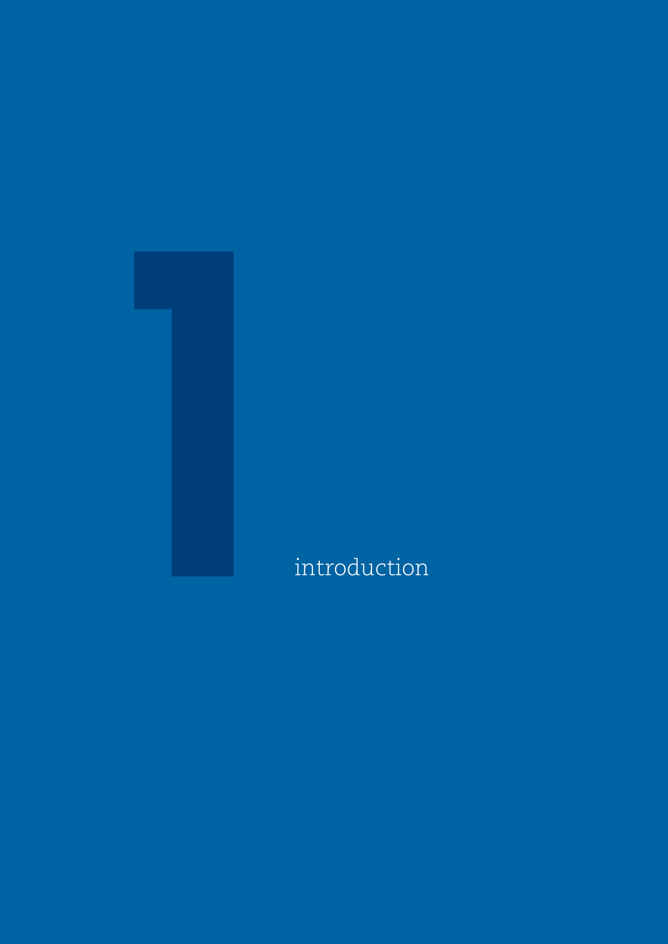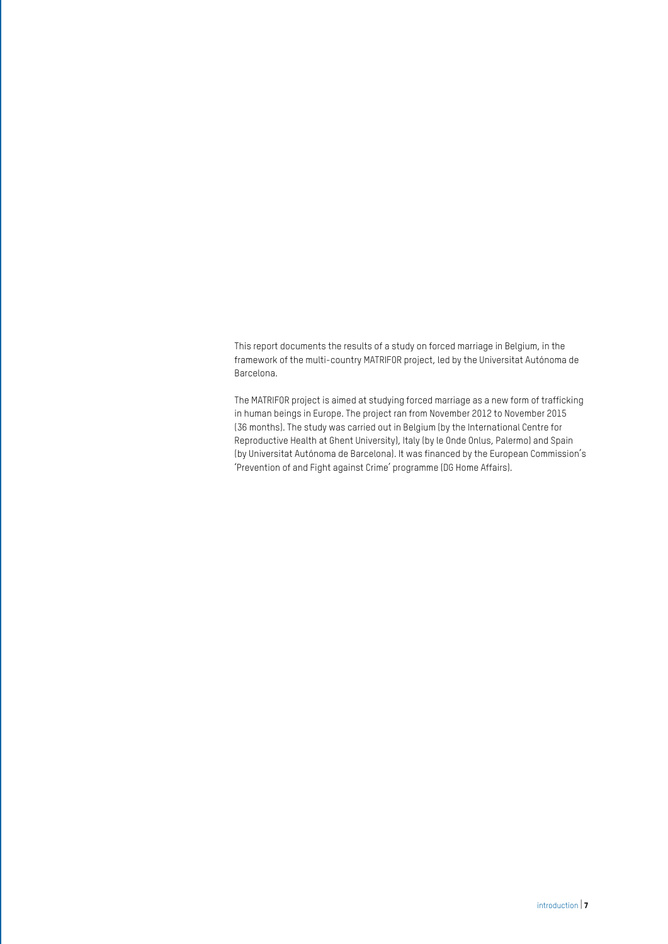This report documents the results of a study on forced marriage in Belgium, in the framework of the multi-country MATRIFOR project, led by the Universitat Autónoma de Barcelona.

The MATRIFOR project is aimed at studying forced marriage as a new form of trafficking in human beings in Europe. The project ran from November 2012 to November 2015 (36 months). The study was carried out in Belgium (by the International Centre for Reproductive Health at Ghent University), Italy (by le Onde Onlus, Palermo) and Spain (by Universitat Autónoma de Barcelona). It was financed by the European Commission's 'Prevention of and Fight against Crime' programme (DG Home Affairs).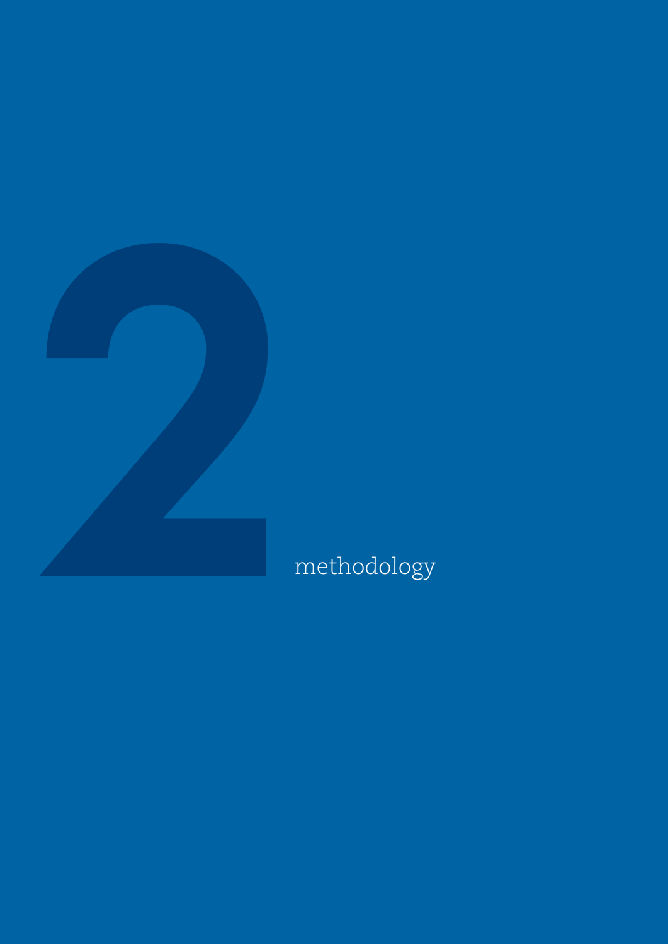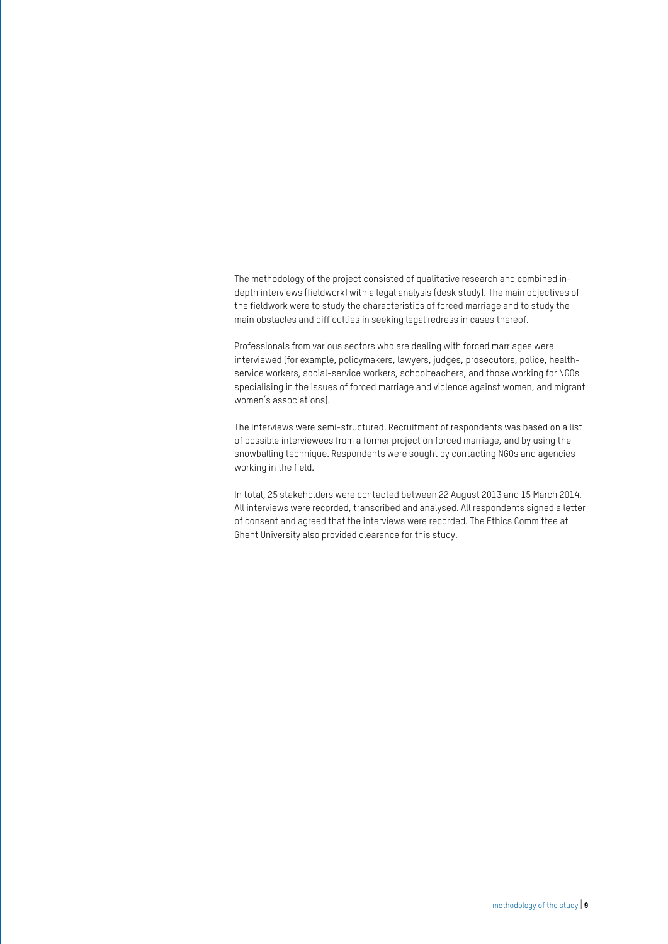The methodology of the project consisted of qualitative research and combined indepth interviews (fieldwork) with a legal analysis (desk study). The main objectives of the fieldwork were to study the characteristics of forced marriage and to study the main obstacles and difficulties in seeking legal redress in cases thereof.

Professionals from various sectors who are dealing with forced marriages were interviewed (for example, policymakers, lawyers, judges, prosecutors, police, healthservice workers, social-service workers, schoolteachers, and those working for NGOs specialising in the issues of forced marriage and violence against women, and migrant women's associations).

The interviews were semi-structured. Recruitment of respondents was based on a list of possible interviewees from a former project on forced marriage, and by using the snowballing technique. Respondents were sought by contacting NGOs and agencies working in the field.

In total, 25 stakeholders were contacted between 22 August 2013 and 15 March 2014. All interviews were recorded, transcribed and analysed. All respondents signed a letter of consent and agreed that the interviews were recorded. The Ethics Committee at Ghent University also provided clearance for this study.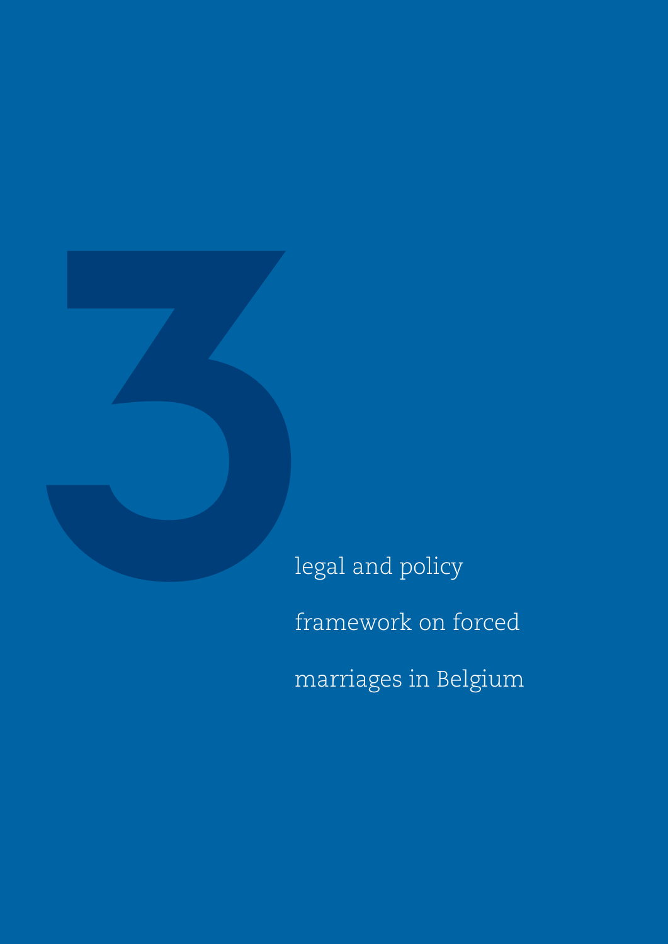

legal and policy framework on forced marriages in Belgium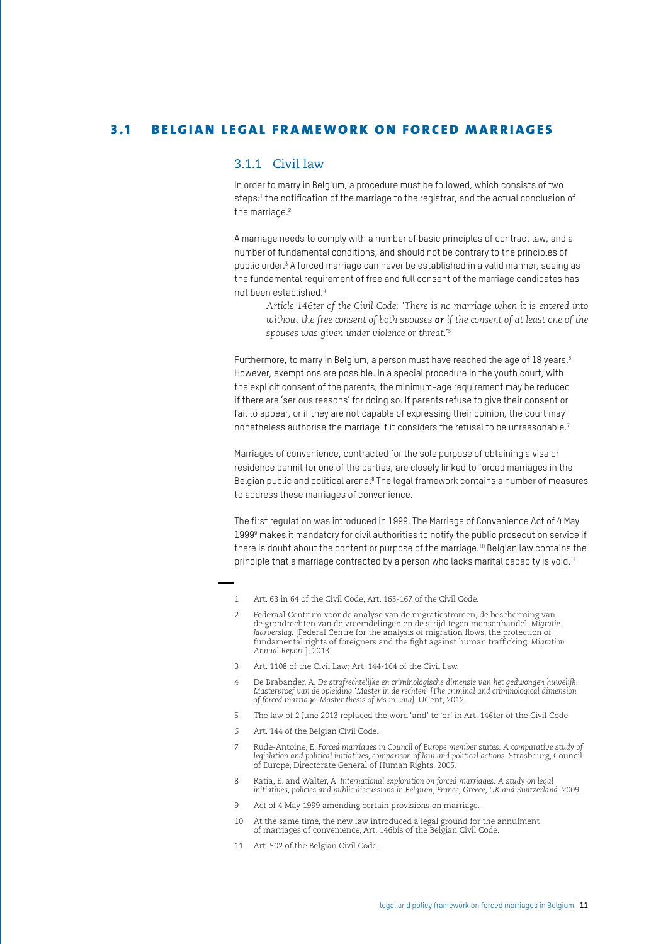#### 3.1 BELGIAN LEGAL FRAMEWORK ON FORCED MARRIAGES

#### 3.1.1 Civil law

In order to marry in Belgium, a procedure must be followed, which consists of two steps:<sup>1</sup> the notification of the marriage to the registrar, and the actual conclusion of the marriage.<sup>2</sup>

A marriage needs to comply with a number of basic principles of contract law, and a number of fundamental conditions, and should not be contrary to the principles of public order.3 A forced marriage can never be established in a valid manner, seeing as the fundamental requirement of free and full consent of the marriage candidates has not been established.4

*Article 146ter of the Civil Code: 'There is no marriage when it is entered into without the free consent of both spouses or if the consent of at least one of the spouses was given under violence or threat.'5*

Furthermore, to marry in Belgium, a person must have reached the age of 18 years.<sup>6</sup> However, exemptions are possible. In a special procedure in the youth court, with the explicit consent of the parents, the minimum-age requirement may be reduced if there are 'serious reasons' for doing so. If parents refuse to give their consent or fail to appear, or if they are not capable of expressing their opinion, the court may nonetheless authorise the marriage if it considers the refusal to be unreasonable.7

Marriages of convenience, contracted for the sole purpose of obtaining a visa or residence permit for one of the parties, are closely linked to forced marriages in the Belgian public and political arena.<sup>8</sup> The legal framework contains a number of measures to address these marriages of convenience.

The first regulation was introduced in 1999. The Marriage of Convenience Act of 4 May 1999<sup>9</sup> makes it mandatory for civil authorities to notify the public prosecution service if there is doubt about the content or purpose of the marriage.<sup>10</sup> Belgian law contains the principle that a marriage contracted by a person who lacks marital capacity is void.<sup>11</sup>

- 1 Art. 63 in 64 of the Civil Code; Art. 165-167 of the Civil Code.
- 2 Federaal Centrum voor de analyse van de migratiestromen, de bescherming van de grondrechten van de vreemdelingen en de strijd tegen mensenhandel. *Migratie. Jaarverslag.* [Federal Centre for the analysis of migration flows, the protection of fundamental rights of foreigners and the fight against human trafficking. *Migration. Annual Report.*], 2013.
- 3 Art. 1108 of the Civil Law; Art. 144-164 of the Civil Law.
- 4 De Brabander, A. *De strafrechtelijke en criminologische dimensie van het gedwongen huwelijk. Masterproef van de opleiding 'Master in de rechten' [The criminal and criminological dimension of forced marriage. Master thesis of Ms in Law]*. UGent, 2012.
- 5 The law of 2 June 2013 replaced the word 'and' to 'or' in Art. 146ter of the Civil Code.
- 6 Art. 144 of the Belgian Civil Code.
- 7 Rude-Antoine, E. *Forced marriages in Council of Europe member states: A comparative study of*  legislation and political initiatives, comparison of law and political actions. Strasbourg, Council<br>of Europe, Directorate General of Human Rights, 2005.
- 8 Ratia, E. and Walter, A. *International exploration on forced marriages: A study on legal initiatives, policies and public discussions in Belgium, France, Greece, UK and Switzerland.* 2009.
- 9 Act of 4 May 1999 amending certain provisions on marriage.
- 10 At the same time, the new law introduced a legal ground for the annulment of marriages of convenience, Art. 146bis of the Belgian Civil Code.
- 11 Art. 502 of the Belgian Civil Code.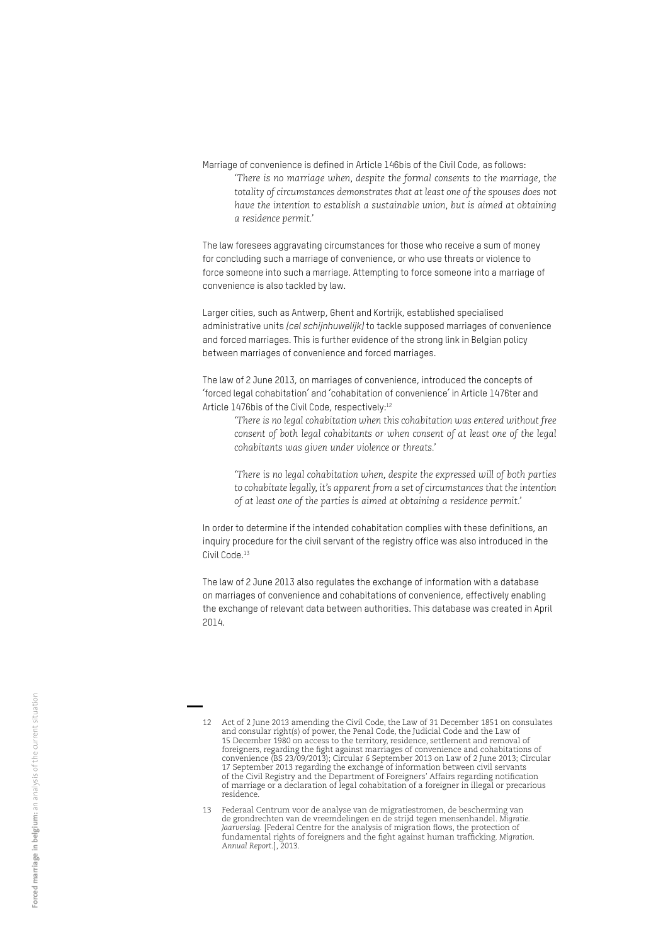Marriage of convenience is defined in Article 146bis of the Civil Code, as follows: *'There is no marriage when, despite the formal consents to the marriage, the totality of circumstances demonstrates that at least one of the spouses does not have the intention to establish a sustainable union, but is aimed at obtaining a residence permit.'* 

The law foresees aggravating circumstances for those who receive a sum of money for concluding such a marriage of convenience, or who use threats or violence to force someone into such a marriage. Attempting to force someone into a marriage of convenience is also tackled by law.

Larger cities, such as Antwerp, Ghent and Kortrijk, established specialised administrative units *(cel schijnhuwelijk)* to tackle supposed marriages of convenience and forced marriages. This is further evidence of the strong link in Belgian policy between marriages of convenience and forced marriages.

The law of 2 June 2013, on marriages of convenience, introduced the concepts of 'forced legal cohabitation' and 'cohabitation of convenience' in Article 1476ter and Article 1476bis of the Civil Code, respectively:<sup>12</sup>

*'There is no legal cohabitation when this cohabitation was entered without free*  consent of both legal cohabitants or when consent of at least one of the legal *cohabitants was given under violence or threats.'*

*'There is no legal cohabitation when, despite the expressed will of both parties to cohabitate legally, it's apparent from a set of circumstances that the intention of at least one of the parties is aimed at obtaining a residence permit.'* 

In order to determine if the intended cohabitation complies with these definitions, an inquiry procedure for the civil servant of the registry office was also introduced in the Civil Code.13

The law of 2 June 2013 also regulates the exchange of information with a database on marriages of convenience and cohabitations of convenience, effectively enabling the exchange of relevant data between authorities. This database was created in April 2014.

<sup>12</sup> Act of 2 June 2013 amending the Civil Code, the Law of 31 December 1851 on consulates and consular right(s) of power, the Penal Code, the Judicial Code and the Law of 15 December 1980 on access to the territory, residence, settlement and removal of foreigners, regarding the fight against marriages of convenience and cohabitations of convenience (BS 23/09/2013); Circular 6 September 2013 on Law of 2 June 2013; Circular 17 September 2013 regarding the exchange of information between civil servants of the Civil Registry and the Department of Foreigners' Affairs regarding notification of marriage or a declaration of legal cohabitation of a foreigner in illegal or precarious residence.

<sup>13</sup> Federaal Centrum voor de analyse van de migratiestromen, de bescherming van de grondrechten van de vreemdelingen en de strijd tegen mensenhandel. *Migratie. Jaarverslag.* [Federal Centre for the analysis of migration flows, the protection of fundamental rights of foreigners and the fight against human trafficking. *Migration. Annual Report.*], 2013.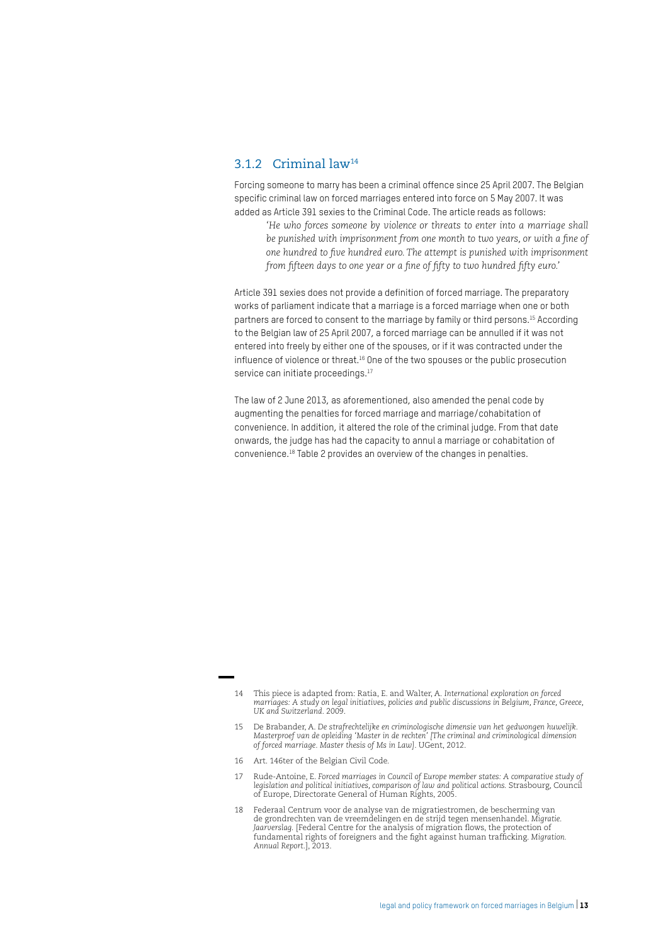#### 3.1.2 Criminal law14

Forcing someone to marry has been a criminal offence since 25 April 2007. The Belgian specific criminal law on forced marriages entered into force on 5 May 2007. It was added as Article 391 sexies to the Criminal Code. The article reads as follows:

*'He who forces someone by violence or threats to enter into a marriage shall be punished with imprisonment from one month to two years, or with a fine of one hundred to five hundred euro. The attempt is punished with imprisonment from fifteen days to one year or a fine of fifty to two hundred fifty euro.'*

Article 391 sexies does not provide a definition of forced marriage. The preparatory works of parliament indicate that a marriage is a forced marriage when one or both partners are forced to consent to the marriage by family or third persons.15 According to the Belgian law of 25 April 2007, a forced marriage can be annulled if it was not entered into freely by either one of the spouses, or if it was contracted under the influence of violence or threat.16 One of the two spouses or the public prosecution service can initiate proceedings.<sup>17</sup>

The law of 2 June 2013, as aforementioned, also amended the penal code by augmenting the penalties for forced marriage and marriage/cohabitation of convenience. In addition, it altered the role of the criminal judge. From that date onwards, the judge has had the capacity to annul a marriage or cohabitation of convenience.18 Table 2 provides an overview of the changes in penalties.

16 Art. 146ter of the Belgian Civil Code.

<sup>14</sup> This piece is adapted from: Ratia, E. and Walter, A. *International exploration on forced marriages: A study on legal initiatives, policies and public discussions in Belgium, France, Greece, UK and Switzerland*. 2009.

<sup>15</sup> De Brabander, A. *De strafrechtelijke en criminologische dimensie van het gedwongen huwelijk. Masterproef van de opleiding 'Master in de rechten' [The criminal and criminological dimension of forced marriage. Master thesis of Ms in Law]*. UGent, 2012.

<sup>17</sup> Rude-Antoine, E. *Forced marriages in Council of Europe member states: A comparative study of*  legislation and political initiatives, comparison of law and political actions. Strasbourg, Council<br>of Europe, Directorate General of Human Rights, 2005.

<sup>18</sup> Federaal Centrum voor de analyse van de migratiestromen, de bescherming van de grondrechten van de vreemdelingen en de strijd tegen mensenhandel. *Migratie. Jaarverslag.* [Federal Centre for the analysis of migration flows, the protection of fundamental rights of foreigners and the fight against human trafficking. *Migration. Annual Report.*], 2013.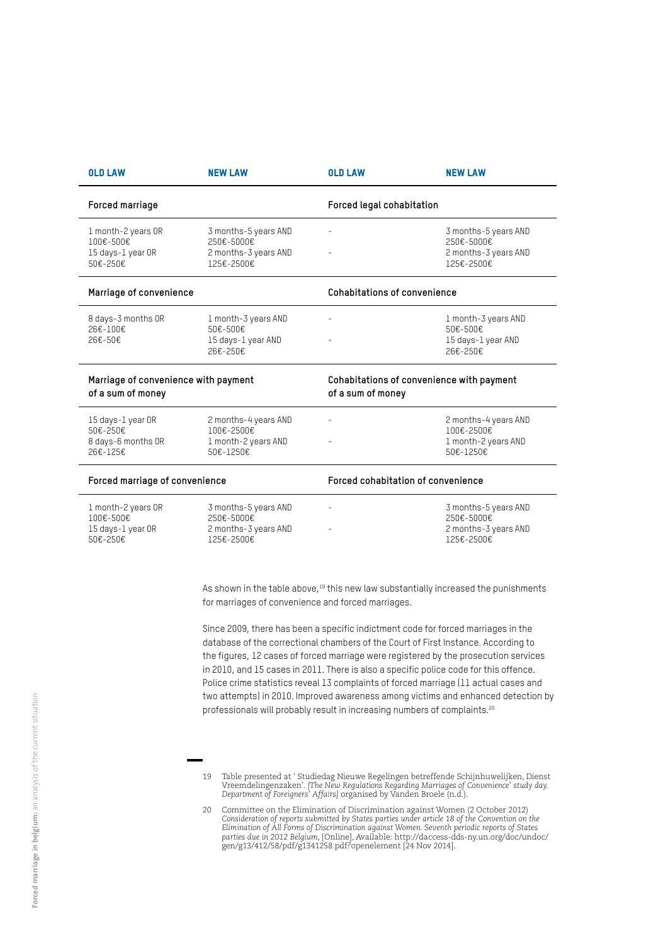| <b>OLD LAW</b>                                                   | <b>NEW LAW</b>                                                           | <b>OLD LAW</b>                                                 | <b>NEW LAW</b>                                                           |  |
|------------------------------------------------------------------|--------------------------------------------------------------------------|----------------------------------------------------------------|--------------------------------------------------------------------------|--|
| Forced marriage                                                  |                                                                          | Forced legal cohabitation                                      |                                                                          |  |
| 1 month-2 years OR<br>100€-500€<br>15 days-1 year OR<br>50€-250€ | 3 months-5 years AND<br>250€-5000€<br>2 months-3 years AND<br>125€-2500€ |                                                                | 3 months-5 years AND<br>250€-5000€<br>2 months-3 years AND<br>125€-2500€ |  |
| Marriage of convenience                                          |                                                                          | Cohabitations of convenience                                   |                                                                          |  |
| 8 days-3 months OR<br>26€-100€<br>26€-50€                        | 1 month-3 years AND<br>50€-500€<br>15 days-1 year AND<br>26€-250€        |                                                                | 1 month-3 years AND<br>50€-500€<br>15 days-1 year AND<br>26€-250€        |  |
| Marriage of convenience with payment<br>of a sum of money        |                                                                          | Cohabitations of convenience with payment<br>of a sum of money |                                                                          |  |
| 15 days-1 year OR<br>50€-250€<br>8 days-6 months OR<br>26€-125€  | 2 months-4 years AND<br>100€-2500€<br>1 month-2 years AND<br>50€-1250€   |                                                                | 2 months-4 years AND<br>100€-2500€<br>1 month-2 years AND<br>50€-1250€   |  |
| Forced marriage of convenience                                   |                                                                          | Forced cohabitation of convenience                             |                                                                          |  |
| 1 month-2 years OR<br>100€-500€<br>15 days-1 year OR<br>50€-250€ | 3 months-5 years AND<br>250€-5000€<br>2 months-3 years AND<br>125€-2500€ |                                                                | 3 months-5 years AND<br>250€-5000€<br>2 months-3 years AND<br>125€-2500€ |  |

As shown in the table above, $19$  this new law substantially increased the punishments for marriages of convenience and forced marriages.

Since 2009, there has been a specific indictment code for forced marriages in the database of the correctional chambers of the Court of First Instance. According to the figures, 12 cases of forced marriage were registered by the prosecution services in 2010, and 15 cases in 2011. There is also a specific police code for this offence. Police crime statistics reveal 13 complaints of forced marriage (11 actual cases and two attempts) in 2010. Improved awareness among victims and enhanced detection by professionals will probably result in increasing numbers of complaints.<sup>20</sup>

<sup>19</sup> Table presented at ' Studiedag Nieuwe Regelingen betreffende Schijnhuwelijken, Dienst Vreemdelingenzaken'. *[The New Regulations Regarding Marriages of Convenience' study day. Department of Foreigners' Affairs]* organised by Vanden Broele (n.d.).

<sup>20</sup> Committee on the Elimination of Discrimination against Women (2 October 2012) *Consideration of reports submitted by States parties under article 18 of the Convention on the Elimination of All Forms of Discrimination against Women. Seventh periodic reports of States parties due in 2012 Belgium*, [Online], Available: http://daccess-dds-ny.un.org/doc/undoc/ gen/g13/412/58/pdf/g1341258.pdf?openelement [24 Nov 2014].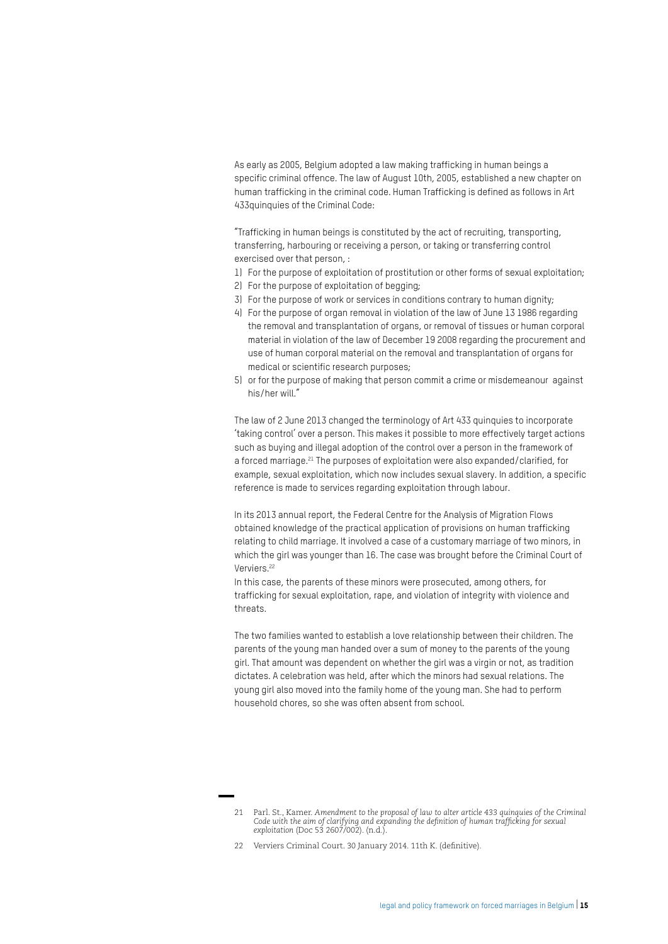As early as 2005, Belgium adopted a law making trafficking in human beings a specific criminal offence. The law of August 10th, 2005, established a new chapter on human trafficking in the criminal code. Human Trafficking is defined as follows in Art 433quinquies of the Criminal Code:

"Trafficking in human beings is constituted by the act of recruiting, transporting, transferring, harbouring or receiving a person, or taking or transferring control exercised over that person, :

- 1) For the purpose of exploitation of prostitution or other forms of sexual exploitation;
- 2) For the purpose of exploitation of begging;
- 3) For the purpose of work or services in conditions contrary to human dignity;
- 4) For the purpose of organ removal in violation of the law of June 13 1986 regarding the removal and transplantation of organs, or removal of tissues or human corporal material in violation of the law of December 19 2008 regarding the procurement and use of human corporal material on the removal and transplantation of organs for medical or scientific research purposes;
- 5) or for the purpose of making that person commit a crime or misdemeanour against his/her will."

The law of 2 June 2013 changed the terminology of Art 433 quinquies to incorporate 'taking control' over a person. This makes it possible to more effectively target actions such as buying and illegal adoption of the control over a person in the framework of a forced marriage.<sup>21</sup> The purposes of exploitation were also expanded/clarified, for example, sexual exploitation, which now includes sexual slavery. In addition, a specific reference is made to services regarding exploitation through labour.

In its 2013 annual report, the Federal Centre for the Analysis of Migration Flows obtained knowledge of the practical application of provisions on human trafficking relating to child marriage. It involved a case of a customary marriage of two minors, in which the girl was younger than 16. The case was brought before the Criminal Court of Verviers.22

In this case, the parents of these minors were prosecuted, among others, for trafficking for sexual exploitation, rape, and violation of integrity with violence and threats.

The two families wanted to establish a love relationship between their children. The parents of the young man handed over a sum of money to the parents of the young girl. That amount was dependent on whether the girl was a virgin or not, as tradition dictates. A celebration was held, after which the minors had sexual relations. The young girl also moved into the family home of the young man. She had to perform household chores, so she was often absent from school.

<sup>21</sup> Parl. St., Kamer. *Amendment to the proposal of law to alter article 433 quinquies of the Criminal Code with the aim of clarifying and expanding the definition of human trafficking for sexual exploitation* (Doc 53 2607/002). (n.d.).

<sup>22</sup> Verviers Criminal Court. 30 January 2014. 11th K. (definitive).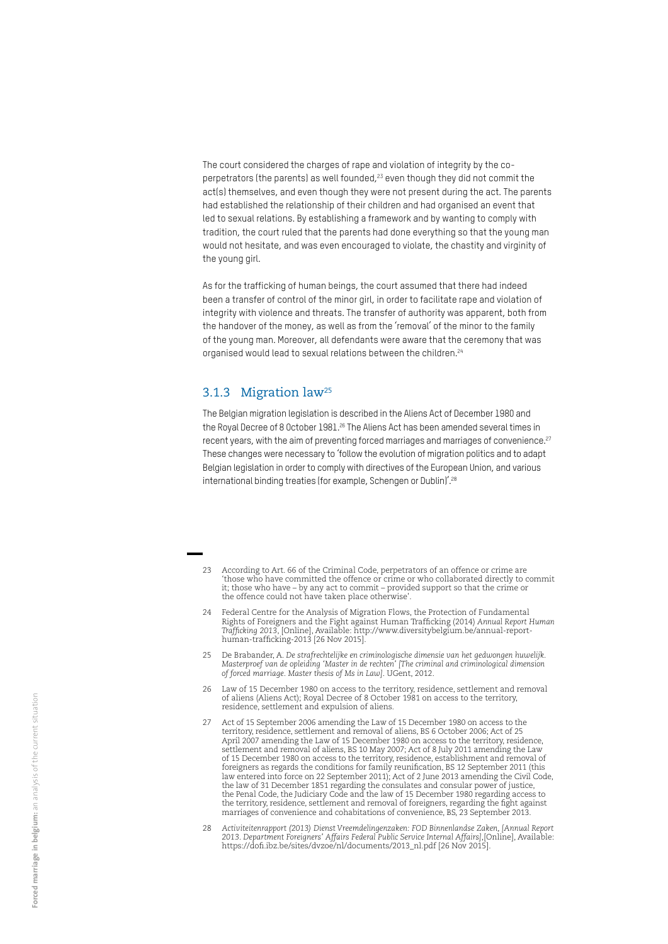The court considered the charges of rape and violation of integrity by the coperpetrators (the parents) as well founded,<sup>23</sup> even though they did not commit the act(s) themselves, and even though they were not present during the act. The parents had established the relationship of their children and had organised an event that led to sexual relations. By establishing a framework and by wanting to comply with tradition, the court ruled that the parents had done everything so that the young man would not hesitate, and was even encouraged to violate, the chastity and virginity of the young girl.

As for the trafficking of human beings, the court assumed that there had indeed been a transfer of control of the minor girl, in order to facilitate rape and violation of integrity with violence and threats. The transfer of authority was apparent, both from the handover of the money, as well as from the 'removal' of the minor to the family of the young man. Moreover, all defendants were aware that the ceremony that was organised would lead to sexual relations between the children.<sup>24</sup>

#### 3.1.3 Migration law25

The Belgian migration legislation is described in the Aliens Act of December 1980 and the Royal Decree of 8 October 1981.<sup>26</sup> The Aliens Act has been amended several times in recent years, with the aim of preventing forced marriages and marriages of convenience.<sup>27</sup> These changes were necessary to 'follow the evolution of migration politics and to adapt Belgian legislation in order to comply with directives of the European Union, and various international binding treaties (for example, Schengen or Dublin)'.<sup>28</sup>

- According to Art. 66 of the Criminal Code, perpetrators of an offence or crime are 'those who have committed the offence or crime or who collaborated directly to commit it; those who have – by any act to commit – provided support so that the crime or the offence could not have taken place otherwise'.
- 24 Federal Centre for the Analysis of Migration Flows, the Protection of Fundamental Rights of Foreigners and the Fight against Human Trafficking (2014) *Annual Report Human Trafficking 2013*, [Online], Available: http://www.diversitybelgium.be/annual-report-human-trafficking-2013 [26 Nov 2015].
- 25 De Brabander, A. *De strafrechtelijke en criminologische dimensie van het gedwongen huwelijk. Masterproef van de opleiding 'Master in de rechten' [The criminal and criminological dimension of forced marriage. Master thesis of Ms in Law]*. UGent, 2012.
- 26 Law of 15 December 1980 on access to the territory, residence, settlement and removal of aliens (Aliens Act); Royal Decree of 8 October 1981 on access to the territory, residence, settlement and expulsion of aliens.
- 27 Act of 15 September 2006 amending the Law of 15 December 1980 on access to the territory, residence, settlement and removal of aliens, BS 6 October 2006; Act of 25 April 2007 amending the Law of 15 December 1980 on access to the territory, residence, settlement and removal of aliens, BS 10 May 2007; Act of 8 July 2011 amending the Law of 15 December 1980 on access to the territory, residence, establishment and removal of foreigners as regards the conditions for family reunification, BS 12 September 2011 (this law entered into force on 22 September 2011); Act of 2 June 2013 amending the Civil Code, the law of 31 December 1851 regarding the consulates and consular power of justice, the Penal Code, the Judiciary Code and the law of 15 December 1980 regarding access to the territory, residence, settlement and removal of foreigners, regarding the fight against marriages of convenience and cohabitations of convenience, BS, 23 September 2013.
- 28 *Activiteitenrapport (2013) Dienst Vreemdelingenzaken: FOD Binnenlandse Zaken, [Annual Report 2013. Department Foreigners' Affairs Federal Public Service Internal Affairs]*,[Online], Available: https://dofi.ibz.be/sites/dvzoe/nl/documents/2013\_nl.pdf [26 Nov 2015].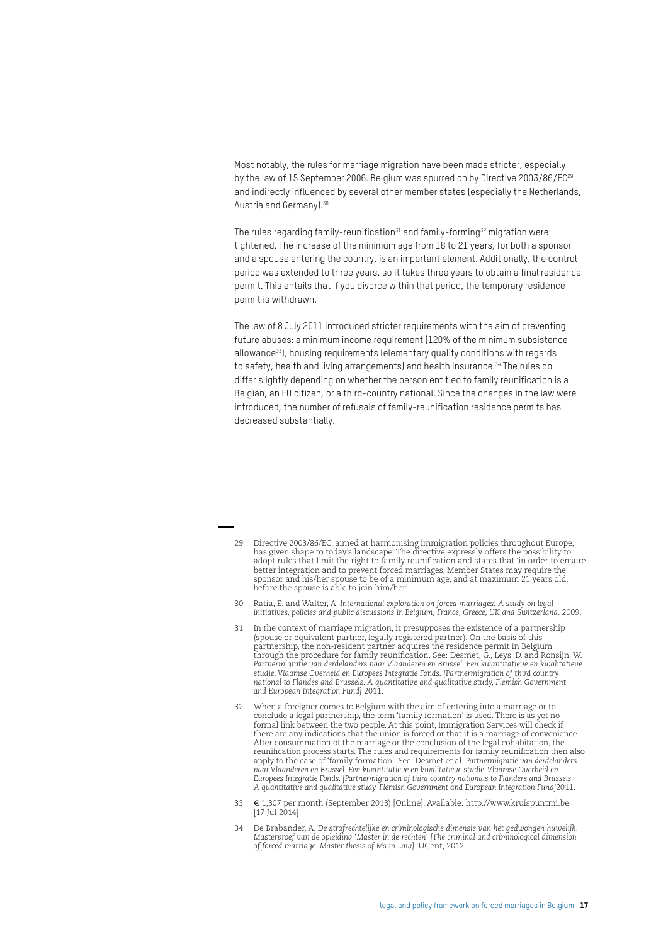Most notably, the rules for marriage migration have been made stricter, especially by the law of 15 September 2006. Belgium was spurred on by Directive 2003/86/EC<sup>29</sup> and indirectly influenced by several other member states (especially the Netherlands, Austria and Germany).30

The rules regarding family-reunification<sup>31</sup> and family-forming<sup>32</sup> migration were tightened. The increase of the minimum age from 18 to 21 years, for both a sponsor and a spouse entering the country, is an important element. Additionally, the control period was extended to three years, so it takes three years to obtain a final residence permit. This entails that if you divorce within that period, the temporary residence permit is withdrawn.

The law of 8 July 2011 introduced stricter requirements with the aim of preventing future abuses: a minimum income requirement (120% of the minimum subsistence allowance33), housing requirements (elementary quality conditions with regards to safety, health and living arrangements) and health insurance.<sup>34</sup> The rules do differ slightly depending on whether the person entitled to family reunification is a Belgian, an EU citizen, or a third-country national. Since the changes in the law were introduced, the number of refusals of family-reunification residence permits has decreased substantially.

34 De Brabander, A. *De strafrechtelijke en criminologische dimensie van het gedwongen huwelijk. Masterproef van de opleiding 'Master in de rechten' [The criminal and criminological dimension*  of forced marriage. Master thesis of Ms in Law]. UGent, 2012.

<sup>29</sup> Directive 2003/86/EC, aimed at harmonising immigration policies throughout Europe, has given shape to today's landscape. The directive expressly offers the possibility to adopt rules that limit the right to family reunification and states that 'in order to ensure better integration and to prevent forced marriages, Member States may require the sponsor and his/her spouse to be of a minimum age, and at maximum 21 years old, before the spouse is able to join him/her'.

<sup>30</sup> Ratia, E. and Walter, A. *International exploration on forced marriages: A study on legal initiatives, policies and public discussions in Belgium, France, Greece, UK and Switzerland*. 2009.

<sup>31</sup> In the context of marriage migration, it presupposes the existence of a partnership (spouse or equivalent partner, legally registered partner). On the basis of this partnership, the non-resident partner acquires the residence permit in Belgium through the procedure for family reunification. See: Desmet, G., Leys, D. and Ronsijn, W. *Partnermigratie van derdelanders naar Vlaanderen en Brussel. Een kwantitatieve en kwalitatieve studie. Vlaamse Overheid en Europees Integratie Fonds. [Partnermigration of third country national to Flandes and Brussels. A quantitative and qualitative study, Flemish Government and European Integration Fund]* 2011.

<sup>32</sup> When a foreigner comes to Belgium with the aim of entering into a marriage or to conclude a legal partnership, the term 'family formation' is used. There is as yet no formal link between the two people. At this point, Immigration Services will check if there are any indications that the union is forced or that it is a marriage of convenience. After consummation of the marriage or the conclusion of the legal cohabitation, the reunification process starts. The rules and requirements for family reunification then also apply to the case of 'family formation'. See: Desmet et al. *Partnermigratie van derdelanders naar Vlaanderen en Brussel. Een kwantitatieve en kwalitatieve studie. Vlaamse Overheid en Europees Integratie Fonds. [Partnermigration of third country nationals to Flanders and Brussels. A quantitative and qualitative study. Flemish Government and European Integration Fund]*2011.

<sup>33</sup> € 1,307 per month (September 2013) [Online], Available: http://www.kruispuntmi.be  $[17$  Jul 2014].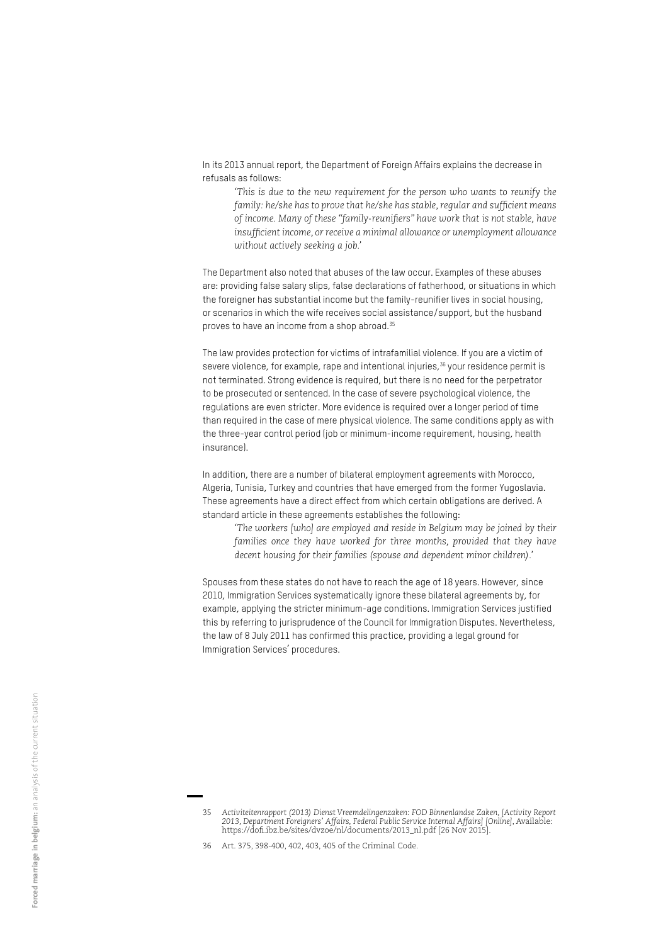In its 2013 annual report, the Department of Foreign Affairs explains the decrease in refusals as follows:

*'This is due to the new requirement for the person who wants to reunify the family: he/she has to prove that he/she has stable, regular and sufficient means of income. Many of these "family-reunifiers" have work that is not stable, have insufficient income, or receive a minimal allowance or unemployment allowance without actively seeking a job.'* 

The Department also noted that abuses of the law occur. Examples of these abuses are: providing false salary slips, false declarations of fatherhood, or situations in which the foreigner has substantial income but the family-reunifier lives in social housing, or scenarios in which the wife receives social assistance/support, but the husband proves to have an income from a shop abroad.35

The law provides protection for victims of intrafamilial violence. If you are a victim of severe violence, for example, rape and intentional injuries,<sup>36</sup> your residence permit is not terminated. Strong evidence is required, but there is no need for the perpetrator to be prosecuted or sentenced. In the case of severe psychological violence, the regulations are even stricter. More evidence is required over a longer period of time than required in the case of mere physical violence. The same conditions apply as with the three-year control period (job or minimum-income requirement, housing, health insurance).

In addition, there are a number of bilateral employment agreements with Morocco, Algeria, Tunisia, Turkey and countries that have emerged from the former Yugoslavia. These agreements have a direct effect from which certain obligations are derived. A standard article in these agreements establishes the following:

*'The workers [who] are employed and reside in Belgium may be joined by their families once they have worked for three months, provided that they have decent housing for their families (spouse and dependent minor children).'* 

Spouses from these states do not have to reach the age of 18 years. However, since 2010, Immigration Services systematically ignore these bilateral agreements by, for example, applying the stricter minimum-age conditions. Immigration Services justified this by referring to jurisprudence of the Council for Immigration Disputes. Nevertheless, the law of 8 July 2011 has confirmed this practice, providing a legal ground for Immigration Services' procedures.

<sup>35</sup> *Activiteitenrapport (2013) Dienst Vreemdelingenzaken: FOD Binnenlandse Zaken, [Activity Report 2013, Department Foreigners' Affairs, Federal Public Service Internal Affairs] [Online]*, Available: https://dofi.ibz.be/sites/dvzoe/nl/documents/2013\_nl.pdf [26 Nov 2015].

<sup>36</sup> Art. 375, 398-400, 402, 403, 405 of the Criminal Code.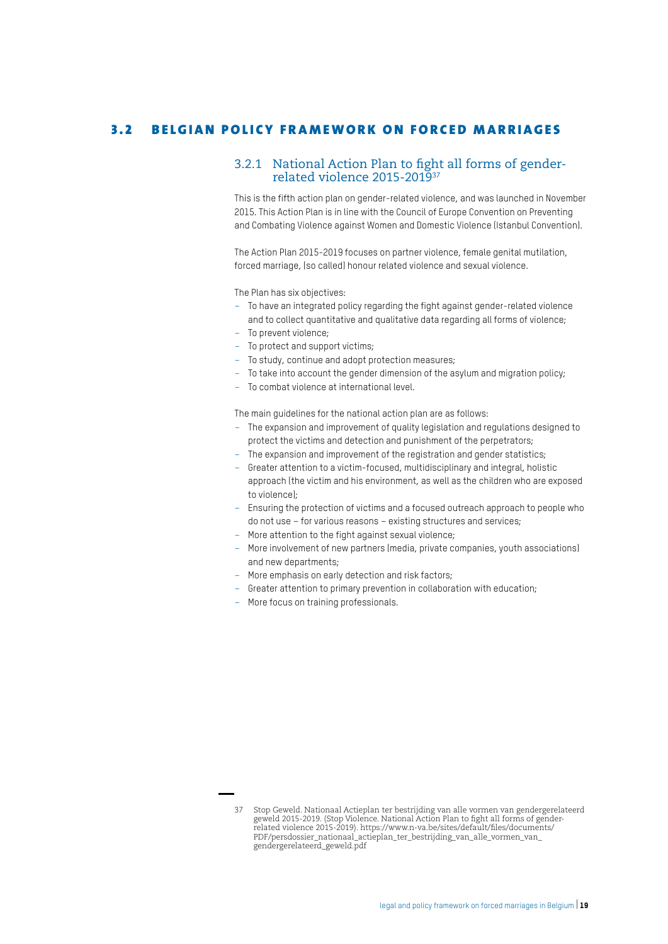#### 3.2 BELGIAN POLICY FRAMEWORK ON FORCED MARRIAGES

#### 3.2.1 National Action Plan to fight all forms of genderrelated violence 2015-201937

This is the fifth action plan on gender-related violence, and was launched in November 2015. This Action Plan is in line with the Council of Europe Convention on Preventing and Combating Violence against Women and Domestic Violence (Istanbul Convention).

The Action Plan 2015-2019 focuses on partner violence, female genital mutilation, forced marriage, (so called) honour related violence and sexual violence.

The Plan has six objectives:

- To have an integrated policy regarding the fight against gender-related violence and to collect quantitative and qualitative data regarding all forms of violence;
- To prevent violence;
- To protect and support victims;
- To study, continue and adopt protection measures;
- To take into account the gender dimension of the asylum and migration policy;
- To combat violence at international level.

The main guidelines for the national action plan are as follows:

- The expansion and improvement of quality legislation and regulations designed to protect the victims and detection and punishment of the perpetrators;
- The expansion and improvement of the registration and gender statistics;
- Greater attention to a victim-focused, multidisciplinary and integral, holistic approach (the victim and his environment, as well as the children who are exposed to violence);
- Ensuring the protection of victims and a focused outreach approach to people who do not use – for various reasons – existing structures and services;
- More attention to the fight against sexual violence;
- More involvement of new partners (media, private companies, youth associations) and new departments;
- More emphasis on early detection and risk factors;
- Greater attention to primary prevention in collaboration with education;
- More focus on training professionals.

<sup>37</sup> Stop Geweld. Nationaal Actieplan ter bestrijding van alle vormen van gendergerelateerd geweld 2015-2019. (Stop Violence. National Action Plan to fight all forms of genderrelated violence 2015-2019). https://www.n-va.be/sites/default/files/documents/ PDF/persdossier\_nationaal\_actieplan\_ter\_bestrijding\_van\_alle\_vormen\_van\_ gendergerelateerd\_geweld.pdf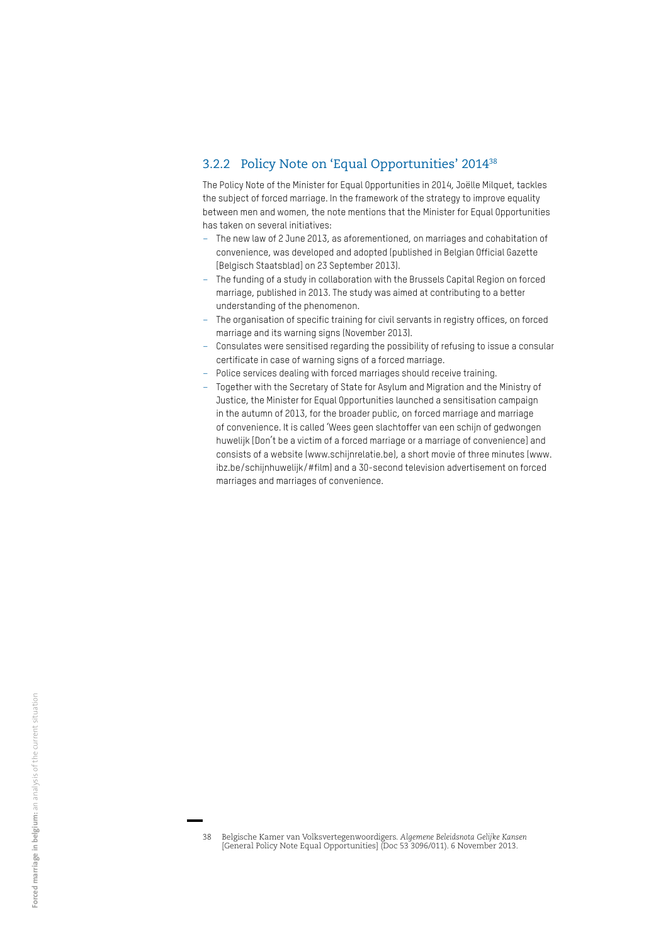#### 3.2.2 Policy Note on 'Equal Opportunities' 201438

The Policy Note of the Minister for Equal Opportunities in 2014, Joëlle Milquet, tackles the subject of forced marriage. In the framework of the strategy to improve equality between men and women, the note mentions that the Minister for Equal Opportunities has taken on several initiatives:

- The new law of 2 June 2013, as aforementioned, on marriages and cohabitation of convenience, was developed and adopted (published in Belgian Official Gazette [Belgisch Staatsblad] on 23 September 2013).
- The funding of a study in collaboration with the Brussels Capital Region on forced marriage, published in 2013. The study was aimed at contributing to a better understanding of the phenomenon.
- The organisation of specific training for civil servants in registry offices, on forced marriage and its warning signs (November 2013).
- Consulates were sensitised regarding the possibility of refusing to issue a consular certificate in case of warning signs of a forced marriage.
- Police services dealing with forced marriages should receive training.
- Together with the Secretary of State for Asylum and Migration and the Ministry of Justice, the Minister for Equal Opportunities launched a sensitisation campaign in the autumn of 2013, for the broader public, on forced marriage and marriage of convenience. It is called 'Wees geen slachtoffer van een schijn of gedwongen huwelijk [Don't be a victim of a forced marriage or a marriage of convenience] and consists of a website (www.schijnrelatie.be), a short movie of three minutes (www. ibz.be/schijnhuwelijk/#film) and a 30-second television advertisement on forced marriages and marriages of convenience.

<sup>38</sup> Belgische Kamer van Volksvertegenwoordigers. *Algemene Beleidsnota Gelijke Kansen*  [General Policy Note Equal Opportunities] (Doc 53 3096/011). 6 November 2013.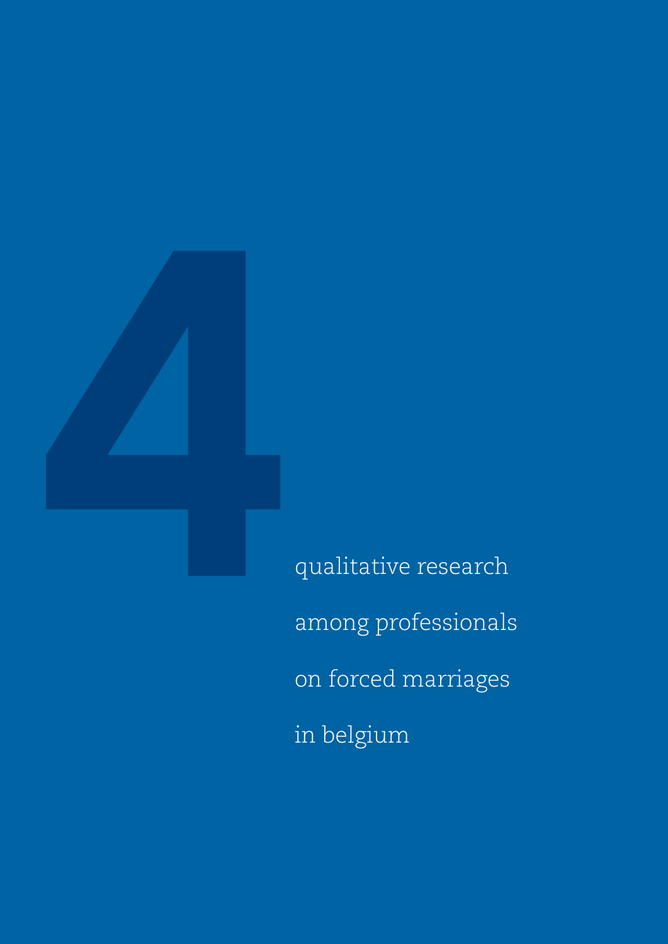

qualitative research among professionals on forced marriages in belgium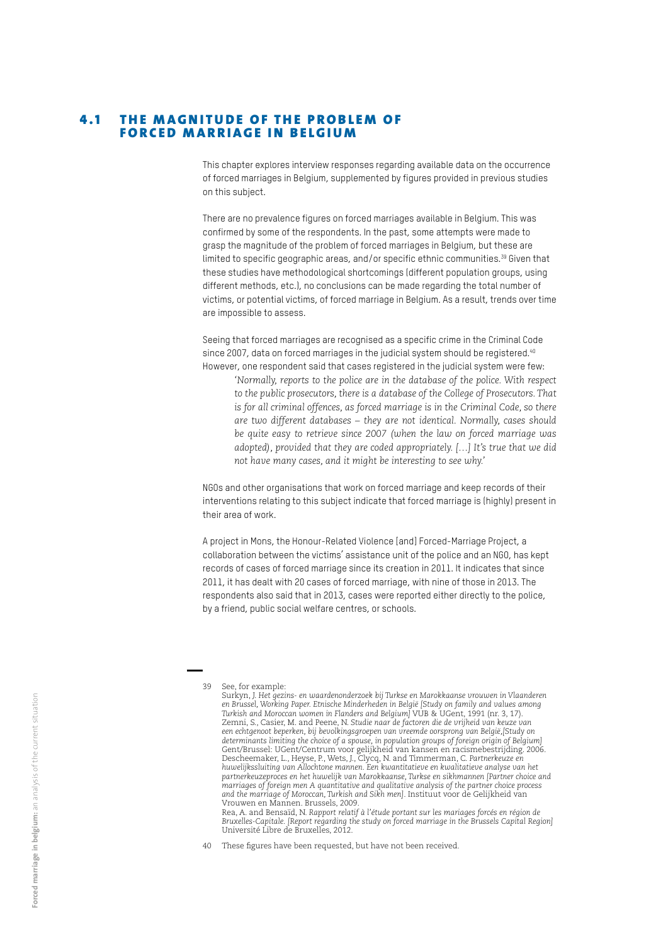#### 4.1 THE MAGNITUDE OF THE PROBLEM OF FORCED MARRIAGE IN BELGIUM

This chapter explores interview responses regarding available data on the occurrence of forced marriages in Belgium, supplemented by figures provided in previous studies on this subject.

There are no prevalence figures on forced marriages available in Belgium. This was confirmed by some of the respondents. In the past, some attempts were made to grasp the magnitude of the problem of forced marriages in Belgium, but these are limited to specific geographic areas, and/or specific ethnic communities.<sup>39</sup> Given that these studies have methodological shortcomings (different population groups, using different methods, etc.), no conclusions can be made regarding the total number of victims, or potential victims, of forced marriage in Belgium. As a result, trends over time are impossible to assess.

Seeing that forced marriages are recognised as a specific crime in the Criminal Code since 2007, data on forced marriages in the judicial system should be registered.<sup>40</sup> However, one respondent said that cases registered in the judicial system were few:

*'Normally, reports to the police are in the database of the police. With respect to the public prosecutors, there is a database of the College of Prosecutors. That is for all criminal offences, as forced marriage is in the Criminal Code, so there are two different databases – they are not identical. Normally, cases should be quite easy to retrieve since 2007 (when the law on forced marriage was adopted), provided that they are coded appropriately. […] It's true that we did not have many cases, and it might be interesting to see why.'* 

NGOs and other organisations that work on forced marriage and keep records of their interventions relating to this subject indicate that forced marriage is (highly) present in their area of work.

A project in Mons, the Honour-Related Violence [and] Forced-Marriage Project, a collaboration between the victims' assistance unit of the police and an NGO, has kept records of cases of forced marriage since its creation in 2011. It indicates that since 2011, it has dealt with 20 cases of forced marriage, with nine of those in 2013. The respondents also said that in 2013, cases were reported either directly to the police, by a friend, public social welfare centres, or schools.

Rea, A. and Bensaïd, N. *Rapport relatif à l'étude portant sur les mariages forcés en région de Bruxelles-Capitale. [Report regarding the study on forced marriage in the Brussels Capital Region]* Université Libre de Bruxelles, 2012.

40 These figures have been requested, but have not been received.

<sup>39</sup> See, for example:

Surkyn, J. *Het gezins- en waardenonderzoek bij Turkse en Marokkaanse vrouwen in Vlaanderen en Brussel, Working Paper. Etnische Minderheden in België [Study on family and values among Turkish and Moroccan women in Flanders and Belgium]* VUB & UGent, 1991 (nr. 3, 17). Zemni, S., Casier, M. and Peene, N. *Studie naar de factoren die de vrijheid van keuze van een echtgenoot beperken, bij bevolkingsgroepen van vreemde oorsprong van België,[Study on determinants limiting the choice of a spouse, in population groups of foreign origin of Belgium]* Gent/Brussel: UGent/Centrum voor gelijkheid van kansen en racismebestrijding. 2006. Descheemaker, L., Heyse, P., Wets, J., Clycq, N. and Timmerman, C. *Partnerkeuze en huwelijkssluiting van Allochtone mannen. Een kwantitatieve en kwalitatieve analyse van het partnerkeuzeproces en het huwelijk van Marokkaanse, Turkse en sikhmannen [Partner choice and marriages of foreign men A quantitative and qualitative analysis of the partner choice process and the marriage of Moroccan, Turkish and Sikh men]*. Instituut voor de Gelijkheid van Vrouwen en Mannen. Brussels, 2009.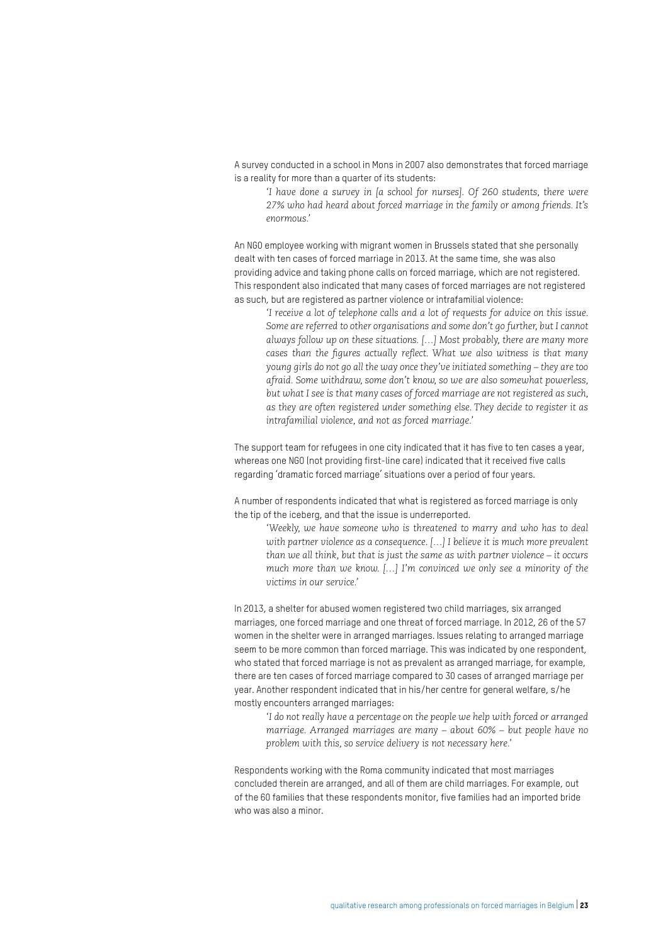A survey conducted in a school in Mons in 2007 also demonstrates that forced marriage is a reality for more than a quarter of its students:

*'I have done a survey in [a school for nurses]. Of 260 students, there were 27% who had heard about forced marriage in the family or among friends. It's enormous.'* 

An NGO employee working with migrant women in Brussels stated that she personally dealt with ten cases of forced marriage in 2013. At the same time, she was also providing advice and taking phone calls on forced marriage, which are not registered. This respondent also indicated that many cases of forced marriages are not registered as such, but are registered as partner violence or intrafamilial violence:

*'I receive a lot of telephone calls and a lot of requests for advice on this issue. Some are referred to other organisations and some don't go further, but I cannot always follow up on these situations. […] Most probably, there are many more cases than the figures actually reflect. What we also witness is that many young girls do not go all the way once they've initiated something – they are too afraid. Some withdraw, some don't know, so we are also somewhat powerless, but what I see is that many cases of forced marriage are not registered as such, as they are often registered under something else. They decide to register it as intrafamilial violence, and not as forced marriage.'* 

The support team for refugees in one city indicated that it has five to ten cases a year, whereas one NGO (not providing first-line care) indicated that it received five calls regarding 'dramatic forced marriage' situations over a period of four years.

A number of respondents indicated that what is registered as forced marriage is only the tip of the iceberg, and that the issue is underreported.

*'Weekly, we have someone who is threatened to marry and who has to deal with partner violence as a consequence. […] I believe it is much more prevalent than we all think, but that is just the same as with partner violence – it occurs much more than we know. […] I'm convinced we only see a minority of the victims in our service.'*

In 2013, a shelter for abused women registered two child marriages, six arranged marriages, one forced marriage and one threat of forced marriage. In 2012, 26 of the 57 women in the shelter were in arranged marriages. Issues relating to arranged marriage seem to be more common than forced marriage. This was indicated by one respondent, who stated that forced marriage is not as prevalent as arranged marriage, for example, there are ten cases of forced marriage compared to 30 cases of arranged marriage per year. Another respondent indicated that in his/her centre for general welfare, s/he mostly encounters arranged marriages:

*'I do not really have a percentage on the people we help with forced or arranged marriage. Arranged marriages are many – about 60% – but people have no problem with this, so service delivery is not necessary here.'* 

Respondents working with the Roma community indicated that most marriages concluded therein are arranged, and all of them are child marriages. For example, out of the 60 families that these respondents monitor, five families had an imported bride who was also a minor.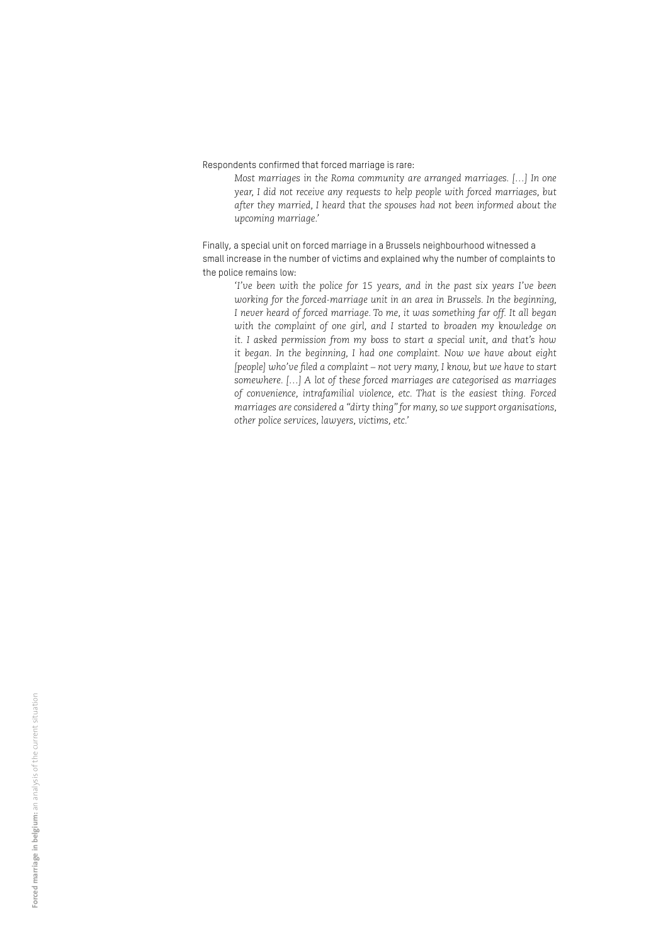Respondents confirmed that forced marriage is rare:

*Most marriages in the Roma community are arranged marriages. […] In one year, I did not receive any requests to help people with forced marriages, but after they married, I heard that the spouses had not been informed about the upcoming marriage.'* 

Finally, a special unit on forced marriage in a Brussels neighbourhood witnessed a small increase in the number of victims and explained why the number of complaints to the police remains low:

*'I've been with the police for 15 years, and in the past six years I've been working for the forced-marriage unit in an area in Brussels. In the beginning, I never heard of forced marriage. To me, it was something far off. It all began*  with the complaint of one girl, and I started to broaden my knowledge on *it. I asked permission from my boss to start a special unit, and that's how it began. In the beginning, I had one complaint. Now we have about eight [people] who've filed a complaint – not very many, I know, but we have to start somewhere. […] A lot of these forced marriages are categorised as marriages of convenience, intrafamilial violence, etc. That is the easiest thing. Forced marriages are considered a "dirty thing" for many, so we support organisations, other police services, lawyers, victims, etc.'*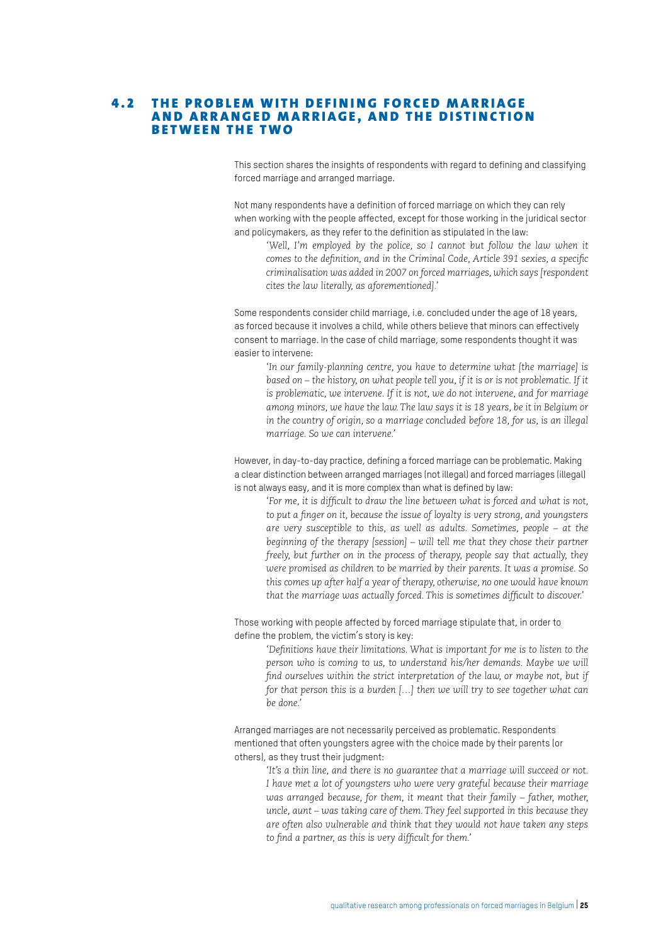#### 4.2 THE PROBLEM WITH DEFINING FORCED MARRIAGE AND ARRANGED MARRIAGE, AND THE DISTINCTION **BETWEEN THE TWO**

This section shares the insights of respondents with regard to defining and classifying forced marriage and arranged marriage.

Not many respondents have a definition of forced marriage on which they can rely when working with the people affected, except for those working in the juridical sector and policymakers, as they refer to the definition as stipulated in the law:

*'Well, I'm employed by the police, so I cannot but follow the law when it comes to the definition, and in the Criminal Code, Article 391 sexies, a specific criminalisation was added in 2007 on forced marriages, which says [respondent cites the law literally, as aforementioned].'* 

Some respondents consider child marriage, i.e. concluded under the age of 18 years, as forced because it involves a child, while others believe that minors can effectively consent to marriage. In the case of child marriage, some respondents thought it was easier to intervene:

*'In our family-planning centre, you have to determine what [the marriage] is based on – the history, on what people tell you, if it is or is not problematic. If it is problematic, we intervene. If it is not, we do not intervene, and for marriage among minors, we have the law. The law says it is 18 years, be it in Belgium or in the country of origin, so a marriage concluded before 18, for us, is an illegal marriage. So we can intervene.'* 

However, in day-to-day practice, defining a forced marriage can be problematic. Making a clear distinction between arranged marriages (not illegal) and forced marriages (illegal) is not always easy, and it is more complex than what is defined by law:

*'For me, it is difficult to draw the line between what is forced and what is not, to put a finger on it, because the issue of loyalty is very strong, and youngsters are very susceptible to this, as well as adults. Sometimes, people – at the beginning of the therapy [session] – will tell me that they chose their partner freely, but further on in the process of therapy, people say that actually, they were promised as children to be married by their parents. It was a promise. So this comes up after half a year of therapy, otherwise, no one would have known that the marriage was actually forced. This is sometimes difficult to discover.'*

Those working with people affected by forced marriage stipulate that, in order to define the problem, the victim's story is key:

*'Definitions have their limitations. What is important for me is to listen to the person who is coming to us, to understand his/her demands. Maybe we will find ourselves within the strict interpretation of the law, or maybe not, but if for that person this is a burden […] then we will try to see together what can be done.'*

Arranged marriages are not necessarily perceived as problematic. Respondents mentioned that often youngsters agree with the choice made by their parents (or others), as they trust their judgment:

*'It's a thin line, and there is no guarantee that a marriage will succeed or not. I have met a lot of youngsters who were very grateful because their marriage was arranged because, for them, it meant that their family – father, mother, uncle, aunt – was taking care of them. They feel supported in this because they are often also vulnerable and think that they would not have taken any steps to find a partner, as this is very difficult for them.'*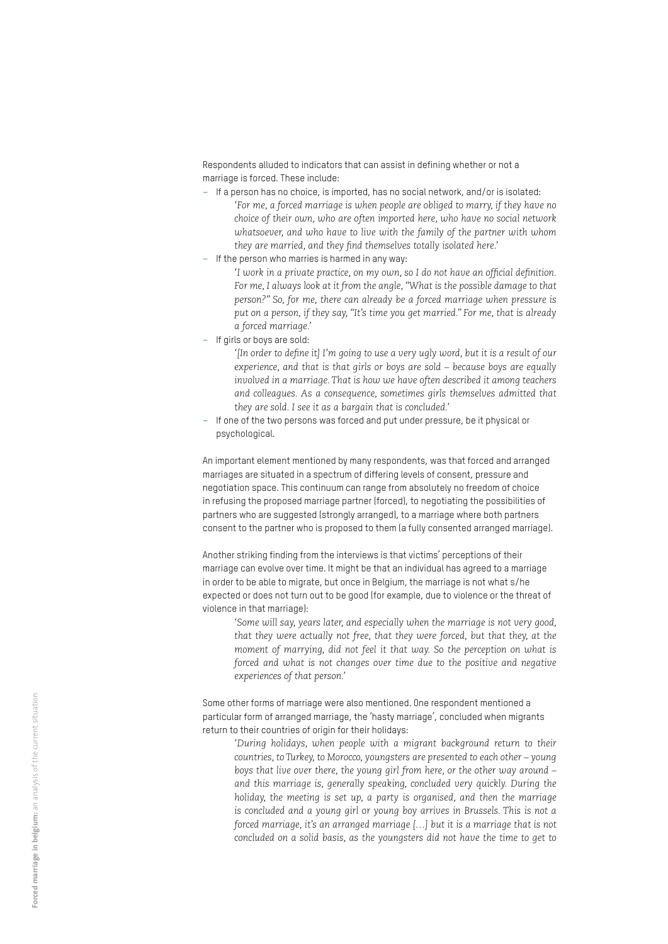Respondents alluded to indicators that can assist in defining whether or not a marriage is forced. These include:

- If a person has no choice, is imported, has no social network, and/or is isolated: *'For me, a forced marriage is when people are obliged to marry, if they have no choice of their own, who are often imported here, who have no social network whatsoever, and who have to live with the family of the partner with whom they are married, and they find themselves totally isolated here.'*
- If the person who marries is harmed in any way:

*'I work in a private practice, on my own, so I do not have an official definition. For me, I always look at it from the angle, "What is the possible damage to that person?" So, for me, there can already be a forced marriage when pressure is put on a person, if they say, "It's time you get married." For me, that is already a forced marriage.'* 

- If girls or boys are sold:
	- *'[In order to define it] I'm going to use a very ugly word, but it is a result of our experience, and that is that girls or boys are sold – because boys are equally involved in a marriage. That is how we have often described it among teachers and colleagues. As a consequence, sometimes girls themselves admitted that they are sold. I see it as a bargain that is concluded.'*
- If one of the two persons was forced and put under pressure, be it physical or psychological.

An important element mentioned by many respondents, was that forced and arranged marriages are situated in a spectrum of differing levels of consent, pressure and negotiation space. This continuum can range from absolutely no freedom of choice in refusing the proposed marriage partner (forced), to negotiating the possibilities of partners who are suggested (strongly arranged), to a marriage where both partners consent to the partner who is proposed to them (a fully consented arranged marriage).

Another striking finding from the interviews is that victims' perceptions of their marriage can evolve over time. It might be that an individual has agreed to a marriage in order to be able to migrate, but once in Belgium, the marriage is not what s/he expected or does not turn out to be good (for example, due to violence or the threat of violence in that marriage):

*'Some will say, years later, and especially when the marriage is not very good, that they were actually not free, that they were forced, but that they, at the moment of marrying, did not feel it that way. So the perception on what is forced and what is not changes over time due to the positive and negative experiences of that person.'*

Some other forms of marriage were also mentioned. One respondent mentioned a particular form of arranged marriage, the 'hasty marriage', concluded when migrants return to their countries of origin for their holidays:

*'During holidays, when people with a migrant background return to their countries, to Turkey, to Morocco, youngsters are presented to each other – young boys that live over there, the young girl from here, or the other way around – and this marriage is, generally speaking, concluded very quickly. During the holiday, the meeting is set up, a party is organised, and then the marriage is concluded and a young girl or young boy arrives in Brussels. This is not a forced marriage, it's an arranged marriage […] but it is a marriage that is not concluded on a solid basis, as the youngsters did not have the time to get to*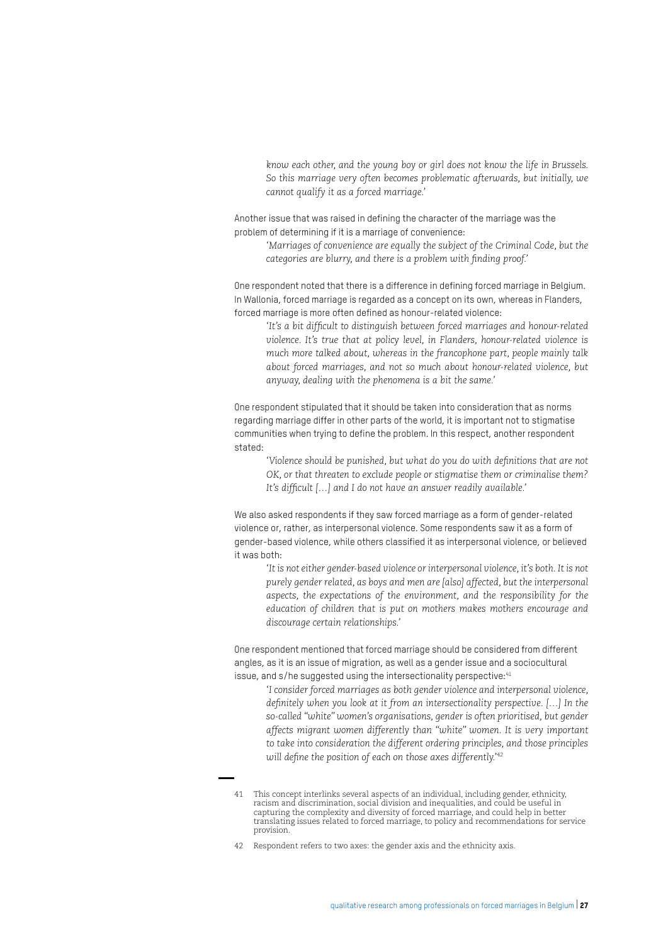*know each other, and the young boy or girl does not know the life in Brussels. So this marriage very often becomes problematic afterwards, but initially, we cannot qualify it as a forced marriage.'*

Another issue that was raised in defining the character of the marriage was the problem of determining if it is a marriage of convenience:

*'Marriages of convenience are equally the subject of the Criminal Code, but the categories are blurry, and there is a problem with finding proof.'*

One respondent noted that there is a difference in defining forced marriage in Belgium. In Wallonia, forced marriage is regarded as a concept on its own, whereas in Flanders, forced marriage is more often defined as honour-related violence:

*'It's a bit difficult to distinguish between forced marriages and honour-related violence. It's true that at policy level, in Flanders, honour-related violence is much more talked about, whereas in the francophone part, people mainly talk about forced marriages, and not so much about honour-related violence, but anyway, dealing with the phenomena is a bit the same.'*

One respondent stipulated that it should be taken into consideration that as norms regarding marriage differ in other parts of the world, it is important not to stigmatise communities when trying to define the problem. In this respect, another respondent stated:

*'Violence should be punished, but what do you do with definitions that are not OK, or that threaten to exclude people or stigmatise them or criminalise them? It's difficult […] and I do not have an answer readily available.'* 

We also asked respondents if they saw forced marriage as a form of gender-related violence or, rather, as interpersonal violence. Some respondents saw it as a form of gender-based violence, while others classified it as interpersonal violence, or believed it was both:

*'It is not either gender-based violence or interpersonal violence, it's both. It is not purely gender related, as boys and men are [also] affected, but the interpersonal aspects, the expectations of the environment, and the responsibility for the education of children that is put on mothers makes mothers encourage and discourage certain relationships.'*

One respondent mentioned that forced marriage should be considered from different angles, as it is an issue of migration, as well as a gender issue and a sociocultural issue, and s/he suggested using the intersectionality perspective: <sup>41</sup>

*'I consider forced marriages as both gender violence and interpersonal violence, definitely when you look at it from an intersectionality perspective. […] In the so-called "white" women's organisations, gender is often prioritised, but gender affects migrant women differently than "white" women. It is very important to take into consideration the different ordering principles, and those principles will define the position of each on those axes differently.'42*

<sup>41</sup> This concept interlinks several aspects of an individual, including gender, ethnicity, racism and discrimination, social division and inequalities, and could be useful in capturing the complexity and diversity of forced marriage, and could help in better translating issues related to forced marriage, to policy and recommendations for service provision.

<sup>42</sup> Respondent refers to two axes: the gender axis and the ethnicity axis.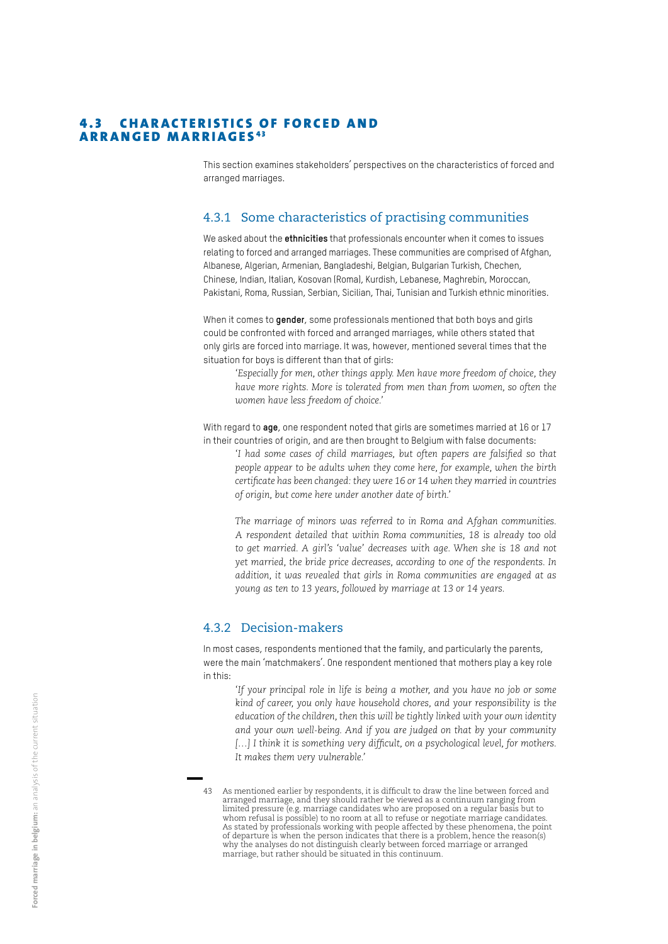#### **4.3 CHARACTERISTICS OF FORCED AND ARRANGED MARRIAGES<sup>43</sup>**

This section examines stakeholders' perspectives on the characteristics of forced and arranged marriages.

#### 4.3.1 Some characteristics of practising communities

We asked about the **ethnicities** that professionals encounter when it comes to issues relating to forced and arranged marriages. These communities are comprised of Afghan, Albanese, Algerian, Armenian, Bangladeshi, Belgian, Bulgarian Turkish, Chechen, Chinese, Indian, Italian, Kosovan (Roma), Kurdish, Lebanese, Maghrebin, Moroccan, Pakistani, Roma, Russian, Serbian, Sicilian, Thai, Tunisian and Turkish ethnic minorities.

When it comes to **gender**, some professionals mentioned that both boys and girls could be confronted with forced and arranged marriages, while others stated that only girls are forced into marriage. It was, however, mentioned several times that the situation for boys is different than that of girls:

*'Especially for men, other things apply. Men have more freedom of choice, they have more rights. More is tolerated from men than from women, so often the women have less freedom of choice.'* 

With regard to **age**, one respondent noted that girls are sometimes married at 16 or 17 in their countries of origin, and are then brought to Belgium with false documents:

*'I had some cases of child marriages, but often papers are falsified so that people appear to be adults when they come here, for example, when the birth certificate has been changed: they were 16 or 14 when they married in countries of origin, but come here under another date of birth.'* 

*The marriage of minors was referred to in Roma and Afghan communities. A respondent detailed that within Roma communities, 18 is already too old to get married. A girl's 'value' decreases with age. When she is 18 and not yet married, the bride price decreases, according to one of the respondents. In addition, it was revealed that girls in Roma communities are engaged at as young as ten to 13 years, followed by marriage at 13 or 14 years.* 

#### 4.3.2 Decision-makers

In most cases, respondents mentioned that the family, and particularly the parents, were the main 'matchmakers'. One respondent mentioned that mothers play a key role in this:

*'If your principal role in life is being a mother, and you have no job or some kind of career, you only have household chores, and your responsibility is the education of the children, then this will be tightly linked with your own identity and your own well-being. And if you are judged on that by your community […] I think it is something very difficult, on a psychological level, for mothers. It makes them very vulnerable.'* 

<sup>43</sup> As mentioned earlier by respondents, it is difficult to draw the line between forced and arranged marriage, and they should rather be viewed as a continuum ranging from limited pressure (e.g. marriage candidates who are proposed on a regular basis but to whom refusal is possible) to no room at all to refuse or negotiate marriage candidates. As stated by professionals working with people affected by these phenomena, the point of departure is when the person indicates that there is a problem, hence the reason(s) why the analyses do not distinguish clearly between forced marriage or arranged marriage, but rather should be situated in this continuum.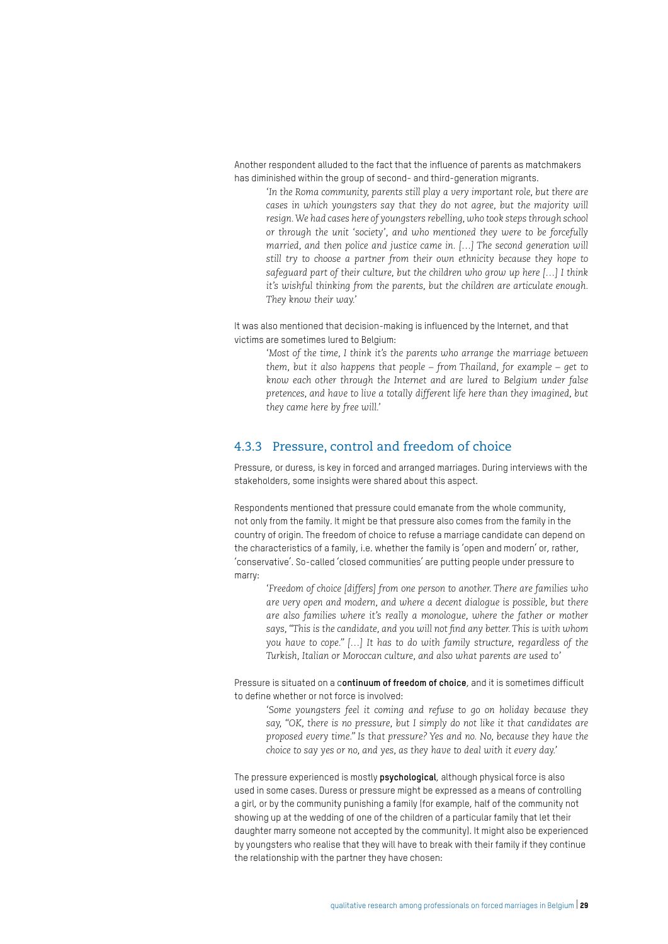Another respondent alluded to the fact that the influence of parents as matchmakers has diminished within the group of second- and third-generation migrants.

*'In the Roma community, parents still play a very important role, but there are cases in which youngsters say that they do not agree, but the majority will resign. We had cases here of youngsters rebelling, who took steps through school or through the unit 'society', and who mentioned they were to be forcefully married, and then police and justice came in. […] The second generation will still try to choose a partner from their own ethnicity because they hope to safeguard part of their culture, but the children who grow up here […] I think it's wishful thinking from the parents, but the children are articulate enough. They know their way.'* 

It was also mentioned that decision-making is influenced by the Internet, and that victims are sometimes lured to Belgium:

*'Most of the time, I think it's the parents who arrange the marriage between them, but it also happens that people – from Thailand, for example – get to know each other through the Internet and are lured to Belgium under false pretences, and have to live a totally different life here than they imagined, but they came here by free will.'* 

#### 4.3.3 Pressure, control and freedom of choice

Pressure, or duress, is key in forced and arranged marriages. During interviews with the stakeholders, some insights were shared about this aspect.

Respondents mentioned that pressure could emanate from the whole community, not only from the family. It might be that pressure also comes from the family in the country of origin. The freedom of choice to refuse a marriage candidate can depend on the characteristics of a family, i.e. whether the family is 'open and modern' or, rather, 'conservative'. So-called 'closed communities' are putting people under pressure to marry:

*'Freedom of choice [differs] from one person to another. There are families who are very open and modern, and where a decent dialogue is possible, but there are also families where it's really a monologue, where the father or mother says, "This is the candidate, and you will not find any better. This is with whom you have to cope." […] It has to do with family structure, regardless of the Turkish, Italian or Moroccan culture, and also what parents are used to'*

Pressure is situated on a c**ontinuum of freedom of choice**, and it is sometimes difficult to define whether or not force is involved:

*'Some youngsters feel it coming and refuse to go on holiday because they say, "OK, there is no pressure, but I simply do not like it that candidates are proposed every time." Is that pressure? Yes and no. No, because they have the choice to say yes or no, and yes, as they have to deal with it every day.'*

The pressure experienced is mostly **psychological**, although physical force is also used in some cases. Duress or pressure might be expressed as a means of controlling a girl, or by the community punishing a family (for example, half of the community not showing up at the wedding of one of the children of a particular family that let their daughter marry someone not accepted by the community). It might also be experienced by youngsters who realise that they will have to break with their family if they continue the relationship with the partner they have chosen: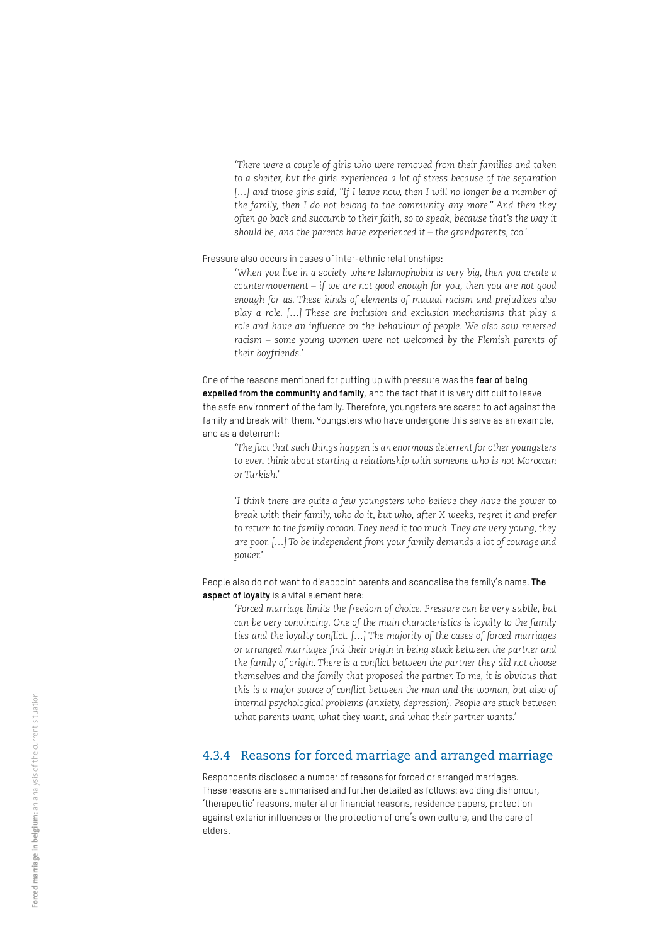*'There were a couple of girls who were removed from their families and taken to a shelter, but the girls experienced a lot of stress because of the separation*  [...] and those girls said, "If I leave now, then I will no longer be a member of *the family, then I do not belong to the community any more." And then they often go back and succumb to their faith, so to speak, because that's the way it should be, and the parents have experienced it – the grandparents, too.'*

Pressure also occurs in cases of inter-ethnic relationships:

*'When you live in a society where Islamophobia is very big, then you create a countermovement – if we are not good enough for you, then you are not good enough for us. These kinds of elements of mutual racism and prejudices also play a role. […] These are inclusion and exclusion mechanisms that play a role and have an influence on the behaviour of people. We also saw reversed racism – some young women were not welcomed by the Flemish parents of their boyfriends.'*

One of the reasons mentioned for putting up with pressure was the **fear of being expelled from the community and family**, and the fact that it is very difficult to leave the safe environment of the family. Therefore, youngsters are scared to act against the family and break with them. Youngsters who have undergone this serve as an example, and as a deterrent:

*'The fact that such things happen is an enormous deterrent for other youngsters to even think about starting a relationship with someone who is not Moroccan or Turkish.'* 

*'I think there are quite a few youngsters who believe they have the power to break with their family, who do it, but who, after X weeks, regret it and prefer*  to return to the family cocoon. They need it too much. They are very young, they *are poor. […] To be independent from your family demands a lot of courage and power.'*

People also do not want to disappoint parents and scandalise the family's name. **The aspect of loyalty** is a vital element here:

> *'Forced marriage limits the freedom of choice. Pressure can be very subtle, but can be very convincing. One of the main characteristics is loyalty to the family ties and the loyalty conflict. […] The majority of the cases of forced marriages or arranged marriages find their origin in being stuck between the partner and the family of origin. There is a conflict between the partner they did not choose themselves and the family that proposed the partner. To me, it is obvious that this is a major source of conflict between the man and the woman, but also of internal psychological problems (anxiety, depression). People are stuck between what parents want, what they want, and what their partner wants.'*

#### 4.3.4 Reasons for forced marriage and arranged marriage

Respondents disclosed a number of reasons for forced or arranged marriages. These reasons are summarised and further detailed as follows: avoiding dishonour, 'therapeutic' reasons, material or financial reasons, residence papers, protection against exterior influences or the protection of one's own culture, and the care of elders.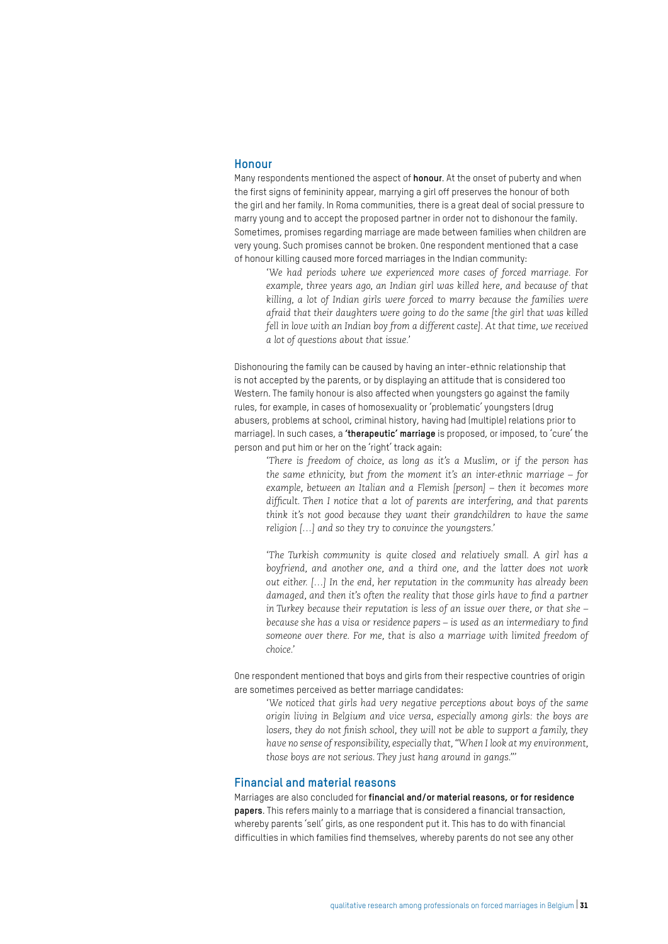#### **Honour**

Many respondents mentioned the aspect of **honour**. At the onset of puberty and when the first signs of femininity appear, marrying a girl off preserves the honour of both the girl and her family. In Roma communities, there is a great deal of social pressure to marry young and to accept the proposed partner in order not to dishonour the family. Sometimes, promises regarding marriage are made between families when children are very young. Such promises cannot be broken. One respondent mentioned that a case of honour killing caused more forced marriages in the Indian community:

*'We had periods where we experienced more cases of forced marriage. For example, three years ago, an Indian girl was killed here, and because of that killing, a lot of Indian girls were forced to marry because the families were afraid that their daughters were going to do the same [the girl that was killed fell in love with an Indian boy from a different caste]. At that time, we received a lot of questions about that issue.'* 

Dishonouring the family can be caused by having an inter-ethnic relationship that is not accepted by the parents, or by displaying an attitude that is considered too Western. The family honour is also affected when youngsters go against the family rules, for example, in cases of homosexuality or 'problematic' youngsters (drug abusers, problems at school, criminal history, having had (multiple) relations prior to marriage). In such cases, a **'therapeutic' marriage** is proposed, or imposed, to 'cure' the person and put him or her on the 'right' track again:

*'There is freedom of choice, as long as it's a Muslim, or if the person has the same ethnicity, but from the moment it's an inter-ethnic marriage – for example, between an Italian and a Flemish [person] – then it becomes more difficult. Then I notice that a lot of parents are interfering, and that parents think it's not good because they want their grandchildren to have the same religion […] and so they try to convince the youngsters.'*

*'The Turkish community is quite closed and relatively small. A girl has a boyfriend, and another one, and a third one, and the latter does not work out either. […] In the end, her reputation in the community has already been damaged, and then it's often the reality that those girls have to find a partner in Turkey because their reputation is less of an issue over there, or that she – because she has a visa or residence papers – is used as an intermediary to find someone over there. For me, that is also a marriage with limited freedom of choice.'*

One respondent mentioned that boys and girls from their respective countries of origin are sometimes perceived as better marriage candidates:

*'We noticed that girls had very negative perceptions about boys of the same origin living in Belgium and vice versa, especially among girls: the boys are losers, they do not finish school, they will not be able to support a family, they have no sense of responsibility, especially that, "When I look at my environment, those boys are not serious. They just hang around in gangs."'*

#### **Financial and material reasons**

Marriages are also concluded for **financial and/or material reasons, or for residence papers**. This refers mainly to a marriage that is considered a financial transaction, whereby parents 'sell' girls, as one respondent put it. This has to do with financial difficulties in which families find themselves, whereby parents do not see any other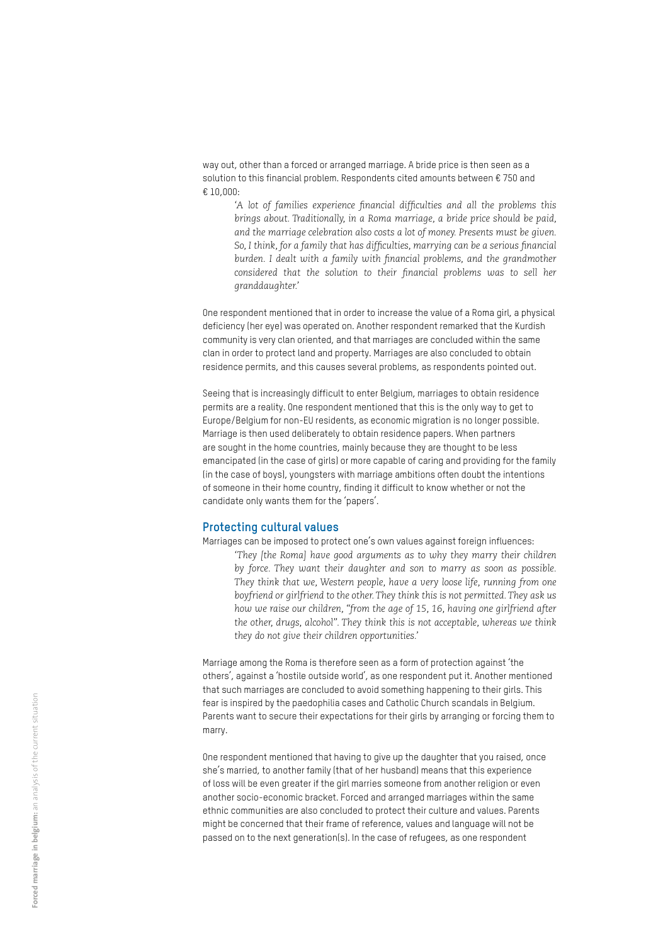way out, other than a forced or arranged marriage. A bride price is then seen as a solution to this financial problem. Respondents cited amounts between € 750 and € 10,000:

*'A lot of families experience financial difficulties and all the problems this brings about. Traditionally, in a Roma marriage, a bride price should be paid, and the marriage celebration also costs a lot of money. Presents must be given. So, I think, for a family that has difficulties, marrying can be a serious financial burden. I dealt with a family with financial problems, and the grandmother considered that the solution to their financial problems was to sell her granddaughter.'* 

One respondent mentioned that in order to increase the value of a Roma girl, a physical deficiency (her eye) was operated on. Another respondent remarked that the Kurdish community is very clan oriented, and that marriages are concluded within the same clan in order to protect land and property. Marriages are also concluded to obtain residence permits, and this causes several problems, as respondents pointed out.

Seeing that is increasingly difficult to enter Belgium, marriages to obtain residence permits are a reality. One respondent mentioned that this is the only way to get to Europe/Belgium for non-EU residents, as economic migration is no longer possible. Marriage is then used deliberately to obtain residence papers. When partners are sought in the home countries, mainly because they are thought to be less emancipated (in the case of girls) or more capable of caring and providing for the family (in the case of boys), youngsters with marriage ambitions often doubt the intentions of someone in their home country, finding it difficult to know whether or not the candidate only wants them for the 'papers'.

#### **Protecting cultural values**

Marriages can be imposed to protect one's own values against foreign influences: *'They [the Roma] have good arguments as to why they marry their children by force. They want their daughter and son to marry as soon as possible. They think that we, Western people, have a very loose life, running from one boyfriend or girlfriend to the other. They think this is not permitted. They ask us how we raise our children, "from the age of 15, 16, having one girlfriend after the other, drugs, alcohol". They think this is not acceptable, whereas we think they do not give their children opportunities.'*

Marriage among the Roma is therefore seen as a form of protection against 'the others', against a 'hostile outside world', as one respondent put it. Another mentioned that such marriages are concluded to avoid something happening to their girls. This fear is inspired by the paedophilia cases and Catholic Church scandals in Belgium. Parents want to secure their expectations for their girls by arranging or forcing them to marry.

One respondent mentioned that having to give up the daughter that you raised, once she's married, to another family (that of her husband) means that this experience of loss will be even greater if the girl marries someone from another religion or even another socio-economic bracket. Forced and arranged marriages within the same ethnic communities are also concluded to protect their culture and values. Parents might be concerned that their frame of reference, values and language will not be passed on to the next generation(s). In the case of refugees, as one respondent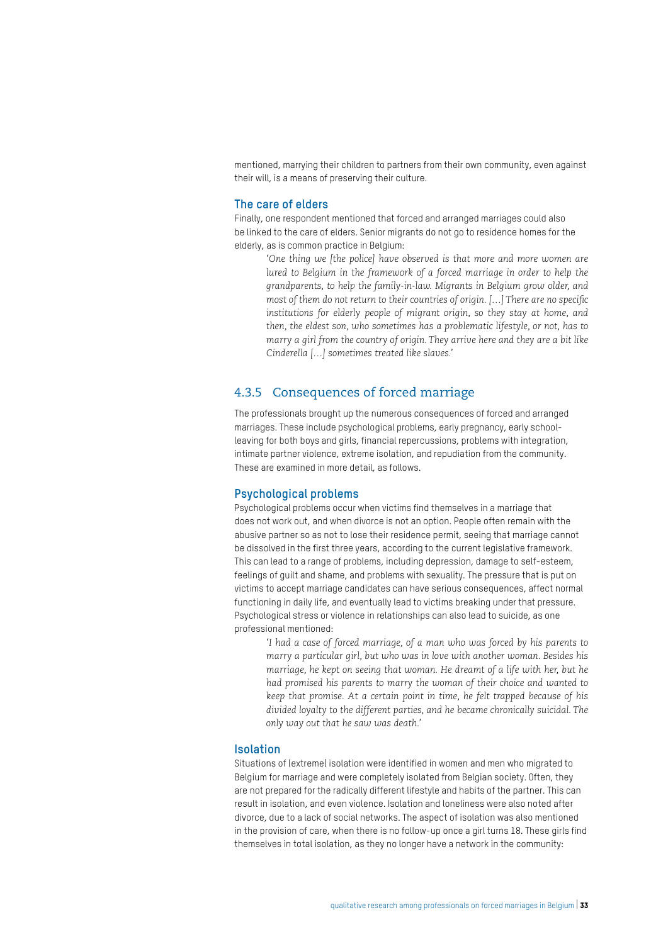mentioned, marrying their children to partners from their own community, even against their will, is a means of preserving their culture.

#### **The care of elders**

Finally, one respondent mentioned that forced and arranged marriages could also be linked to the care of elders. Senior migrants do not go to residence homes for the elderly, as is common practice in Belgium:

*'One thing we [the police] have observed is that more and more women are lured to Belgium in the framework of a forced marriage in order to help the grandparents, to help the family-in-law. Migrants in Belgium grow older, and most of them do not return to their countries of origin. […] There are no specific institutions for elderly people of migrant origin, so they stay at home, and then, the eldest son, who sometimes has a problematic lifestyle, or not, has to marry a girl from the country of origin. They arrive here and they are a bit like Cinderella […] sometimes treated like slaves.'* 

#### 4.3.5 Consequences of forced marriage

The professionals brought up the numerous consequences of forced and arranged marriages. These include psychological problems, early pregnancy, early schoolleaving for both boys and girls, financial repercussions, problems with integration, intimate partner violence, extreme isolation, and repudiation from the community. These are examined in more detail, as follows.

#### **Psychological problems**

Psychological problems occur when victims find themselves in a marriage that does not work out, and when divorce is not an option. People often remain with the abusive partner so as not to lose their residence permit, seeing that marriage cannot be dissolved in the first three years, according to the current legislative framework. This can lead to a range of problems, including depression, damage to self-esteem, feelings of guilt and shame, and problems with sexuality. The pressure that is put on victims to accept marriage candidates can have serious consequences, affect normal functioning in daily life, and eventually lead to victims breaking under that pressure. Psychological stress or violence in relationships can also lead to suicide, as one professional mentioned:

*'I had a case of forced marriage, of a man who was forced by his parents to marry a particular girl, but who was in love with another woman. Besides his marriage, he kept on seeing that woman. He dreamt of a life with her, but he had promised his parents to marry the woman of their choice and wanted to keep that promise. At a certain point in time, he felt trapped because of his divided loyalty to the different parties, and he became chronically suicidal. The only way out that he saw was death.'* 

#### **Isolation**

Situations of (extreme) isolation were identified in women and men who migrated to Belgium for marriage and were completely isolated from Belgian society. Often, they are not prepared for the radically different lifestyle and habits of the partner. This can result in isolation, and even violence. Isolation and loneliness were also noted after divorce, due to a lack of social networks. The aspect of isolation was also mentioned in the provision of care, when there is no follow-up once a girl turns 18. These girls find themselves in total isolation, as they no longer have a network in the community: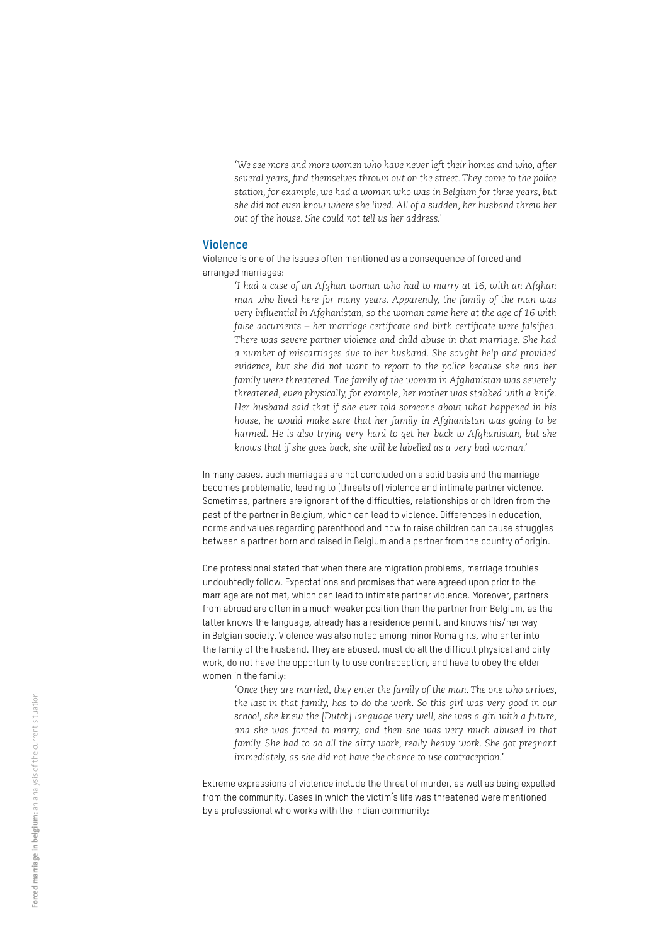*'We see more and more women who have never left their homes and who, after several years, find themselves thrown out on the street. They come to the police station, for example, we had a woman who was in Belgium for three years, but she did not even know where she lived. All of a sudden, her husband threw her out of the house. She could not tell us her address.'* 

#### **Violence**

Violence is one of the issues often mentioned as a consequence of forced and arranged marriages:

> *'I had a case of an Afghan woman who had to marry at 16, with an Afghan man who lived here for many years. Apparently, the family of the man was very influential in Afghanistan, so the woman came here at the age of 16 with false documents – her marriage certificate and birth certificate were falsified. There was severe partner violence and child abuse in that marriage. She had a number of miscarriages due to her husband. She sought help and provided evidence, but she did not want to report to the police because she and her family were threatened. The family of the woman in Afghanistan was severely threatened, even physically, for example, her mother was stabbed with a knife. Her husband said that if she ever told someone about what happened in his house, he would make sure that her family in Afghanistan was going to be harmed. He is also trying very hard to get her back to Afghanistan, but she knows that if she goes back, she will be labelled as a very bad woman.'*

In many cases, such marriages are not concluded on a solid basis and the marriage becomes problematic, leading to (threats of) violence and intimate partner violence. Sometimes, partners are ignorant of the difficulties, relationships or children from the past of the partner in Belgium, which can lead to violence. Differences in education, norms and values regarding parenthood and how to raise children can cause struggles between a partner born and raised in Belgium and a partner from the country of origin.

One professional stated that when there are migration problems, marriage troubles undoubtedly follow. Expectations and promises that were agreed upon prior to the marriage are not met, which can lead to intimate partner violence. Moreover, partners from abroad are often in a much weaker position than the partner from Belgium, as the latter knows the language, already has a residence permit, and knows his/her way in Belgian society. Violence was also noted among minor Roma girls, who enter into the family of the husband. They are abused, must do all the difficult physical and dirty work, do not have the opportunity to use contraception, and have to obey the elder women in the family:

*'Once they are married, they enter the family of the man. The one who arrives, the last in that family, has to do the work. So this girl was very good in our school, she knew the [Dutch] language very well, she was a girl with a future, and she was forced to marry, and then she was very much abused in that*  family. She had to do all the dirty work, really heavy work. She got pregnant *immediately, as she did not have the chance to use contraception.'*

Extreme expressions of violence include the threat of murder, as well as being expelled from the community. Cases in which the victim's life was threatened were mentioned by a professional who works with the Indian community: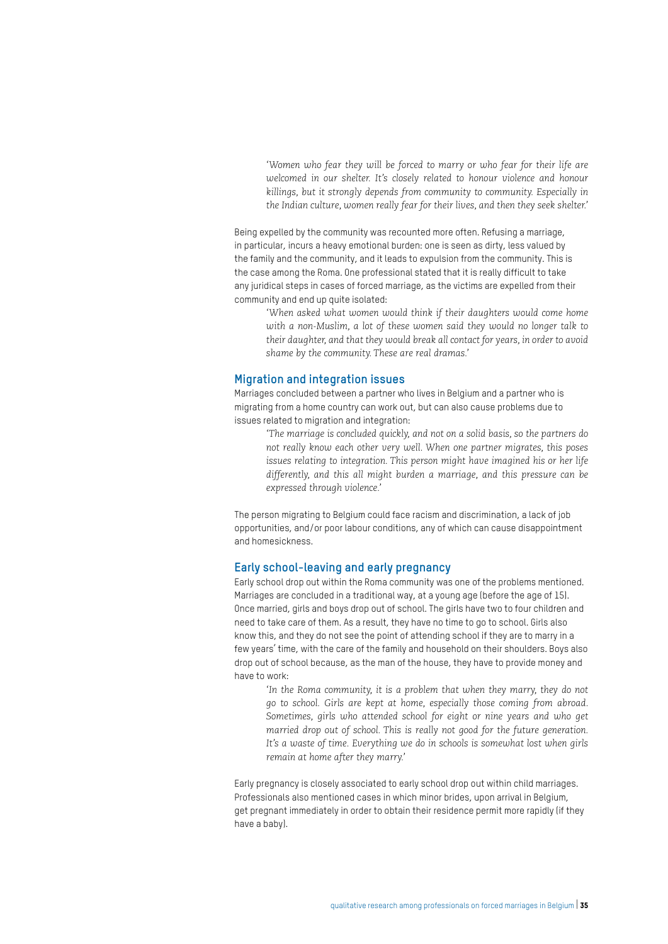*'Women who fear they will be forced to marry or who fear for their life are welcomed in our shelter. It's closely related to honour violence and honour killings, but it strongly depends from community to community. Especially in the Indian culture, women really fear for their lives, and then they seek shelter.'*

Being expelled by the community was recounted more often. Refusing a marriage, in particular, incurs a heavy emotional burden: one is seen as dirty, less valued by the family and the community, and it leads to expulsion from the community. This is the case among the Roma. One professional stated that it is really difficult to take any juridical steps in cases of forced marriage, as the victims are expelled from their community and end up quite isolated:

*'When asked what women would think if their daughters would come home with a non-Muslim, a lot of these women said they would no longer talk to their daughter, and that they would break all contact for years, in order to avoid shame by the community. These are real dramas.'*

#### **Migration and integration issues**

Marriages concluded between a partner who lives in Belgium and a partner who is migrating from a home country can work out, but can also cause problems due to issues related to migration and integration:

*'The marriage is concluded quickly, and not on a solid basis, so the partners do not really know each other very well. When one partner migrates, this poses issues relating to integration. This person might have imagined his or her life differently, and this all might burden a marriage, and this pressure can be expressed through violence.'* 

The person migrating to Belgium could face racism and discrimination, a lack of job opportunities, and/or poor labour conditions, any of which can cause disappointment and homesickness.

#### **Early school-leaving and early pregnancy**

Early school drop out within the Roma community was one of the problems mentioned. Marriages are concluded in a traditional way, at a young age (before the age of 15). Once married, girls and boys drop out of school. The girls have two to four children and need to take care of them. As a result, they have no time to go to school. Girls also know this, and they do not see the point of attending school if they are to marry in a few years' time, with the care of the family and household on their shoulders. Boys also drop out of school because, as the man of the house, they have to provide money and have to work:

*'In the Roma community, it is a problem that when they marry, they do not go to school. Girls are kept at home, especially those coming from abroad. Sometimes, girls who attended school for eight or nine years and who get married drop out of school. This is really not good for the future generation.*  It's a waste of time. Everything we do in schools is somewhat lost when girls *remain at home after they marry.'* 

Early pregnancy is closely associated to early school drop out within child marriages. Professionals also mentioned cases in which minor brides, upon arrival in Belgium, get pregnant immediately in order to obtain their residence permit more rapidly (if they have a baby).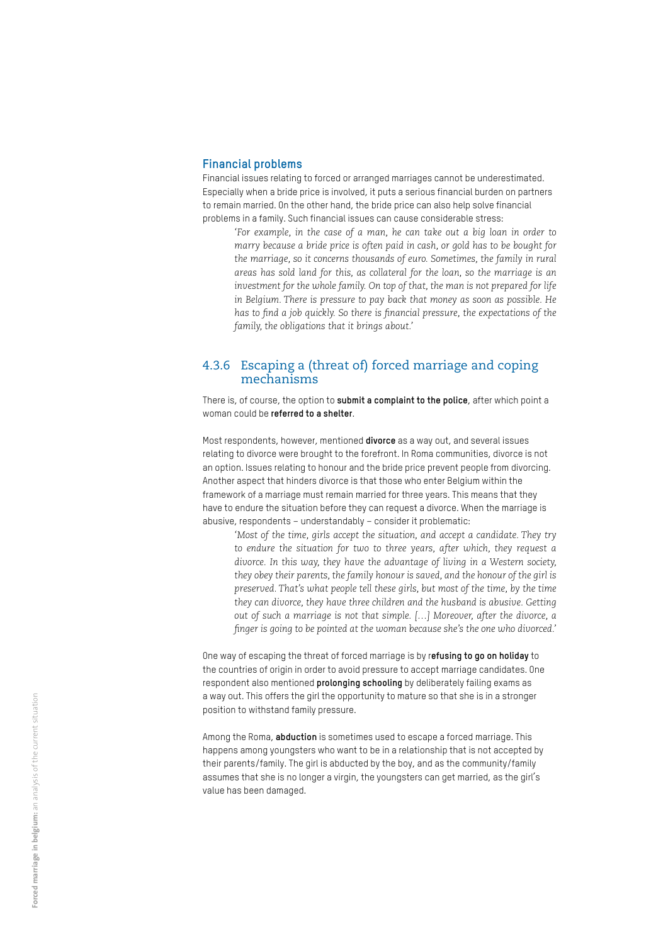#### **Financial problems**

Financial issues relating to forced or arranged marriages cannot be underestimated. Especially when a bride price is involved, it puts a serious financial burden on partners to remain married. On the other hand, the bride price can also help solve financial problems in a family. Such financial issues can cause considerable stress:

*'For example, in the case of a man, he can take out a big loan in order to marry because a bride price is often paid in cash, or gold has to be bought for the marriage, so it concerns thousands of euro. Sometimes, the family in rural areas has sold land for this, as collateral for the loan, so the marriage is an investment for the whole family. On top of that, the man is not prepared for life in Belgium. There is pressure to pay back that money as soon as possible. He has to find a job quickly. So there is financial pressure, the expectations of the family, the obligations that it brings about.'*

#### 4.3.6 Escaping a (threat of) forced marriage and coping mechanisms

There is, of course, the option to **submit a complaint to the police**, after which point a woman could be **referred to a shelter**.

Most respondents, however, mentioned **divorce** as a way out, and several issues relating to divorce were brought to the forefront. In Roma communities, divorce is not an option. Issues relating to honour and the bride price prevent people from divorcing. Another aspect that hinders divorce is that those who enter Belgium within the framework of a marriage must remain married for three years. This means that they have to endure the situation before they can request a divorce. When the marriage is abusive, respondents – understandably – consider it problematic:

*'Most of the time, girls accept the situation, and accept a candidate. They try to endure the situation for two to three years, after which, they request a divorce. In this way, they have the advantage of living in a Western society, they obey their parents, the family honour is saved, and the honour of the girl is preserved. That's what people tell these girls, but most of the time, by the time they can divorce, they have three children and the husband is abusive. Getting out of such a marriage is not that simple. […] Moreover, after the divorce, a finger is going to be pointed at the woman because she's the one who divorced.'* 

One way of escaping the threat of forced marriage is by r**efusing to go on holiday** to the countries of origin in order to avoid pressure to accept marriage candidates. One respondent also mentioned **prolonging schooling** by deliberately failing exams as a way out. This offers the girl the opportunity to mature so that she is in a stronger position to withstand family pressure.

Among the Roma, **abduction** is sometimes used to escape a forced marriage. This happens among youngsters who want to be in a relationship that is not accepted by their parents/family. The girl is abducted by the boy, and as the community/family assumes that she is no longer a virgin, the youngsters can get married, as the girl's value has been damaged.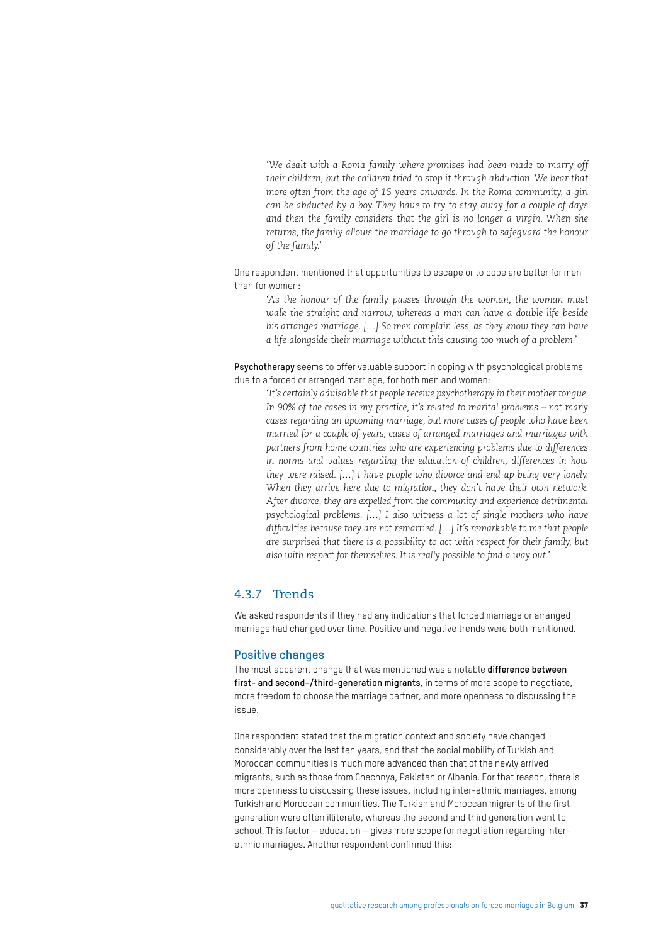*'We dealt with a Roma family where promises had been made to marry off their children, but the children tried to stop it through abduction. We hear that more often from the age of 15 years onwards. In the Roma community, a girl can be abducted by a boy. They have to try to stay away for a couple of days and then the family considers that the girl is no longer a virgin. When she returns, the family allows the marriage to go through to safeguard the honour of the family.'* 

One respondent mentioned that opportunities to escape or to cope are better for men than for women:

*'As the honour of the family passes through the woman, the woman must walk the straight and narrow, whereas a man can have a double life beside his arranged marriage. […] So men complain less, as they know they can have a life alongside their marriage without this causing too much of a problem.'* 

**Psychotherapy** seems to offer valuable support in coping with psychological problems due to a forced or arranged marriage, for both men and women:

*'It's certainly advisable that people receive psychotherapy in their mother tongue. In 90% of the cases in my practice, it's related to marital problems – not many cases regarding an upcoming marriage, but more cases of people who have been married for a couple of years, cases of arranged marriages and marriages with partners from home countries who are experiencing problems due to differences in norms and values regarding the education of children, differences in how they were raised. […] I have people who divorce and end up being very lonely. When they arrive here due to migration, they don't have their own network. After divorce, they are expelled from the community and experience detrimental psychological problems. […] I also witness a lot of single mothers who have difficulties because they are not remarried. […] It's remarkable to me that people are surprised that there is a possibility to act with respect for their family, but also with respect for themselves. It is really possible to find a way out.'* 

#### 4.3.7 Trends

We asked respondents if they had any indications that forced marriage or arranged marriage had changed over time. Positive and negative trends were both mentioned.

#### **Positive changes**

The most apparent change that was mentioned was a notable **difference between first- and second-/third-generation migrants**, in terms of more scope to negotiate, more freedom to choose the marriage partner, and more openness to discussing the issue.

One respondent stated that the migration context and society have changed considerably over the last ten years, and that the social mobility of Turkish and Moroccan communities is much more advanced than that of the newly arrived migrants, such as those from Chechnya, Pakistan or Albania. For that reason, there is more openness to discussing these issues, including inter-ethnic marriages, among Turkish and Moroccan communities. The Turkish and Moroccan migrants of the first generation were often illiterate, whereas the second and third generation went to school. This factor – education – gives more scope for negotiation regarding interethnic marriages. Another respondent confirmed this: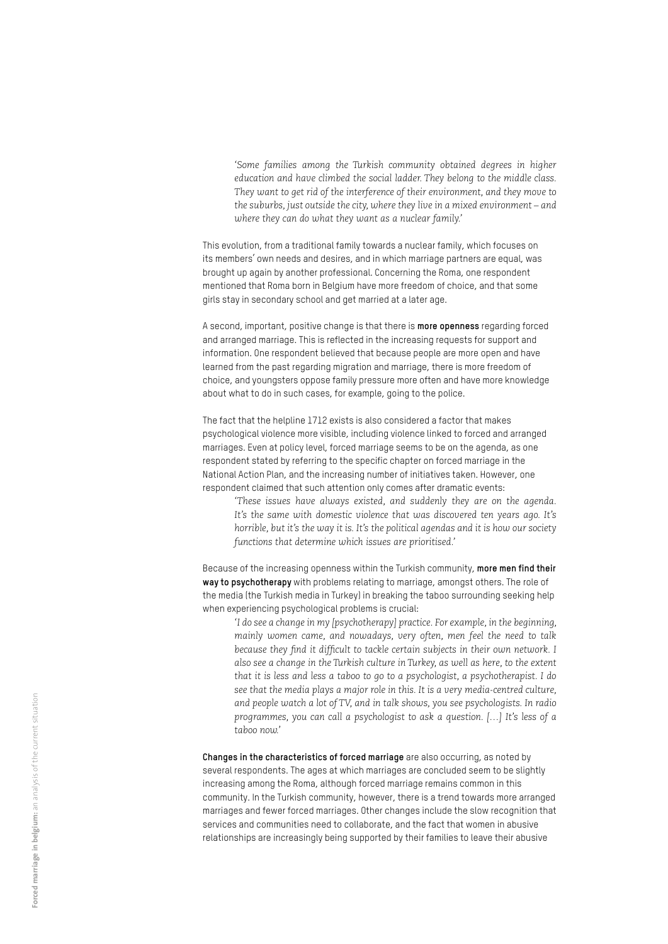*'Some families among the Turkish community obtained degrees in higher education and have climbed the social ladder. They belong to the middle class. They want to get rid of the interference of their environment, and they move to the suburbs, just outside the city, where they live in a mixed environment – and where they can do what they want as a nuclear family.'* 

This evolution, from a traditional family towards a nuclear family, which focuses on its members' own needs and desires, and in which marriage partners are equal, was brought up again by another professional. Concerning the Roma, one respondent mentioned that Roma born in Belgium have more freedom of choice, and that some girls stay in secondary school and get married at a later age.

A second, important, positive change is that there is **more openness** regarding forced and arranged marriage. This is reflected in the increasing requests for support and information. One respondent believed that because people are more open and have learned from the past regarding migration and marriage, there is more freedom of choice, and youngsters oppose family pressure more often and have more knowledge about what to do in such cases, for example, going to the police.

The fact that the helpline 1712 exists is also considered a factor that makes psychological violence more visible, including violence linked to forced and arranged marriages. Even at policy level, forced marriage seems to be on the agenda, as one respondent stated by referring to the specific chapter on forced marriage in the National Action Plan, and the increasing number of initiatives taken. However, one respondent claimed that such attention only comes after dramatic events:

*'These issues have always existed, and suddenly they are on the agenda. It's the same with domestic violence that was discovered ten years ago. It's horrible, but it's the way it is. It's the political agendas and it is how our society functions that determine which issues are prioritised.'*

Because of the increasing openness within the Turkish community, **more men find their way to psychotherapy** with problems relating to marriage, amongst others. The role of the media (the Turkish media in Turkey) in breaking the taboo surrounding seeking help when experiencing psychological problems is crucial:

*'I do see a change in my [psychotherapy] practice. For example, in the beginning, mainly women came, and nowadays, very often, men feel the need to talk because they find it difficult to tackle certain subjects in their own network. I also see a change in the Turkish culture in Turkey, as well as here, to the extent that it is less and less a taboo to go to a psychologist, a psychotherapist. I do see that the media plays a major role in this. It is a very media-centred culture, and people watch a lot of TV, and in talk shows, you see psychologists. In radio programmes, you can call a psychologist to ask a question. […] It's less of a taboo now.'* 

**Changes in the characteristics of forced marriage** are also occurring, as noted by several respondents. The ages at which marriages are concluded seem to be slightly increasing among the Roma, although forced marriage remains common in this community. In the Turkish community, however, there is a trend towards more arranged marriages and fewer forced marriages. Other changes include the slow recognition that services and communities need to collaborate, and the fact that women in abusive relationships are increasingly being supported by their families to leave their abusive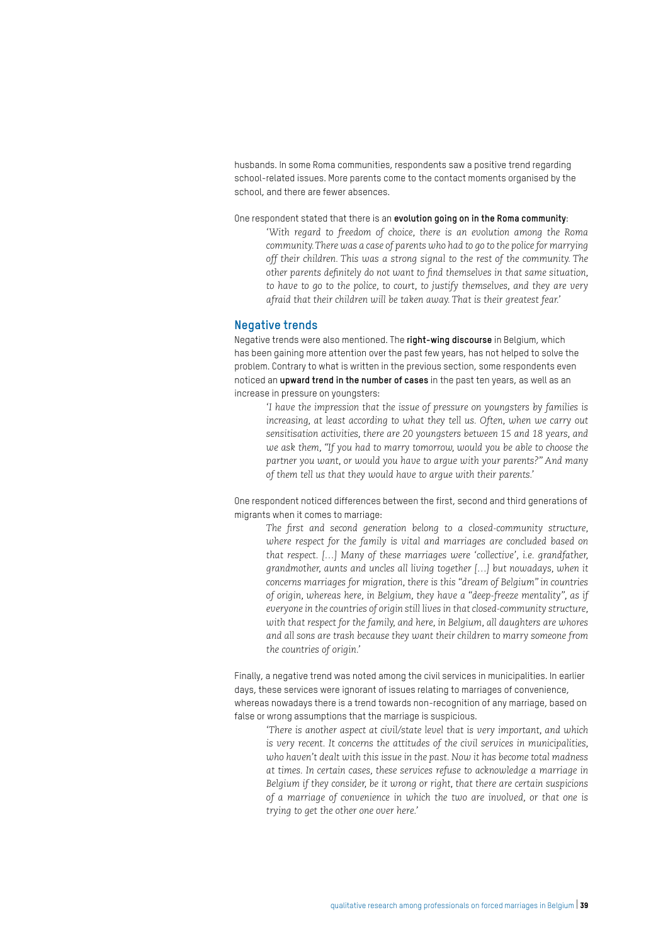husbands. In some Roma communities, respondents saw a positive trend regarding school-related issues. More parents come to the contact moments organised by the school, and there are fewer absences.

One respondent stated that there is an **evolution going on in the Roma community**:

*'With regard to freedom of choice, there is an evolution among the Roma community. There was a case of parents who had to go to the police for marrying off their children. This was a strong signal to the rest of the community. The other parents definitely do not want to find themselves in that same situation, to have to go to the police, to court, to justify themselves, and they are very afraid that their children will be taken away. That is their greatest fear.'* 

#### **Negative trends**

Negative trends were also mentioned. The **right-wing discourse** in Belgium, which has been gaining more attention over the past few years, has not helped to solve the problem. Contrary to what is written in the previous section, some respondents even noticed an **upward trend in the number of cases** in the past ten years, as well as an increase in pressure on youngsters:

*'I have the impression that the issue of pressure on youngsters by families is*  increasing, at least according to what they tell us. Often, when we carry out *sensitisation activities, there are 20 youngsters between 15 and 18 years, and we ask them, "If you had to marry tomorrow, would you be able to choose the partner you want, or would you have to argue with your parents?" And many of them tell us that they would have to argue with their parents.'* 

One respondent noticed differences between the first, second and third generations of migrants when it comes to marriage:

*The first and second generation belong to a closed-community structure, where respect for the family is vital and marriages are concluded based on that respect. […] Many of these marriages were 'collective', i.e. grandfather, grandmother, aunts and uncles all living together […] but nowadays, when it concerns marriages for migration, there is this "dream of Belgium" in countries of origin, whereas here, in Belgium, they have a "deep-freeze mentality", as if everyone in the countries of origin still lives in that closed-community structure, with that respect for the family, and here, in Belgium, all daughters are whores and all sons are trash because they want their children to marry someone from the countries of origin.'* 

Finally, a negative trend was noted among the civil services in municipalities. In earlier days, these services were ignorant of issues relating to marriages of convenience, whereas nowadays there is a trend towards non-recognition of any marriage, based on false or wrong assumptions that the marriage is suspicious.

*'There is another aspect at civil/state level that is very important, and which is very recent. It concerns the attitudes of the civil services in municipalities, who haven't dealt with this issue in the past. Now it has become total madness at times. In certain cases, these services refuse to acknowledge a marriage in Belgium if they consider, be it wrong or right, that there are certain suspicions of a marriage of convenience in which the two are involved, or that one is trying to get the other one over here.'*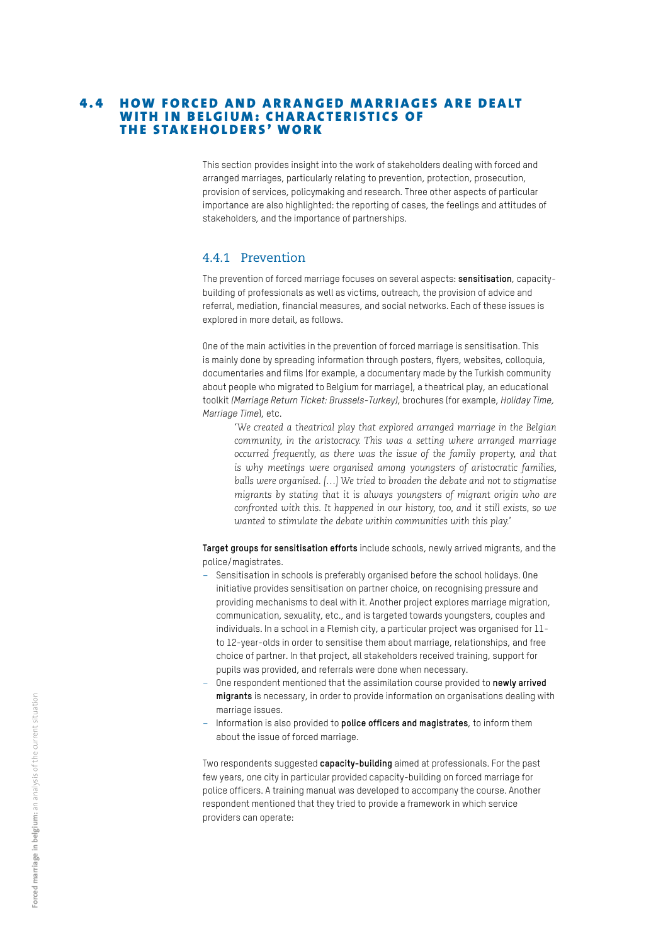#### **4.4 HOW FORCED AND ARRANGED MARRIAGES ARE DEALT** WITH IN BELGIUM: CHARACTERISTICS OF THE STAKEHOLDERS' WORK

This section provides insight into the work of stakeholders dealing with forced and arranged marriages, particularly relating to prevention, protection, prosecution, provision of services, policymaking and research. Three other aspects of particular importance are also highlighted: the reporting of cases, the feelings and attitudes of stakeholders, and the importance of partnerships.

#### 4.4.1 Prevention

The prevention of forced marriage focuses on several aspects: **sensitisation**, capacitybuilding of professionals as well as victims, outreach, the provision of advice and referral, mediation, financial measures, and social networks. Each of these issues is explored in more detail, as follows.

One of the main activities in the prevention of forced marriage is sensitisation. This is mainly done by spreading information through posters, flyers, websites, colloquia, documentaries and films (for example, a documentary made by the Turkish community about people who migrated to Belgium for marriage), a theatrical play, an educational toolkit *(Marriage Return Ticket: Brussels-Turkey)*, brochures (for example, *Holiday Time, Marriage Time*), etc.

*'We created a theatrical play that explored arranged marriage in the Belgian community, in the aristocracy. This was a setting where arranged marriage occurred frequently, as there was the issue of the family property, and that is why meetings were organised among youngsters of aristocratic families, balls were organised. […] We tried to broaden the debate and not to stigmatise migrants by stating that it is always youngsters of migrant origin who are confronted with this. It happened in our history, too, and it still exists, so we wanted to stimulate the debate within communities with this play.'*

**Target groups for sensitisation efforts** include schools, newly arrived migrants, and the police/magistrates.

- Sensitisation in schools is preferably organised before the school holidays. One initiative provides sensitisation on partner choice, on recognising pressure and providing mechanisms to deal with it. Another project explores marriage migration, communication, sexuality, etc., and is targeted towards youngsters, couples and individuals. In a school in a Flemish city, a particular project was organised for 11 to 12-year-olds in order to sensitise them about marriage, relationships, and free choice of partner. In that project, all stakeholders received training, support for pupils was provided, and referrals were done when necessary.
- One respondent mentioned that the assimilation course provided to **newly arrived migrants** is necessary, in order to provide information on organisations dealing with marriage issues.
- Information is also provided to **police officers and magistrates**, to inform them about the issue of forced marriage.

Two respondents suggested **capacity-building** aimed at professionals. For the past few years, one city in particular provided capacity-building on forced marriage for police officers. A training manual was developed to accompany the course. Another respondent mentioned that they tried to provide a framework in which service providers can operate: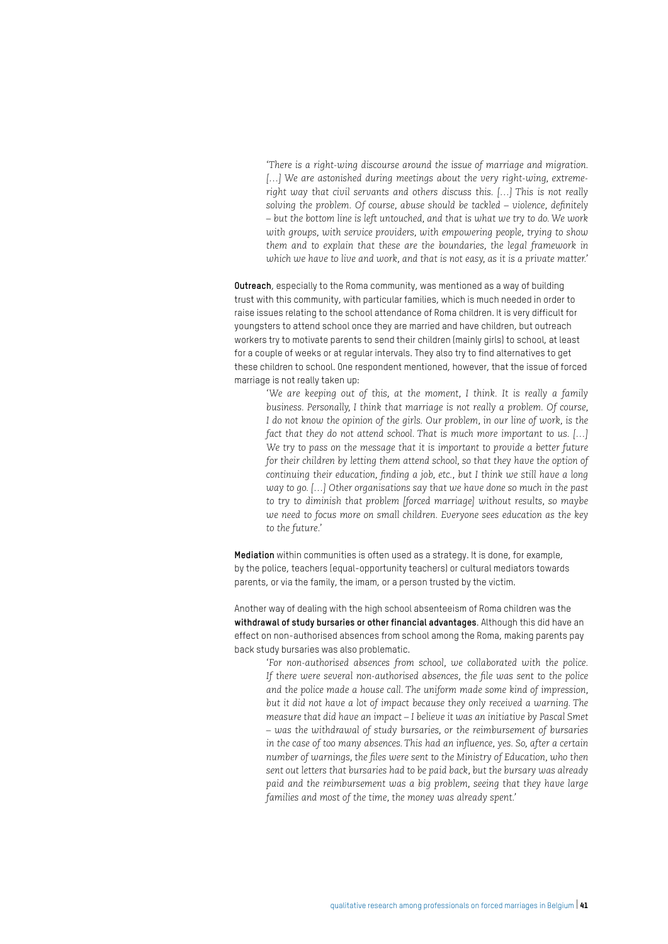*'There is a right-wing discourse around the issue of marriage and migration.*  [...] We are astonished during meetings about the very right-wing, extreme*right way that civil servants and others discuss this. […] This is not really solving the problem. Of course, abuse should be tackled – violence, definitely – but the bottom line is left untouched, and that is what we try to do. We work with groups, with service providers, with empowering people, trying to show them and to explain that these are the boundaries, the legal framework in which we have to live and work, and that is not easy, as it is a private matter.'*

**Outreach**, especially to the Roma community, was mentioned as a way of building trust with this community, with particular families, which is much needed in order to raise issues relating to the school attendance of Roma children. It is very difficult for youngsters to attend school once they are married and have children, but outreach workers try to motivate parents to send their children (mainly girls) to school, at least for a couple of weeks or at regular intervals. They also try to find alternatives to get these children to school. One respondent mentioned, however, that the issue of forced marriage is not really taken up:

*'We are keeping out of this, at the moment, I think. It is really a family business. Personally, I think that marriage is not really a problem. Of course, I do not know the opinion of the girls. Our problem, in our line of work, is the fact that they do not attend school. That is much more important to us. […]*  We try to pass on the message that it is important to provide a better future *for their children by letting them attend school, so that they have the option of continuing their education, finding a job, etc., but I think we still have a long way to go. […] Other organisations say that we have done so much in the past to try to diminish that problem [forced marriage] without results, so maybe we need to focus more on small children. Everyone sees education as the key to the future.'*

**Mediation** within communities is often used as a strategy. It is done, for example, by the police, teachers (equal-opportunity teachers) or cultural mediators towards parents, or via the family, the imam, or a person trusted by the victim.

Another way of dealing with the high school absenteeism of Roma children was the **withdrawal of study bursaries or other financial advantages**. Although this did have an effect on non-authorised absences from school among the Roma, making parents pay back study bursaries was also problematic.

*'For non-authorised absences from school, we collaborated with the police. If there were several non-authorised absences, the file was sent to the police and the police made a house call. The uniform made some kind of impression, but it did not have a lot of impact because they only received a warning. The measure that did have an impact – I believe it was an initiative by Pascal Smet – was the withdrawal of study bursaries, or the reimbursement of bursaries in the case of too many absences. This had an influence, yes. So, after a certain number of warnings, the files were sent to the Ministry of Education, who then sent out letters that bursaries had to be paid back, but the bursary was already paid and the reimbursement was a big problem, seeing that they have large families and most of the time, the money was already spent.'*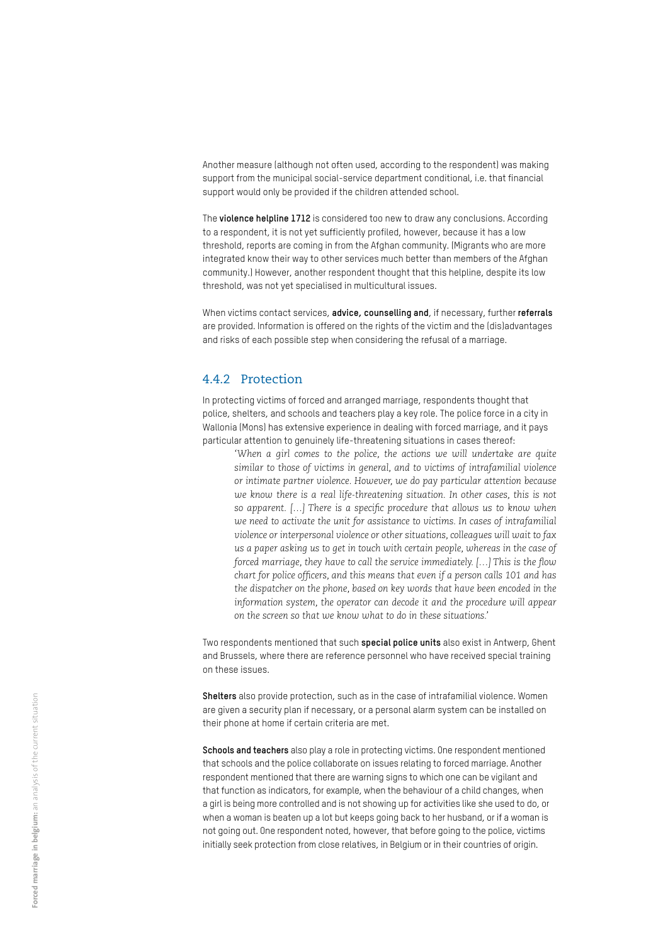Another measure (although not often used, according to the respondent) was making support from the municipal social-service department conditional, i.e. that financial support would only be provided if the children attended school.

The **violence helpline 1712** is considered too new to draw any conclusions. According to a respondent, it is not yet sufficiently profiled, however, because it has a low threshold, reports are coming in from the Afghan community. (Migrants who are more integrated know their way to other services much better than members of the Afghan community.) However, another respondent thought that this helpline, despite its low threshold, was not yet specialised in multicultural issues.

When victims contact services, **advice, counselling and**, if necessary, further **referrals** are provided. Information is offered on the rights of the victim and the (dis)advantages and risks of each possible step when considering the refusal of a marriage.

#### 4.4.2 Protection

In protecting victims of forced and arranged marriage, respondents thought that police, shelters, and schools and teachers play a key role. The police force in a city in Wallonia (Mons) has extensive experience in dealing with forced marriage, and it pays particular attention to genuinely life-threatening situations in cases thereof:

*'When a girl comes to the police, the actions we will undertake are quite similar to those of victims in general, and to victims of intrafamilial violence or intimate partner violence. However, we do pay particular attention because we know there is a real life-threatening situation. In other cases, this is not so apparent. […] There is a specific procedure that allows us to know when we need to activate the unit for assistance to victims. In cases of intrafamilial violence or interpersonal violence or other situations, colleagues will wait to fax us a paper asking us to get in touch with certain people, whereas in the case of forced marriage, they have to call the service immediately. […] This is the flow chart for police officers, and this means that even if a person calls 101 and has the dispatcher on the phone, based on key words that have been encoded in the information system, the operator can decode it and the procedure will appear on the screen so that we know what to do in these situations.'* 

Two respondents mentioned that such **special police units** also exist in Antwerp, Ghent and Brussels, where there are reference personnel who have received special training on these issues.

**Shelters** also provide protection, such as in the case of intrafamilial violence. Women are given a security plan if necessary, or a personal alarm system can be installed on their phone at home if certain criteria are met.

**Schools and teachers** also play a role in protecting victims. One respondent mentioned that schools and the police collaborate on issues relating to forced marriage. Another respondent mentioned that there are warning signs to which one can be vigilant and that function as indicators, for example, when the behaviour of a child changes, when a girl is being more controlled and is not showing up for activities like she used to do, or when a woman is beaten up a lot but keeps going back to her husband, or if a woman is not going out. One respondent noted, however, that before going to the police, victims initially seek protection from close relatives, in Belgium or in their countries of origin.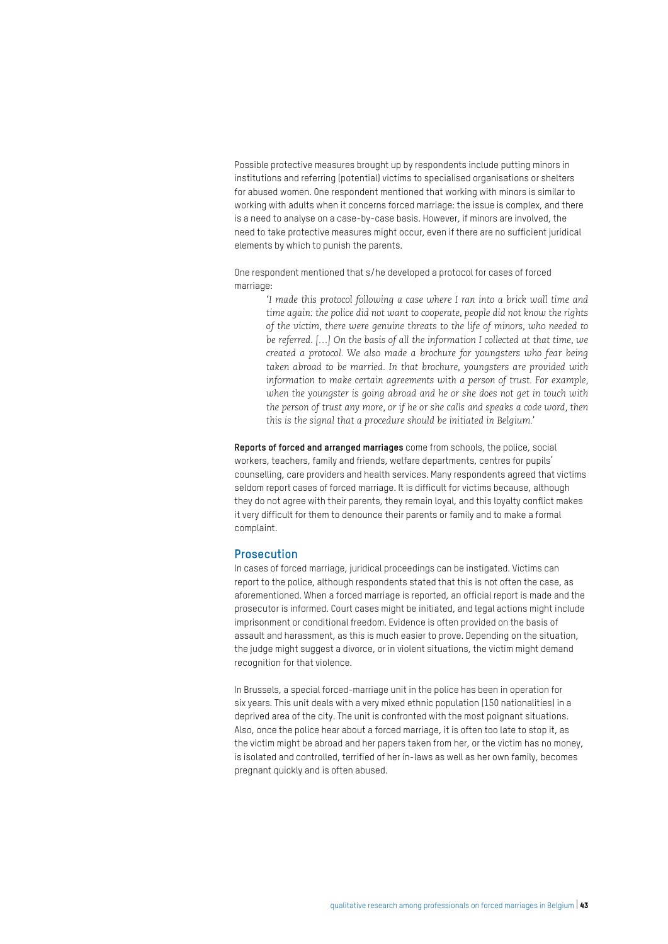Possible protective measures brought up by respondents include putting minors in institutions and referring (potential) victims to specialised organisations or shelters for abused women. One respondent mentioned that working with minors is similar to working with adults when it concerns forced marriage: the issue is complex, and there is a need to analyse on a case-by-case basis. However, if minors are involved, the need to take protective measures might occur, even if there are no sufficient juridical elements by which to punish the parents.

One respondent mentioned that s/he developed a protocol for cases of forced marriage:

*'I made this protocol following a case where I ran into a brick wall time and time again: the police did not want to cooperate, people did not know the rights of the victim, there were genuine threats to the life of minors, who needed to be referred. […] On the basis of all the information I collected at that time, we created a protocol. We also made a brochure for youngsters who fear being taken abroad to be married. In that brochure, youngsters are provided with information to make certain agreements with a person of trust. For example, when the youngster is going abroad and he or she does not get in touch with the person of trust any more, or if he or she calls and speaks a code word, then this is the signal that a procedure should be initiated in Belgium.'* 

**Reports of forced and arranged marriages** come from schools, the police, social workers, teachers, family and friends, welfare departments, centres for pupils' counselling, care providers and health services. Many respondents agreed that victims seldom report cases of forced marriage. It is difficult for victims because, although they do not agree with their parents, they remain loyal, and this loyalty conflict makes it very difficult for them to denounce their parents or family and to make a formal complaint.

#### **Prosecution**

In cases of forced marriage, juridical proceedings can be instigated. Victims can report to the police, although respondents stated that this is not often the case, as aforementioned. When a forced marriage is reported, an official report is made and the prosecutor is informed. Court cases might be initiated, and legal actions might include imprisonment or conditional freedom. Evidence is often provided on the basis of assault and harassment, as this is much easier to prove. Depending on the situation, the judge might suggest a divorce, or in violent situations, the victim might demand recognition for that violence.

In Brussels, a special forced-marriage unit in the police has been in operation for six years. This unit deals with a very mixed ethnic population (150 nationalities) in a deprived area of the city. The unit is confronted with the most poignant situations. Also, once the police hear about a forced marriage, it is often too late to stop it, as the victim might be abroad and her papers taken from her, or the victim has no money, is isolated and controlled, terrified of her in-laws as well as her own family, becomes pregnant quickly and is often abused.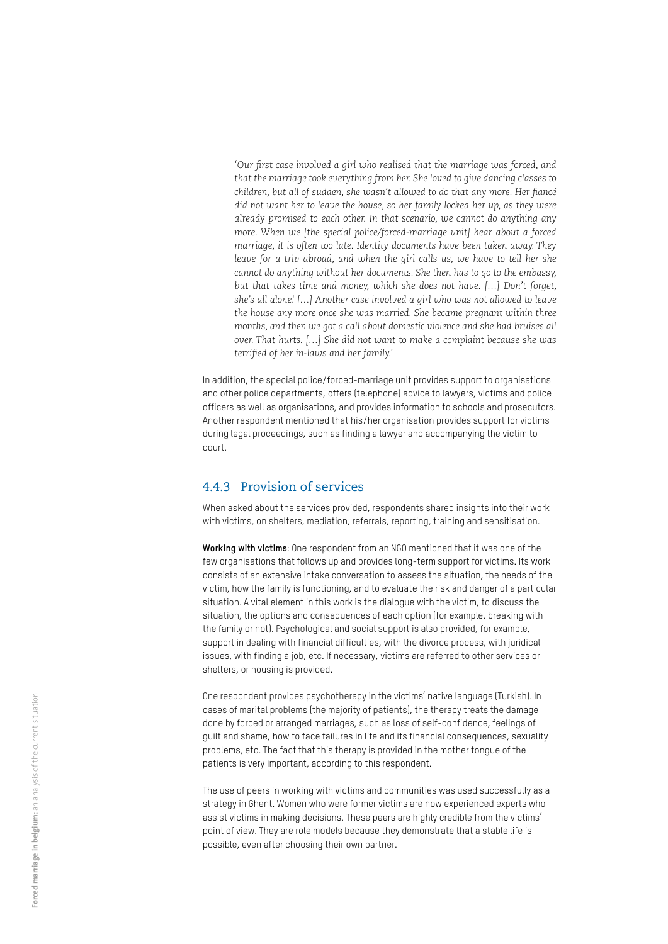*'Our first case involved a girl who realised that the marriage was forced, and that the marriage took everything from her. She loved to give dancing classes to children, but all of sudden, she wasn't allowed to do that any more. Her fiancé did not want her to leave the house, so her family locked her up, as they were already promised to each other. In that scenario, we cannot do anything any more. When we [the special police/forced-marriage unit] hear about a forced marriage, it is often too late. Identity documents have been taken away. They leave for a trip abroad, and when the girl calls us, we have to tell her she cannot do anything without her documents. She then has to go to the embassy, but that takes time and money, which she does not have. […] Don't forget, she's all alone! […] Another case involved a girl who was not allowed to leave the house any more once she was married. She became pregnant within three months, and then we got a call about domestic violence and she had bruises all over. That hurts. […] She did not want to make a complaint because she was terrified of her in-laws and her family.'*

In addition, the special police/forced-marriage unit provides support to organisations and other police departments, offers (telephone) advice to lawyers, victims and police officers as well as organisations, and provides information to schools and prosecutors. Another respondent mentioned that his/her organisation provides support for victims during legal proceedings, such as finding a lawyer and accompanying the victim to court.

#### 4.4.3 Provision of services

When asked about the services provided, respondents shared insights into their work with victims, on shelters, mediation, referrals, reporting, training and sensitisation.

**Working with victims**: One respondent from an NGO mentioned that it was one of the few organisations that follows up and provides long-term support for victims. Its work consists of an extensive intake conversation to assess the situation, the needs of the victim, how the family is functioning, and to evaluate the risk and danger of a particular situation. A vital element in this work is the dialogue with the victim, to discuss the situation, the options and consequences of each option (for example, breaking with the family or not). Psychological and social support is also provided, for example, support in dealing with financial difficulties, with the divorce process, with juridical issues, with finding a job, etc. If necessary, victims are referred to other services or shelters, or housing is provided.

One respondent provides psychotherapy in the victims' native language (Turkish). In cases of marital problems (the majority of patients), the therapy treats the damage done by forced or arranged marriages, such as loss of self-confidence, feelings of guilt and shame, how to face failures in life and its financial consequences, sexuality problems, etc. The fact that this therapy is provided in the mother tongue of the patients is very important, according to this respondent.

The use of peers in working with victims and communities was used successfully as a strategy in Ghent. Women who were former victims are now experienced experts who assist victims in making decisions. These peers are highly credible from the victims' point of view. They are role models because they demonstrate that a stable life is possible, even after choosing their own partner.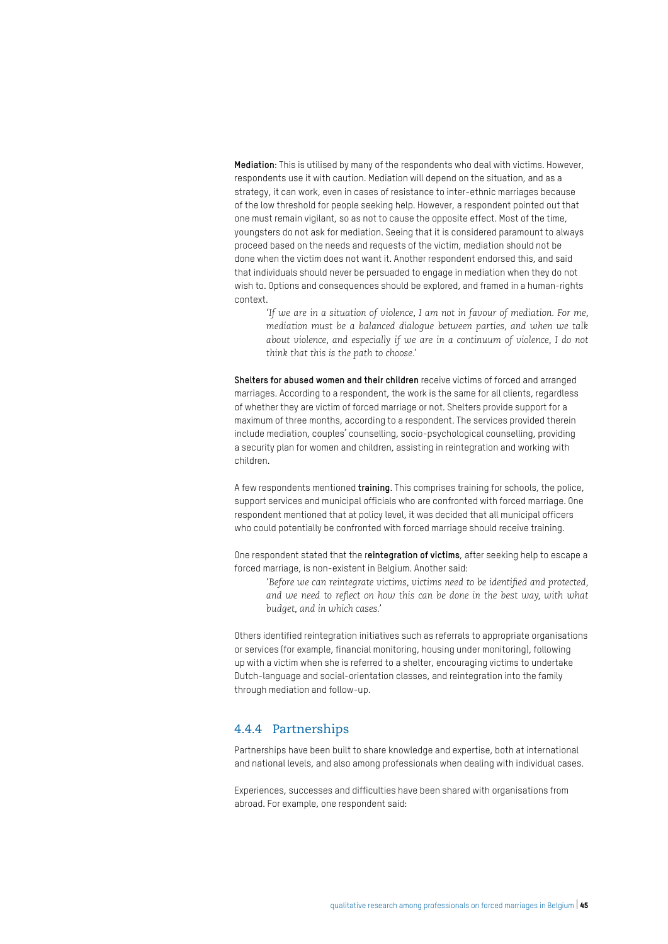**Mediation**: This is utilised by many of the respondents who deal with victims. However, respondents use it with caution. Mediation will depend on the situation, and as a strategy, it can work, even in cases of resistance to inter-ethnic marriages because of the low threshold for people seeking help. However, a respondent pointed out that one must remain vigilant, so as not to cause the opposite effect. Most of the time, youngsters do not ask for mediation. Seeing that it is considered paramount to always proceed based on the needs and requests of the victim, mediation should not be done when the victim does not want it. Another respondent endorsed this, and said that individuals should never be persuaded to engage in mediation when they do not wish to. Options and consequences should be explored, and framed in a human-rights context.

*'If we are in a situation of violence, I am not in favour of mediation. For me, mediation must be a balanced dialogue between parties, and when we talk about violence, and especially if we are in a continuum of violence, I do not think that this is the path to choose.'* 

**Shelters for abused women and their children** receive victims of forced and arranged marriages. According to a respondent, the work is the same for all clients, regardless of whether they are victim of forced marriage or not. Shelters provide support for a maximum of three months, according to a respondent. The services provided therein include mediation, couples' counselling, socio-psychological counselling, providing a security plan for women and children, assisting in reintegration and working with children.

A few respondents mentioned **training**. This comprises training for schools, the police, support services and municipal officials who are confronted with forced marriage. One respondent mentioned that at policy level, it was decided that all municipal officers who could potentially be confronted with forced marriage should receive training.

One respondent stated that the r**eintegration of victims**, after seeking help to escape a forced marriage, is non-existent in Belgium. Another said:

*'Before we can reintegrate victims, victims need to be identified and protected, and we need to reflect on how this can be done in the best way, with what budget, and in which cases.'* 

Others identified reintegration initiatives such as referrals to appropriate organisations or services (for example, financial monitoring, housing under monitoring), following up with a victim when she is referred to a shelter, encouraging victims to undertake Dutch-language and social-orientation classes, and reintegration into the family through mediation and follow-up.

#### 4.4.4 Partnerships

Partnerships have been built to share knowledge and expertise, both at international and national levels, and also among professionals when dealing with individual cases.

Experiences, successes and difficulties have been shared with organisations from abroad. For example, one respondent said: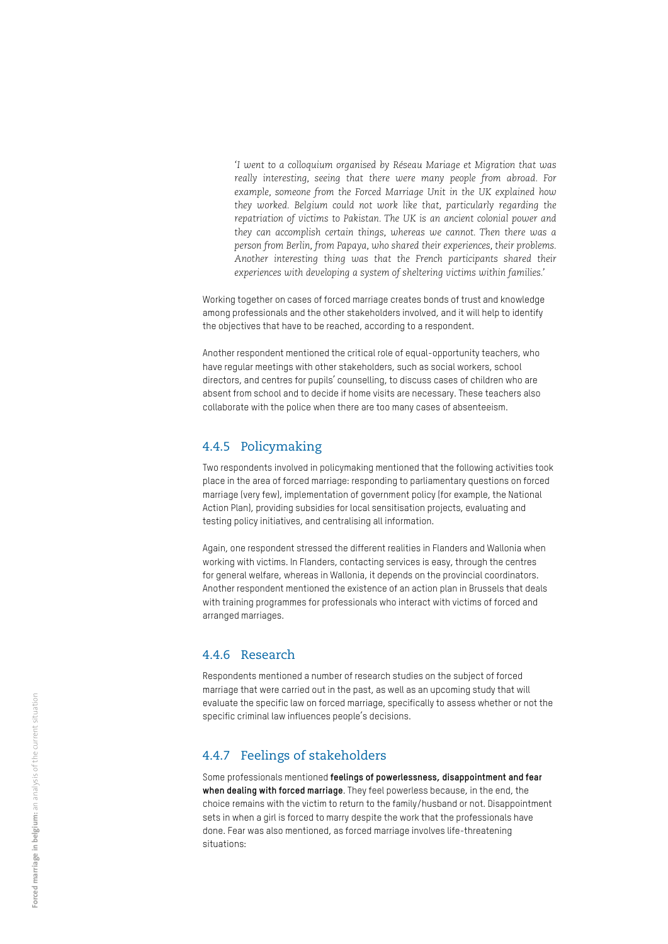*'I went to a colloquium organised by Réseau Mariage et Migration that was really interesting, seeing that there were many people from abroad. For example, someone from the Forced Marriage Unit in the UK explained how they worked. Belgium could not work like that, particularly regarding the repatriation of victims to Pakistan. The UK is an ancient colonial power and they can accomplish certain things, whereas we cannot. Then there was a person from Berlin, from Papaya, who shared their experiences, their problems. Another interesting thing was that the French participants shared their experiences with developing a system of sheltering victims within families.'* 

Working together on cases of forced marriage creates bonds of trust and knowledge among professionals and the other stakeholders involved, and it will help to identify the objectives that have to be reached, according to a respondent.

Another respondent mentioned the critical role of equal-opportunity teachers, who have regular meetings with other stakeholders, such as social workers, school directors, and centres for pupils' counselling, to discuss cases of children who are absent from school and to decide if home visits are necessary. These teachers also collaborate with the police when there are too many cases of absenteeism.

#### 4.4.5 Policymaking

Two respondents involved in policymaking mentioned that the following activities took place in the area of forced marriage: responding to parliamentary questions on forced marriage (very few), implementation of government policy (for example, the National Action Plan), providing subsidies for local sensitisation projects, evaluating and testing policy initiatives, and centralising all information.

Again, one respondent stressed the different realities in Flanders and Wallonia when working with victims. In Flanders, contacting services is easy, through the centres for general welfare, whereas in Wallonia, it depends on the provincial coordinators. Another respondent mentioned the existence of an action plan in Brussels that deals with training programmes for professionals who interact with victims of forced and arranged marriages.

#### 4.4.6 Research

Respondents mentioned a number of research studies on the subject of forced marriage that were carried out in the past, as well as an upcoming study that will evaluate the specific law on forced marriage, specifically to assess whether or not the specific criminal law influences people's decisions.

#### 4.4.7 Feelings of stakeholders

Some professionals mentioned **feelings of powerlessness, disappointment and fear when dealing with forced marriage**. They feel powerless because, in the end, the choice remains with the victim to return to the family/husband or not. Disappointment sets in when a girl is forced to marry despite the work that the professionals have done. Fear was also mentioned, as forced marriage involves life-threatening situations: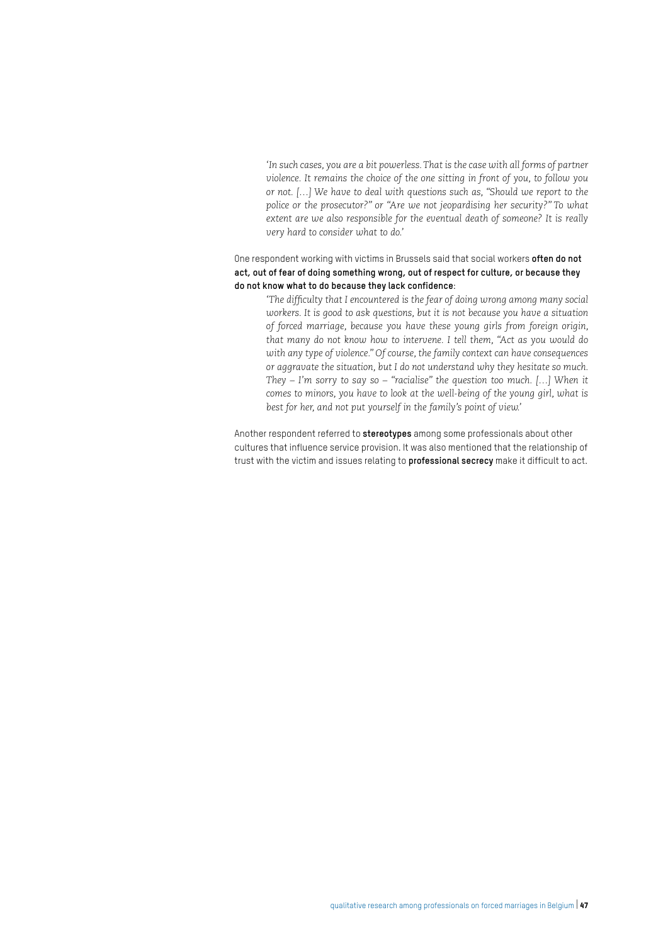*'In such cases, you are a bit powerless. That is the case with all forms of partner violence. It remains the choice of the one sitting in front of you, to follow you or not. […] We have to deal with questions such as, "Should we report to the police or the prosecutor?" or "Are we not jeopardising her security?" To what extent are we also responsible for the eventual death of someone? It is really very hard to consider what to do.'*

#### One respondent working with victims in Brussels said that social workers **often do not act, out of fear of doing something wrong, out of respect for culture, or because they do not know what to do because they lack confidence**:

*'The difficulty that I encountered is the fear of doing wrong among many social workers. It is good to ask questions, but it is not because you have a situation of forced marriage, because you have these young girls from foreign origin, that many do not know how to intervene. I tell them, "Act as you would do with any type of violence." Of course, the family context can have consequences or aggravate the situation, but I do not understand why they hesitate so much. They – I'm sorry to say so – "racialise" the question too much. […] When it comes to minors, you have to look at the well-being of the young girl, what is best for her, and not put yourself in the family's point of view.'* 

Another respondent referred to **stereotypes** among some professionals about other cultures that influence service provision. It was also mentioned that the relationship of trust with the victim and issues relating to **professional secrecy** make it difficult to act.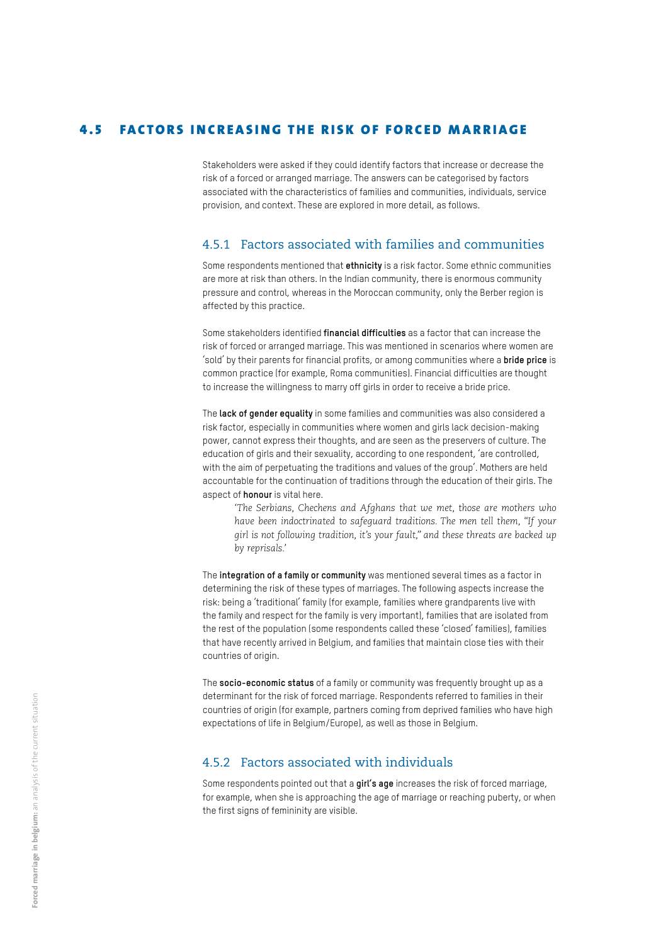#### 4.5 FACTORS INCREASING THE RISK OF FORCED MARRIAGE

Stakeholders were asked if they could identify factors that increase or decrease the risk of a forced or arranged marriage. The answers can be categorised by factors associated with the characteristics of families and communities, individuals, service provision, and context. These are explored in more detail, as follows.

#### 4.5.1 Factors associated with families and communities

Some respondents mentioned that **ethnicity** is a risk factor. Some ethnic communities are more at risk than others. In the Indian community, there is enormous community pressure and control, whereas in the Moroccan community, only the Berber region is affected by this practice.

Some stakeholders identified **financial difficulties** as a factor that can increase the risk of forced or arranged marriage. This was mentioned in scenarios where women are 'sold' by their parents for financial profits, or among communities where a **bride price** is common practice (for example, Roma communities). Financial difficulties are thought to increase the willingness to marry off girls in order to receive a bride price.

The **lack of gender equality** in some families and communities was also considered a risk factor, especially in communities where women and girls lack decision-making power, cannot express their thoughts, and are seen as the preservers of culture. The education of girls and their sexuality, according to one respondent, 'are controlled, with the aim of perpetuating the traditions and values of the group'. Mothers are held accountable for the continuation of traditions through the education of their girls. The aspect of **honour** is vital here.

*'The Serbians, Chechens and Afghans that we met, those are mothers who have been indoctrinated to safeguard traditions. The men tell them, "If your girl is not following tradition, it's your fault," and these threats are backed up by reprisals.'* 

The **integration of a family or community** was mentioned several times as a factor in determining the risk of these types of marriages. The following aspects increase the risk: being a 'traditional' family (for example, families where grandparents live with the family and respect for the family is very important), families that are isolated from the rest of the population (some respondents called these 'closed' families), families that have recently arrived in Belgium, and families that maintain close ties with their countries of origin.

The **socio-economic status** of a family or community was frequently brought up as a determinant for the risk of forced marriage. Respondents referred to families in their countries of origin (for example, partners coming from deprived families who have high expectations of life in Belgium/Europe), as well as those in Belgium.

#### 4.5.2 Factors associated with individuals

Some respondents pointed out that a **girl's age** increases the risk of forced marriage, for example, when she is approaching the age of marriage or reaching puberty, or when the first signs of femininity are visible.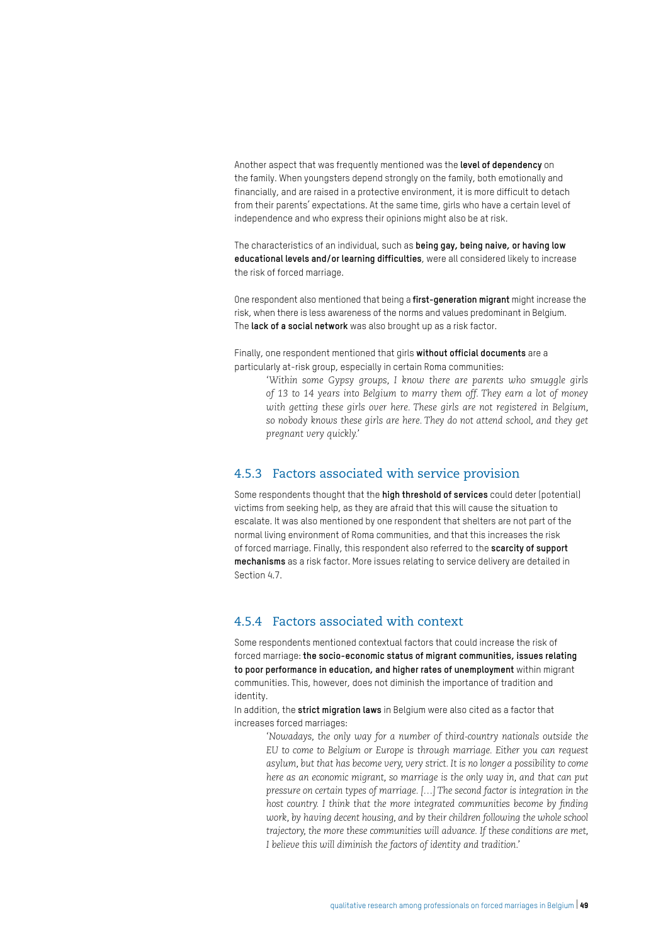Another aspect that was frequently mentioned was the **level of dependency** on the family. When youngsters depend strongly on the family, both emotionally and financially, and are raised in a protective environment, it is more difficult to detach from their parents' expectations. At the same time, girls who have a certain level of independence and who express their opinions might also be at risk.

The characteristics of an individual, such as **being gay, being naive, or having low educational levels and/or learning difficulties**, were all considered likely to increase the risk of forced marriage.

One respondent also mentioned that being a **first-generation migrant** might increase the risk, when there is less awareness of the norms and values predominant in Belgium. The **lack of a social network** was also brought up as a risk factor.

Finally, one respondent mentioned that girls **without official documents** are a particularly at-risk group, especially in certain Roma communities:

*'Within some Gypsy groups, I know there are parents who smuggle girls of 13 to 14 years into Belgium to marry them off. They earn a lot of money with getting these girls over here. These girls are not registered in Belgium, so nobody knows these girls are here. They do not attend school, and they get pregnant very quickly.'*

#### 4.5.3 Factors associated with service provision

Some respondents thought that the **high threshold of services** could deter (potential) victims from seeking help, as they are afraid that this will cause the situation to escalate. It was also mentioned by one respondent that shelters are not part of the normal living environment of Roma communities, and that this increases the risk of forced marriage. Finally, this respondent also referred to the **scarcity of support mechanisms** as a risk factor. More issues relating to service delivery are detailed in Section 4.7.

#### 4.5.4 Factors associated with context

Some respondents mentioned contextual factors that could increase the risk of forced marriage: **the socio-economic status of migrant communities, issues relating to poor performance in education, and higher rates of unemployment** within migrant communities. This, however, does not diminish the importance of tradition and identity.

In addition, the **strict migration laws** in Belgium were also cited as a factor that increases forced marriages:

*'Nowadays, the only way for a number of third-country nationals outside the EU to come to Belgium or Europe is through marriage. Either you can request asylum, but that has become very, very strict. It is no longer a possibility to come here as an economic migrant, so marriage is the only way in, and that can put pressure on certain types of marriage. […] The second factor is integration in the*  host country. I think that the more integrated communities become by finding *work, by having decent housing, and by their children following the whole school trajectory, the more these communities will advance. If these conditions are met, I believe this will diminish the factors of identity and tradition.'*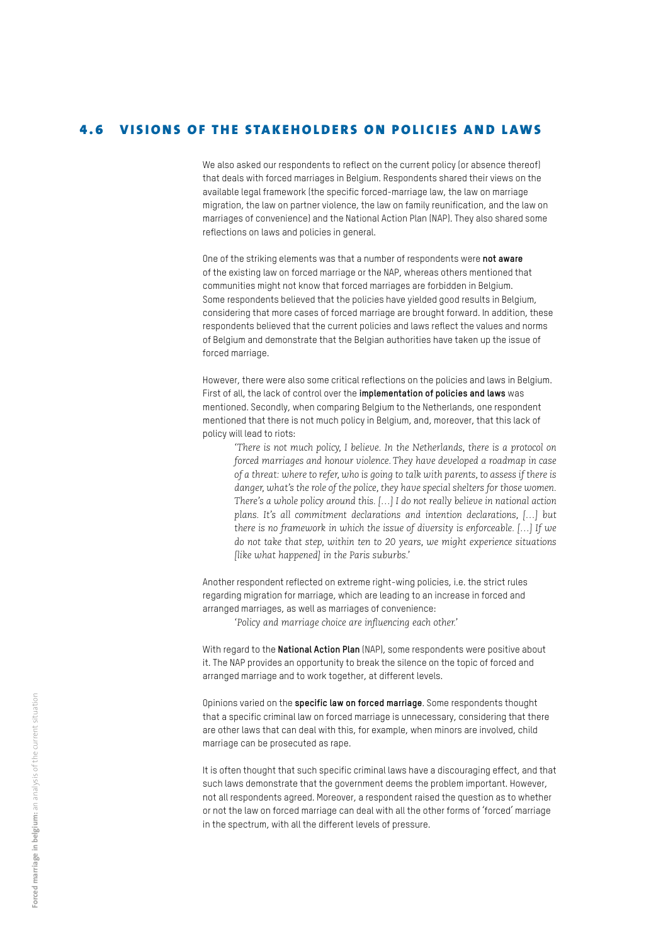#### 4.6 VISIONS OF THE STAKEHOLDERS ON POLICIES AND LAWS

We also asked our respondents to reflect on the current policy (or absence thereof) that deals with forced marriages in Belgium. Respondents shared their views on the available legal framework (the specific forced-marriage law, the law on marriage migration, the law on partner violence, the law on family reunification, and the law on marriages of convenience) and the National Action Plan (NAP). They also shared some reflections on laws and policies in general.

One of the striking elements was that a number of respondents were **not aware**  of the existing law on forced marriage or the NAP, whereas others mentioned that communities might not know that forced marriages are forbidden in Belgium. Some respondents believed that the policies have yielded good results in Belgium, considering that more cases of forced marriage are brought forward. In addition, these respondents believed that the current policies and laws reflect the values and norms of Belgium and demonstrate that the Belgian authorities have taken up the issue of forced marriage.

However, there were also some critical reflections on the policies and laws in Belgium. First of all, the lack of control over the **implementation of policies and laws** was mentioned. Secondly, when comparing Belgium to the Netherlands, one respondent mentioned that there is not much policy in Belgium, and, moreover, that this lack of policy will lead to riots:

*'There is not much policy, I believe. In the Netherlands, there is a protocol on forced marriages and honour violence. They have developed a roadmap in case of a threat: where to refer, who is going to talk with parents, to assess if there is danger, what's the role of the police, they have special shelters for those women. There's a whole policy around this. […] I do not really believe in national action plans. It's all commitment declarations and intention declarations, […] but there is no framework in which the issue of diversity is enforceable. […] If we do not take that step, within ten to 20 years, we might experience situations [like what happened] in the Paris suburbs.'* 

Another respondent reflected on extreme right-wing policies, i.e. the strict rules regarding migration for marriage, which are leading to an increase in forced and arranged marriages, as well as marriages of convenience:

*'Policy and marriage choice are influencing each other.'* 

With regard to the **National Action Plan** (NAP), some respondents were positive about it. The NAP provides an opportunity to break the silence on the topic of forced and arranged marriage and to work together, at different levels.

Opinions varied on the **specific law on forced marriage**. Some respondents thought that a specific criminal law on forced marriage is unnecessary, considering that there are other laws that can deal with this, for example, when minors are involved, child marriage can be prosecuted as rape.

It is often thought that such specific criminal laws have a discouraging effect, and that such laws demonstrate that the government deems the problem important. However, not all respondents agreed. Moreover, a respondent raised the question as to whether or not the law on forced marriage can deal with all the other forms of 'forced' marriage in the spectrum, with all the different levels of pressure.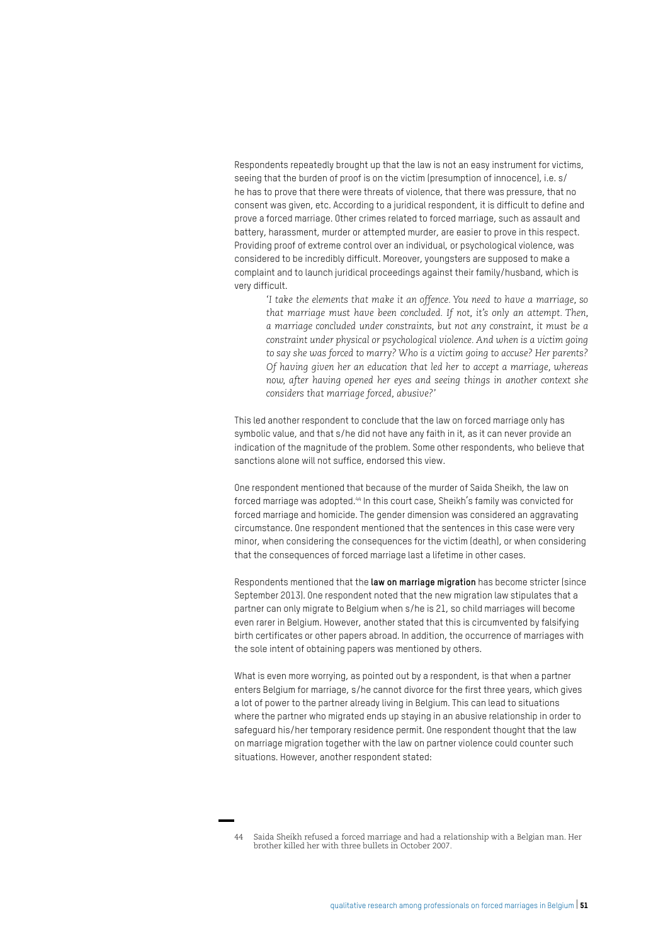Respondents repeatedly brought up that the law is not an easy instrument for victims, seeing that the burden of proof is on the victim (presumption of innocence), i.e. s/ he has to prove that there were threats of violence, that there was pressure, that no consent was given, etc. According to a juridical respondent, it is difficult to define and prove a forced marriage. Other crimes related to forced marriage, such as assault and battery, harassment, murder or attempted murder, are easier to prove in this respect. Providing proof of extreme control over an individual, or psychological violence, was considered to be incredibly difficult. Moreover, youngsters are supposed to make a complaint and to launch juridical proceedings against their family/husband, which is very difficult.

*'I take the elements that make it an offence. You need to have a marriage, so that marriage must have been concluded. If not, it's only an attempt. Then, a marriage concluded under constraints, but not any constraint, it must be a constraint under physical or psychological violence. And when is a victim going to say she was forced to marry? Who is a victim going to accuse? Her parents? Of having given her an education that led her to accept a marriage, whereas now, after having opened her eyes and seeing things in another context she considers that marriage forced, abusive?'*

This led another respondent to conclude that the law on forced marriage only has symbolic value, and that s/he did not have any faith in it, as it can never provide an indication of the magnitude of the problem. Some other respondents, who believe that sanctions alone will not suffice, endorsed this view.

One respondent mentioned that because of the murder of Saida Sheikh, the law on forced marriage was adopted.44 In this court case, Sheikh's family was convicted for forced marriage and homicide. The gender dimension was considered an aggravating circumstance. One respondent mentioned that the sentences in this case were very minor, when considering the consequences for the victim (death), or when considering that the consequences of forced marriage last a lifetime in other cases.

Respondents mentioned that the **law on marriage migration** has become stricter (since September 2013). One respondent noted that the new migration law stipulates that a partner can only migrate to Belgium when s/he is 21, so child marriages will become even rarer in Belgium. However, another stated that this is circumvented by falsifying birth certificates or other papers abroad. In addition, the occurrence of marriages with the sole intent of obtaining papers was mentioned by others.

What is even more worrying, as pointed out by a respondent, is that when a partner enters Belgium for marriage, s/he cannot divorce for the first three years, which gives a lot of power to the partner already living in Belgium. This can lead to situations where the partner who migrated ends up staying in an abusive relationship in order to safeguard his/her temporary residence permit. One respondent thought that the law on marriage migration together with the law on partner violence could counter such situations. However, another respondent stated:

<sup>44</sup> Saida Sheikh refused a forced marriage and had a relationship with a Belgian man. Her brother killed her with three bullets in October 2007.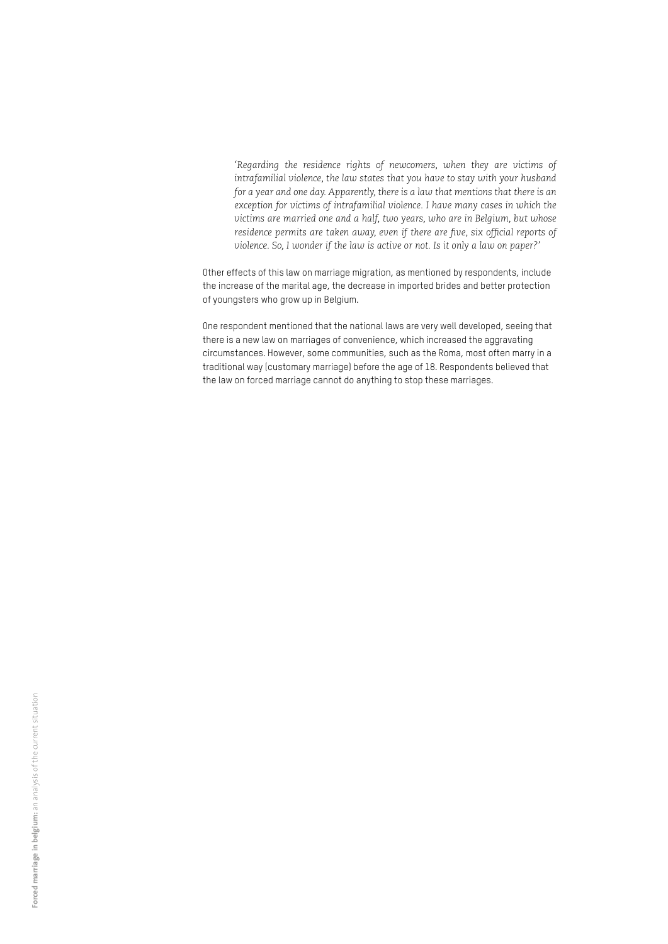*'Regarding the residence rights of newcomers, when they are victims of intrafamilial violence, the law states that you have to stay with your husband for a year and one day. Apparently, there is a law that mentions that there is an exception for victims of intrafamilial violence. I have many cases in which the victims are married one and a half, two years, who are in Belgium, but whose residence permits are taken away, even if there are five, six official reports of violence. So, I wonder if the law is active or not. Is it only a law on paper?'*

Other effects of this law on marriage migration, as mentioned by respondents, include the increase of the marital age, the decrease in imported brides and better protection of youngsters who grow up in Belgium.

One respondent mentioned that the national laws are very well developed, seeing that there is a new law on marriages of convenience, which increased the aggravating circumstances. However, some communities, such as the Roma, most often marry in a traditional way (customary marriage) before the age of 18. Respondents believed that the law on forced marriage cannot do anything to stop these marriages.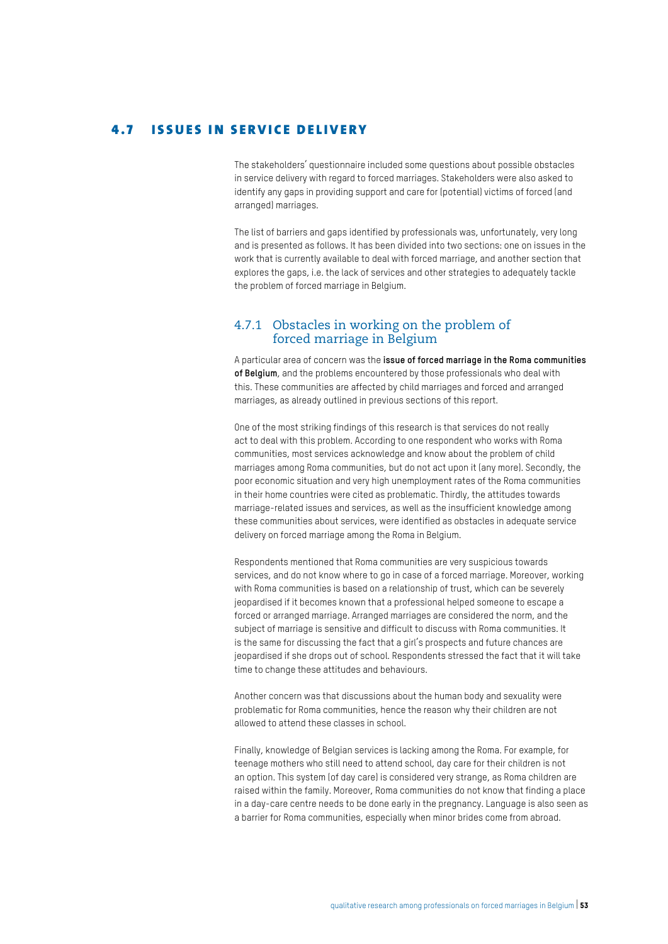#### 4.7 ISSUES IN SERVICE DELIVERY

The stakeholders' questionnaire included some questions about possible obstacles in service delivery with regard to forced marriages. Stakeholders were also asked to identify any gaps in providing support and care for (potential) victims of forced (and arranged) marriages.

The list of barriers and gaps identified by professionals was, unfortunately, very long and is presented as follows. It has been divided into two sections: one on issues in the work that is currently available to deal with forced marriage, and another section that explores the gaps, i.e. the lack of services and other strategies to adequately tackle the problem of forced marriage in Belgium.

#### 4.7.1 Obstacles in working on the problem of forced marriage in Belgium

A particular area of concern was the **issue of forced marriage in the Roma communities of Belgium**, and the problems encountered by those professionals who deal with this. These communities are affected by child marriages and forced and arranged marriages, as already outlined in previous sections of this report.

One of the most striking findings of this research is that services do not really act to deal with this problem. According to one respondent who works with Roma communities, most services acknowledge and know about the problem of child marriages among Roma communities, but do not act upon it (any more). Secondly, the poor economic situation and very high unemployment rates of the Roma communities in their home countries were cited as problematic. Thirdly, the attitudes towards marriage-related issues and services, as well as the insufficient knowledge among these communities about services, were identified as obstacles in adequate service delivery on forced marriage among the Roma in Belgium.

Respondents mentioned that Roma communities are very suspicious towards services, and do not know where to go in case of a forced marriage. Moreover, working with Roma communities is based on a relationship of trust, which can be severely jeopardised if it becomes known that a professional helped someone to escape a forced or arranged marriage. Arranged marriages are considered the norm, and the subject of marriage is sensitive and difficult to discuss with Roma communities. It is the same for discussing the fact that a girl's prospects and future chances are jeopardised if she drops out of school. Respondents stressed the fact that it will take time to change these attitudes and behaviours.

Another concern was that discussions about the human body and sexuality were problematic for Roma communities, hence the reason why their children are not allowed to attend these classes in school.

Finally, knowledge of Belgian services is lacking among the Roma. For example, for teenage mothers who still need to attend school, day care for their children is not an option. This system (of day care) is considered very strange, as Roma children are raised within the family. Moreover, Roma communities do not know that finding a place in a day-care centre needs to be done early in the pregnancy. Language is also seen as a barrier for Roma communities, especially when minor brides come from abroad.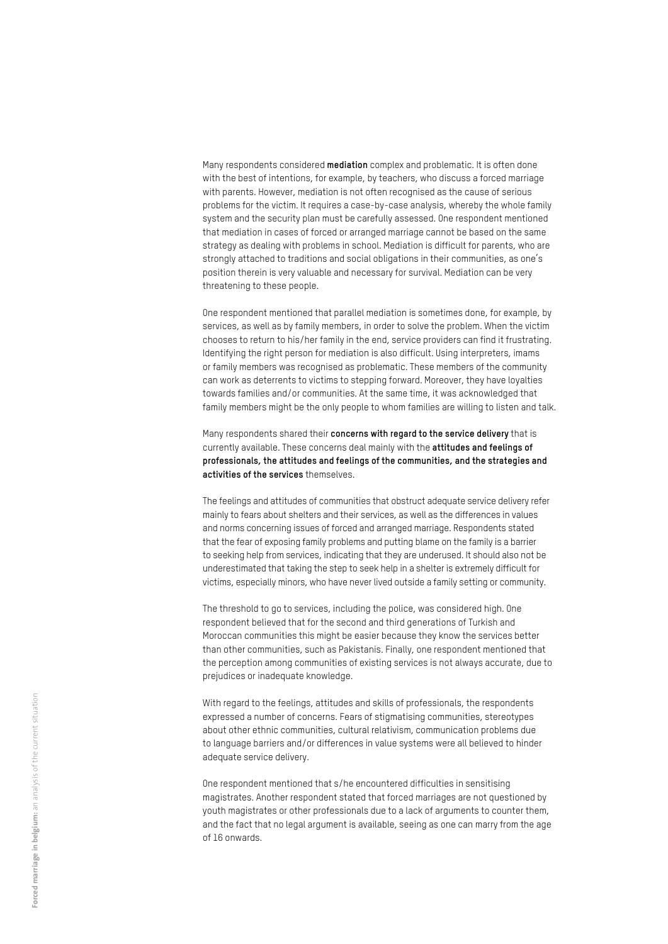Many respondents considered **mediation** complex and problematic. It is often done with the best of intentions, for example, by teachers, who discuss a forced marriage with parents. However, mediation is not often recognised as the cause of serious problems for the victim. It requires a case-by-case analysis, whereby the whole family system and the security plan must be carefully assessed. One respondent mentioned that mediation in cases of forced or arranged marriage cannot be based on the same strategy as dealing with problems in school. Mediation is difficult for parents, who are strongly attached to traditions and social obligations in their communities, as one's position therein is very valuable and necessary for survival. Mediation can be very threatening to these people.

One respondent mentioned that parallel mediation is sometimes done, for example, by services, as well as by family members, in order to solve the problem. When the victim chooses to return to his/her family in the end, service providers can find it frustrating. Identifying the right person for mediation is also difficult. Using interpreters, imams or family members was recognised as problematic. These members of the community can work as deterrents to victims to stepping forward. Moreover, they have loyalties towards families and/or communities. At the same time, it was acknowledged that family members might be the only people to whom families are willing to listen and talk.

Many respondents shared their **concerns with regard to the service delivery** that is currently available. These concerns deal mainly with the **attitudes and feelings of professionals, the attitudes and feelings of the communities, and the strategies and activities of the services** themselves.

The feelings and attitudes of communities that obstruct adequate service delivery refer mainly to fears about shelters and their services, as well as the differences in values and norms concerning issues of forced and arranged marriage. Respondents stated that the fear of exposing family problems and putting blame on the family is a barrier to seeking help from services, indicating that they are underused. It should also not be underestimated that taking the step to seek help in a shelter is extremely difficult for victims, especially minors, who have never lived outside a family setting or community.

The threshold to go to services, including the police, was considered high. One respondent believed that for the second and third generations of Turkish and Moroccan communities this might be easier because they know the services better than other communities, such as Pakistanis. Finally, one respondent mentioned that the perception among communities of existing services is not always accurate, due to prejudices or inadequate knowledge.

With regard to the feelings, attitudes and skills of professionals, the respondents expressed a number of concerns. Fears of stigmatising communities, stereotypes about other ethnic communities, cultural relativism, communication problems due to language barriers and/or differences in value systems were all believed to hinder adequate service delivery.

One respondent mentioned that s/he encountered difficulties in sensitising magistrates. Another respondent stated that forced marriages are not questioned by youth magistrates or other professionals due to a lack of arguments to counter them, and the fact that no legal argument is available, seeing as one can marry from the age of 16 onwards.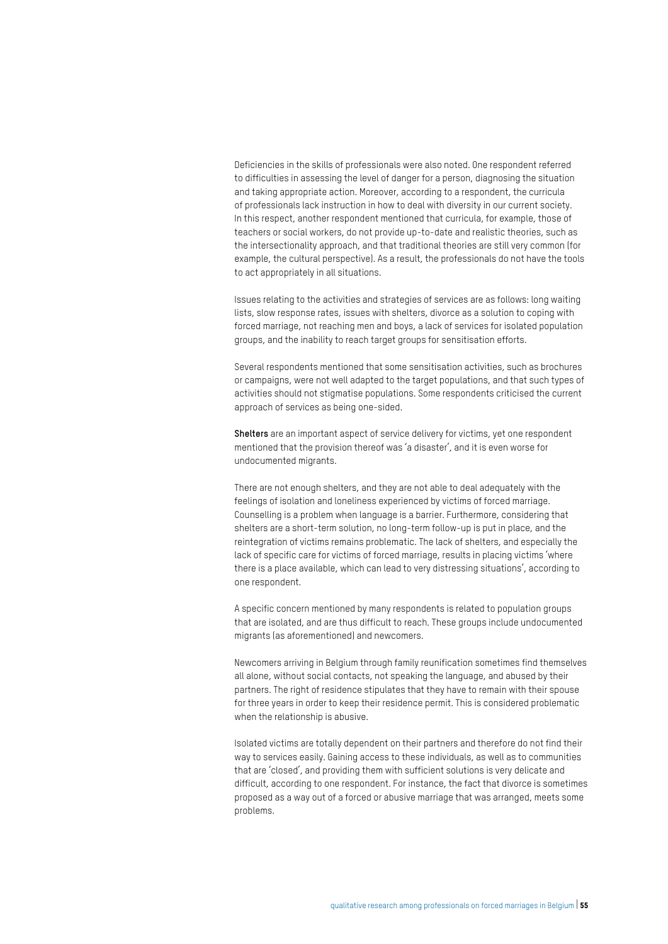Deficiencies in the skills of professionals were also noted. One respondent referred to difficulties in assessing the level of danger for a person, diagnosing the situation and taking appropriate action. Moreover, according to a respondent, the curricula of professionals lack instruction in how to deal with diversity in our current society. In this respect, another respondent mentioned that curricula, for example, those of teachers or social workers, do not provide up-to-date and realistic theories, such as the intersectionality approach, and that traditional theories are still very common (for example, the cultural perspective). As a result, the professionals do not have the tools to act appropriately in all situations.

Issues relating to the activities and strategies of services are as follows: long waiting lists, slow response rates, issues with shelters, divorce as a solution to coping with forced marriage, not reaching men and boys, a lack of services for isolated population groups, and the inability to reach target groups for sensitisation efforts.

Several respondents mentioned that some sensitisation activities, such as brochures or campaigns, were not well adapted to the target populations, and that such types of activities should not stigmatise populations. Some respondents criticised the current approach of services as being one-sided.

**Shelters** are an important aspect of service delivery for victims, yet one respondent mentioned that the provision thereof was 'a disaster', and it is even worse for undocumented migrants.

There are not enough shelters, and they are not able to deal adequately with the feelings of isolation and loneliness experienced by victims of forced marriage. Counselling is a problem when language is a barrier. Furthermore, considering that shelters are a short-term solution, no long-term follow-up is put in place, and the reintegration of victims remains problematic. The lack of shelters, and especially the lack of specific care for victims of forced marriage, results in placing victims 'where there is a place available, which can lead to very distressing situations', according to one respondent.

A specific concern mentioned by many respondents is related to population groups that are isolated, and are thus difficult to reach. These groups include undocumented migrants (as aforementioned) and newcomers.

Newcomers arriving in Belgium through family reunification sometimes find themselves all alone, without social contacts, not speaking the language, and abused by their partners. The right of residence stipulates that they have to remain with their spouse for three years in order to keep their residence permit. This is considered problematic when the relationship is abusive.

Isolated victims are totally dependent on their partners and therefore do not find their way to services easily. Gaining access to these individuals, as well as to communities that are 'closed', and providing them with sufficient solutions is very delicate and difficult, according to one respondent. For instance, the fact that divorce is sometimes proposed as a way out of a forced or abusive marriage that was arranged, meets some problems.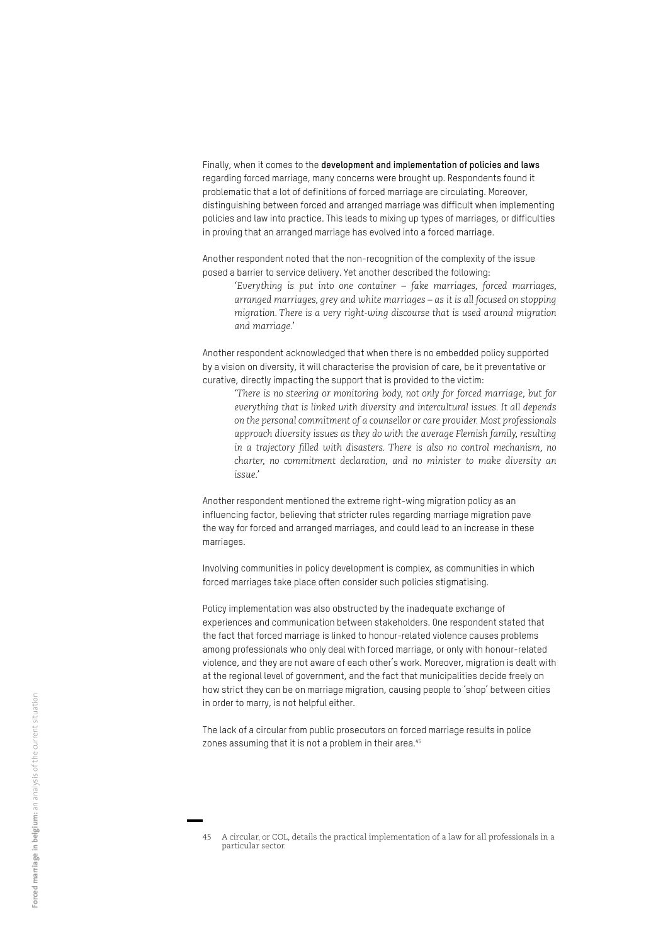Finally, when it comes to the **development and implementation of policies and laws**  regarding forced marriage, many concerns were brought up. Respondents found it problematic that a lot of definitions of forced marriage are circulating. Moreover, distinguishing between forced and arranged marriage was difficult when implementing policies and law into practice. This leads to mixing up types of marriages, or difficulties in proving that an arranged marriage has evolved into a forced marriage.

Another respondent noted that the non-recognition of the complexity of the issue posed a barrier to service delivery. Yet another described the following:

*'Everything is put into one container – fake marriages, forced marriages, arranged marriages, grey and white marriages – as it is all focused on stopping migration. There is a very right-wing discourse that is used around migration and marriage.'* 

Another respondent acknowledged that when there is no embedded policy supported by a vision on diversity, it will characterise the provision of care, be it preventative or curative, directly impacting the support that is provided to the victim:

*'There is no steering or monitoring body, not only for forced marriage, but for everything that is linked with diversity and intercultural issues. It all depends on the personal commitment of a counsellor or care provider. Most professionals approach diversity issues as they do with the average Flemish family, resulting in a trajectory filled with disasters. There is also no control mechanism, no charter, no commitment declaration, and no minister to make diversity an issue.'* 

Another respondent mentioned the extreme right-wing migration policy as an influencing factor, believing that stricter rules regarding marriage migration pave the way for forced and arranged marriages, and could lead to an increase in these marriages.

Involving communities in policy development is complex, as communities in which forced marriages take place often consider such policies stigmatising.

Policy implementation was also obstructed by the inadequate exchange of experiences and communication between stakeholders. One respondent stated that the fact that forced marriage is linked to honour-related violence causes problems among professionals who only deal with forced marriage, or only with honour-related violence, and they are not aware of each other's work. Moreover, migration is dealt with at the regional level of government, and the fact that municipalities decide freely on how strict they can be on marriage migration, causing people to 'shop' between cities in order to marry, is not helpful either.

The lack of a circular from public prosecutors on forced marriage results in police zones assuming that it is not a problem in their area.<sup>45</sup>

<sup>45</sup> A circular, or COL, details the practical implementation of a law for all professionals in a particular sector.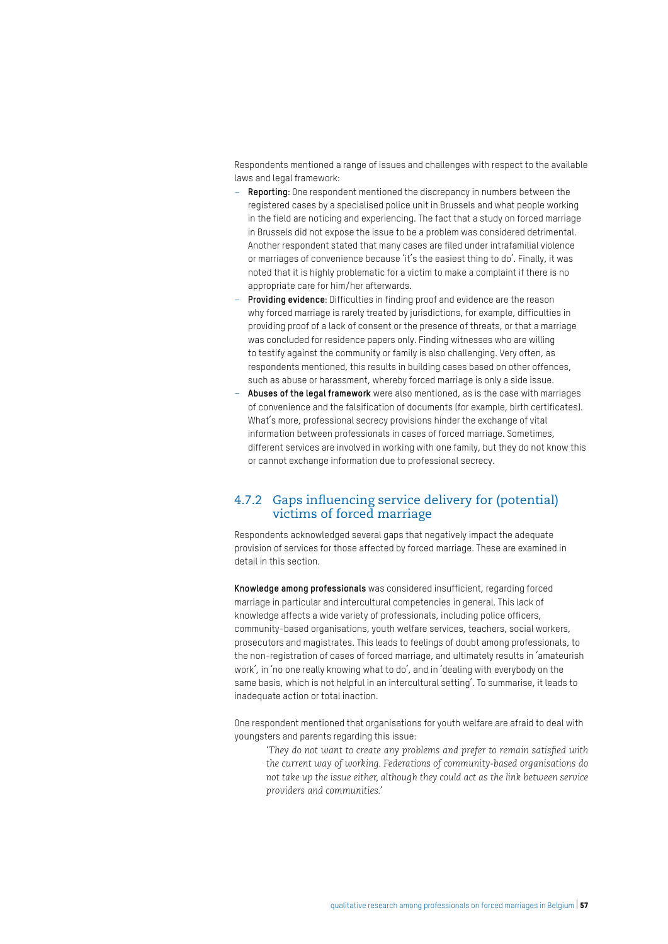Respondents mentioned a range of issues and challenges with respect to the available laws and legal framework:

- **Reporting**: One respondent mentioned the discrepancy in numbers between the registered cases by a specialised police unit in Brussels and what people working in the field are noticing and experiencing. The fact that a study on forced marriage in Brussels did not expose the issue to be a problem was considered detrimental. Another respondent stated that many cases are filed under intrafamilial violence or marriages of convenience because 'it's the easiest thing to do'. Finally, it was noted that it is highly problematic for a victim to make a complaint if there is no appropriate care for him/her afterwards.
- **Providing evidence**: Difficulties in finding proof and evidence are the reason why forced marriage is rarely treated by jurisdictions, for example, difficulties in providing proof of a lack of consent or the presence of threats, or that a marriage was concluded for residence papers only. Finding witnesses who are willing to testify against the community or family is also challenging. Very often, as respondents mentioned, this results in building cases based on other offences, such as abuse or harassment, whereby forced marriage is only a side issue.
- **Abuses of the legal framework** were also mentioned, as is the case with marriages of convenience and the falsification of documents (for example, birth certificates). What's more, professional secrecy provisions hinder the exchange of vital information between professionals in cases of forced marriage. Sometimes, different services are involved in working with one family, but they do not know this or cannot exchange information due to professional secrecy.

#### 4.7.2 Gaps influencing service delivery for (potential) victims of forced marriage

Respondents acknowledged several gaps that negatively impact the adequate provision of services for those affected by forced marriage. These are examined in detail in this section.

**Knowledge among professionals** was considered insufficient, regarding forced marriage in particular and intercultural competencies in general. This lack of knowledge affects a wide variety of professionals, including police officers, community-based organisations, youth welfare services, teachers, social workers, prosecutors and magistrates. This leads to feelings of doubt among professionals, to the non-registration of cases of forced marriage, and ultimately results in 'amateurish work', in 'no one really knowing what to do', and in 'dealing with everybody on the same basis, which is not helpful in an intercultural setting'. To summarise, it leads to inadequate action or total inaction.

One respondent mentioned that organisations for youth welfare are afraid to deal with youngsters and parents regarding this issue:

*'They do not want to create any problems and prefer to remain satisfied with the current way of working. Federations of community-based organisations do not take up the issue either, although they could act as the link between service providers and communities.'*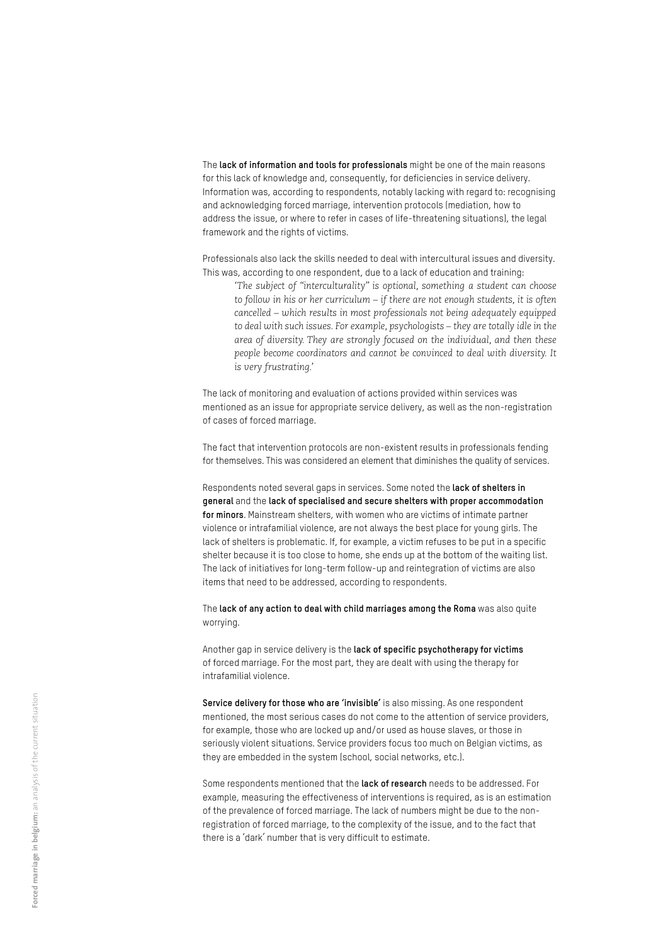The **lack of information and tools for professionals** might be one of the main reasons for this lack of knowledge and, consequently, for deficiencies in service delivery. Information was, according to respondents, notably lacking with regard to: recognising and acknowledging forced marriage, intervention protocols (mediation, how to address the issue, or where to refer in cases of life-threatening situations), the legal framework and the rights of victims.

Professionals also lack the skills needed to deal with intercultural issues and diversity. This was, according to one respondent, due to a lack of education and training:

*'The subject of "interculturality" is optional, something a student can choose to follow in his or her curriculum – if there are not enough students, it is often cancelled – which results in most professionals not being adequately equipped to deal with such issues. For example, psychologists – they are totally idle in the area of diversity. They are strongly focused on the individual, and then these people become coordinators and cannot be convinced to deal with diversity. It is very frustrating.'*

The lack of monitoring and evaluation of actions provided within services was mentioned as an issue for appropriate service delivery, as well as the non-registration of cases of forced marriage.

The fact that intervention protocols are non-existent results in professionals fending for themselves. This was considered an element that diminishes the quality of services.

Respondents noted several gaps in services. Some noted the **lack of shelters in general** and the **lack of specialised and secure shelters with proper accommodation for minors**. Mainstream shelters, with women who are victims of intimate partner violence or intrafamilial violence, are not always the best place for young girls. The lack of shelters is problematic. If, for example, a victim refuses to be put in a specific shelter because it is too close to home, she ends up at the bottom of the waiting list. The lack of initiatives for long-term follow-up and reintegration of victims are also items that need to be addressed, according to respondents.

The **lack of any action to deal with child marriages among the Roma** was also quite worrying.

Another gap in service delivery is the **lack of specific psychotherapy for victims**  of forced marriage. For the most part, they are dealt with using the therapy for intrafamilial violence.

**Service delivery for those who are 'invisible'** is also missing. As one respondent mentioned, the most serious cases do not come to the attention of service providers, for example, those who are locked up and/or used as house slaves, or those in seriously violent situations. Service providers focus too much on Belgian victims, as they are embedded in the system (school, social networks, etc.).

Some respondents mentioned that the **lack of research** needs to be addressed. For example, measuring the effectiveness of interventions is required, as is an estimation of the prevalence of forced marriage. The lack of numbers might be due to the nonregistration of forced marriage, to the complexity of the issue, and to the fact that there is a 'dark' number that is very difficult to estimate.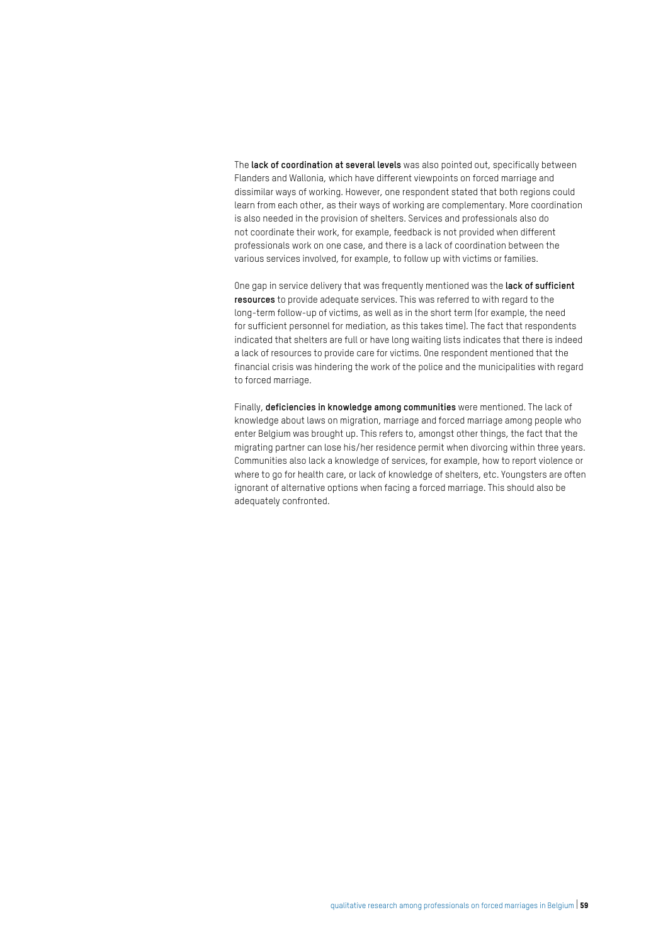The **lack of coordination at several levels** was also pointed out, specifically between Flanders and Wallonia, which have different viewpoints on forced marriage and dissimilar ways of working. However, one respondent stated that both regions could learn from each other, as their ways of working are complementary. More coordination is also needed in the provision of shelters. Services and professionals also do not coordinate their work, for example, feedback is not provided when different professionals work on one case, and there is a lack of coordination between the various services involved, for example, to follow up with victims or families.

One gap in service delivery that was frequently mentioned was the **lack of sufficient resources** to provide adequate services. This was referred to with regard to the long-term follow-up of victims, as well as in the short term (for example, the need for sufficient personnel for mediation, as this takes time). The fact that respondents indicated that shelters are full or have long waiting lists indicates that there is indeed a lack of resources to provide care for victims. One respondent mentioned that the financial crisis was hindering the work of the police and the municipalities with regard to forced marriage.

Finally, **deficiencies in knowledge among communities** were mentioned. The lack of knowledge about laws on migration, marriage and forced marriage among people who enter Belgium was brought up. This refers to, amongst other things, the fact that the migrating partner can lose his/her residence permit when divorcing within three years. Communities also lack a knowledge of services, for example, how to report violence or where to go for health care, or lack of knowledge of shelters, etc. Youngsters are often ignorant of alternative options when facing a forced marriage. This should also be adequately confronted.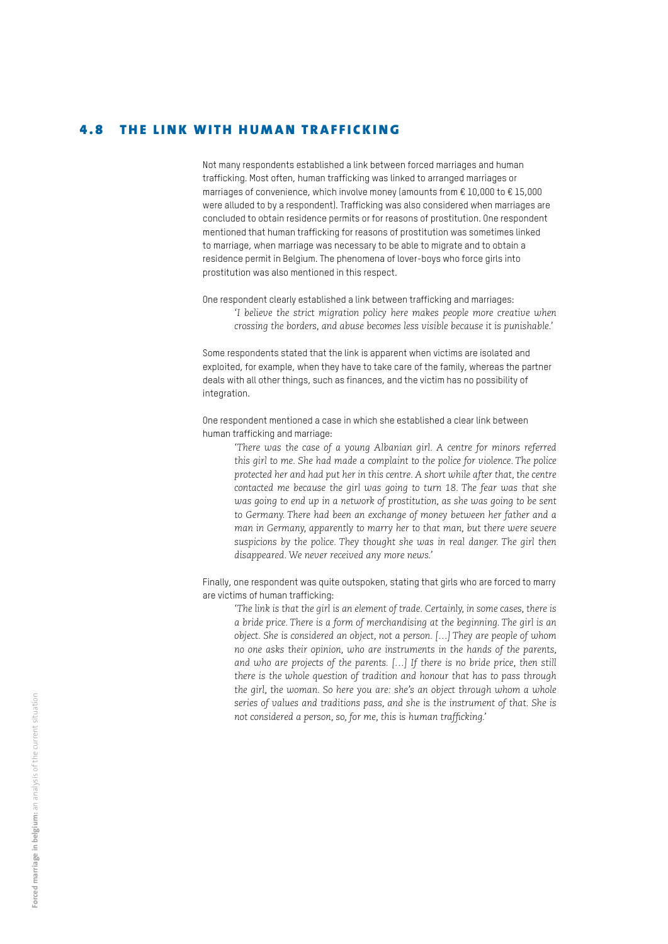#### 4.8 THE LINK WITH HUMAN TRAFFICKING

Not many respondents established a link between forced marriages and human trafficking. Most often, human trafficking was linked to arranged marriages or marriages of convenience, which involve money (amounts from € 10,000 to € 15,000 were alluded to by a respondent). Trafficking was also considered when marriages are concluded to obtain residence permits or for reasons of prostitution. One respondent mentioned that human trafficking for reasons of prostitution was sometimes linked to marriage, when marriage was necessary to be able to migrate and to obtain a residence permit in Belgium. The phenomena of lover-boys who force girls into prostitution was also mentioned in this respect.

One respondent clearly established a link between trafficking and marriages: *'I believe the strict migration policy here makes people more creative when crossing the borders, and abuse becomes less visible because it is punishable.'*

Some respondents stated that the link is apparent when victims are isolated and exploited, for example, when they have to take care of the family, whereas the partner deals with all other things, such as finances, and the victim has no possibility of integration.

One respondent mentioned a case in which she established a clear link between human trafficking and marriage:

*'There was the case of a young Albanian girl. A centre for minors referred this girl to me. She had made a complaint to the police for violence. The police protected her and had put her in this centre. A short while after that, the centre contacted me because the girl was going to turn 18. The fear was that she was going to end up in a network of prostitution, as she was going to be sent to Germany. There had been an exchange of money between her father and a man in Germany, apparently to marry her to that man, but there were severe suspicions by the police. They thought she was in real danger. The girl then disappeared. We never received any more news.'* 

Finally, one respondent was quite outspoken, stating that girls who are forced to marry are victims of human trafficking:

*'The link is that the girl is an element of trade. Certainly, in some cases, there is a bride price. There is a form of merchandising at the beginning. The girl is an object. She is considered an object, not a person. […] They are people of whom no one asks their opinion, who are instruments in the hands of the parents,*  and who are projects of the parents. [...] If there is no bride price, then still *there is the whole question of tradition and honour that has to pass through the girl, the woman. So here you are: she's an object through whom a whole series of values and traditions pass, and she is the instrument of that. She is not considered a person, so, for me, this is human trafficking.'*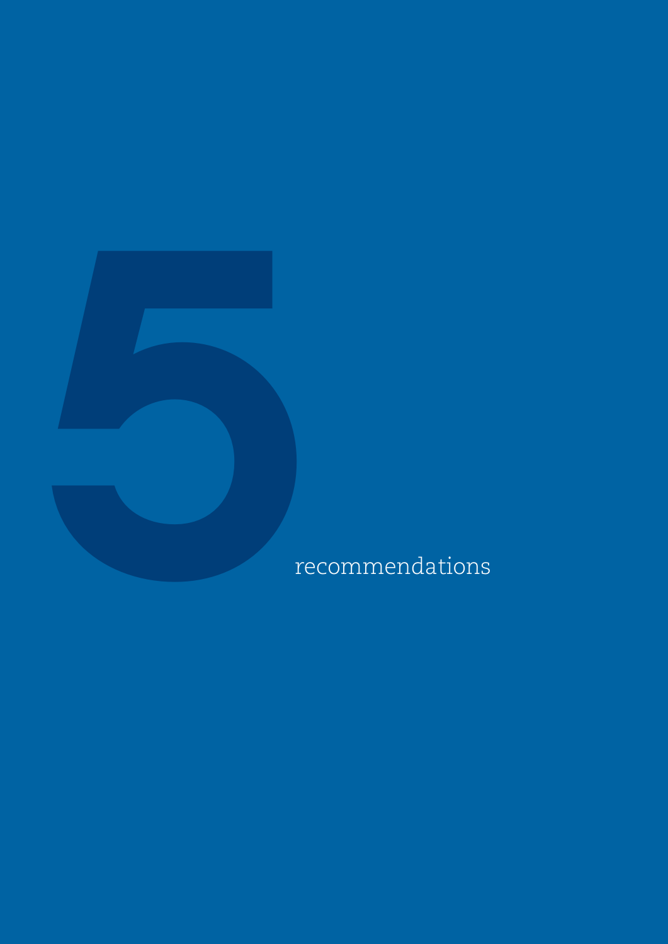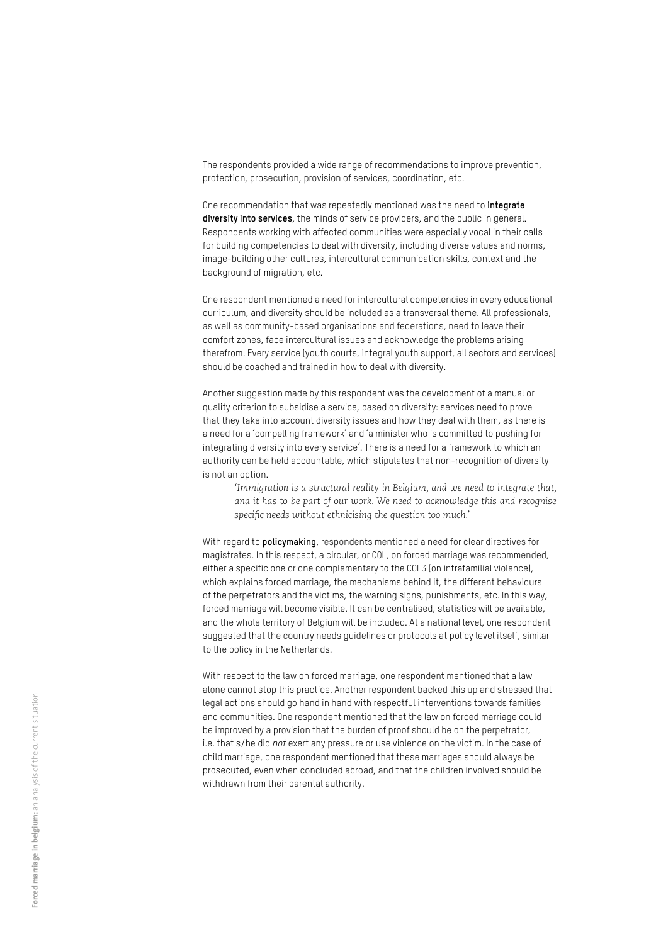The respondents provided a wide range of recommendations to improve prevention, protection, prosecution, provision of services, coordination, etc.

One recommendation that was repeatedly mentioned was the need to **integrate diversity into services**, the minds of service providers, and the public in general. Respondents working with affected communities were especially vocal in their calls for building competencies to deal with diversity, including diverse values and norms, image-building other cultures, intercultural communication skills, context and the background of migration, etc.

One respondent mentioned a need for intercultural competencies in every educational curriculum, and diversity should be included as a transversal theme. All professionals, as well as community-based organisations and federations, need to leave their comfort zones, face intercultural issues and acknowledge the problems arising therefrom. Every service (youth courts, integral youth support, all sectors and services) should be coached and trained in how to deal with diversity.

Another suggestion made by this respondent was the development of a manual or quality criterion to subsidise a service, based on diversity: services need to prove that they take into account diversity issues and how they deal with them, as there is a need for a 'compelling framework' and 'a minister who is committed to pushing for integrating diversity into every service'. There is a need for a framework to which an authority can be held accountable, which stipulates that non-recognition of diversity is not an option.

*'Immigration is a structural reality in Belgium, and we need to integrate that, and it has to be part of our work. We need to acknowledge this and recognise specific needs without ethnicising the question too much.'*

With regard to **policymaking**, respondents mentioned a need for clear directives for magistrates. In this respect, a circular, or COL, on forced marriage was recommended, either a specific one or one complementary to the COL3 (on intrafamilial violence), which explains forced marriage, the mechanisms behind it, the different behaviours of the perpetrators and the victims, the warning signs, punishments, etc. In this way, forced marriage will become visible. It can be centralised, statistics will be available, and the whole territory of Belgium will be included. At a national level, one respondent suggested that the country needs guidelines or protocols at policy level itself, similar to the policy in the Netherlands.

With respect to the law on forced marriage, one respondent mentioned that a law alone cannot stop this practice. Another respondent backed this up and stressed that legal actions should go hand in hand with respectful interventions towards families and communities. One respondent mentioned that the law on forced marriage could be improved by a provision that the burden of proof should be on the perpetrator, i.e. that s/he did *not* exert any pressure or use violence on the victim. In the case of child marriage, one respondent mentioned that these marriages should always be prosecuted, even when concluded abroad, and that the children involved should be withdrawn from their parental authority.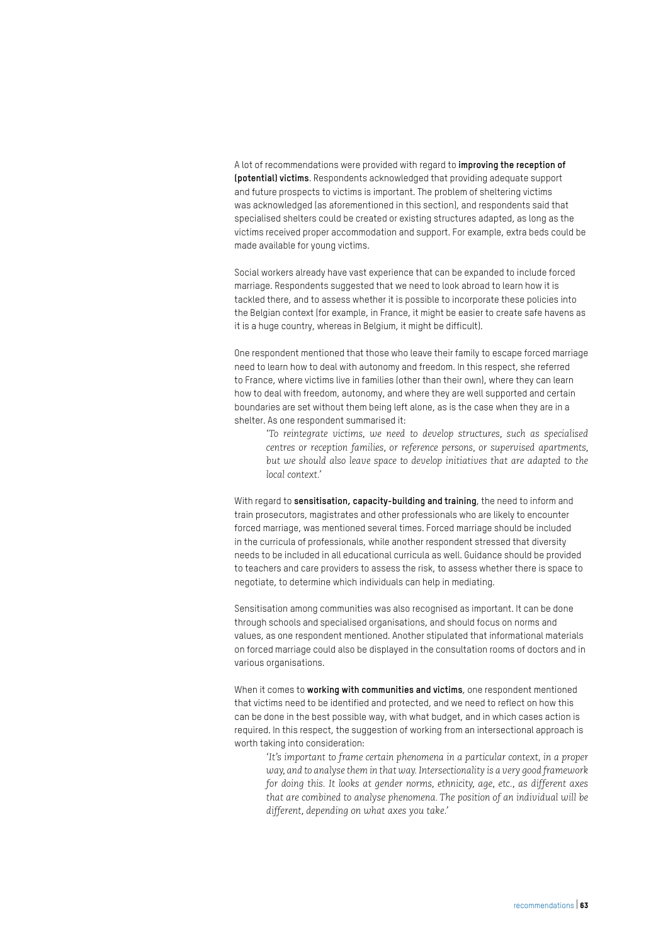A lot of recommendations were provided with regard to **improving the reception of (potential) victims**. Respondents acknowledged that providing adequate support and future prospects to victims is important. The problem of sheltering victims was acknowledged (as aforementioned in this section), and respondents said that specialised shelters could be created or existing structures adapted, as long as the victims received proper accommodation and support. For example, extra beds could be made available for young victims.

Social workers already have vast experience that can be expanded to include forced marriage. Respondents suggested that we need to look abroad to learn how it is tackled there, and to assess whether it is possible to incorporate these policies into the Belgian context (for example, in France, it might be easier to create safe havens as it is a huge country, whereas in Belgium, it might be difficult).

One respondent mentioned that those who leave their family to escape forced marriage need to learn how to deal with autonomy and freedom. In this respect, she referred to France, where victims live in families (other than their own), where they can learn how to deal with freedom, autonomy, and where they are well supported and certain boundaries are set without them being left alone, as is the case when they are in a shelter. As one respondent summarised it:

*'To reintegrate victims, we need to develop structures, such as specialised centres or reception families, or reference persons, or supervised apartments, but we should also leave space to develop initiatives that are adapted to the local context.'*

With regard to **sensitisation, capacity-building and training**, the need to inform and train prosecutors, magistrates and other professionals who are likely to encounter forced marriage, was mentioned several times. Forced marriage should be included in the curricula of professionals, while another respondent stressed that diversity needs to be included in all educational curricula as well. Guidance should be provided to teachers and care providers to assess the risk, to assess whether there is space to negotiate, to determine which individuals can help in mediating.

Sensitisation among communities was also recognised as important. It can be done through schools and specialised organisations, and should focus on norms and values, as one respondent mentioned. Another stipulated that informational materials on forced marriage could also be displayed in the consultation rooms of doctors and in various organisations.

When it comes to **working with communities and victims**, one respondent mentioned that victims need to be identified and protected, and we need to reflect on how this can be done in the best possible way, with what budget, and in which cases action is required. In this respect, the suggestion of working from an intersectional approach is worth taking into consideration:

*'It's important to frame certain phenomena in a particular context, in a proper way, and to analyse them in that way. Intersectionality is a very good framework for doing this. It looks at gender norms, ethnicity, age, etc., as different axes that are combined to analyse phenomena. The position of an individual will be different, depending on what axes you take.'*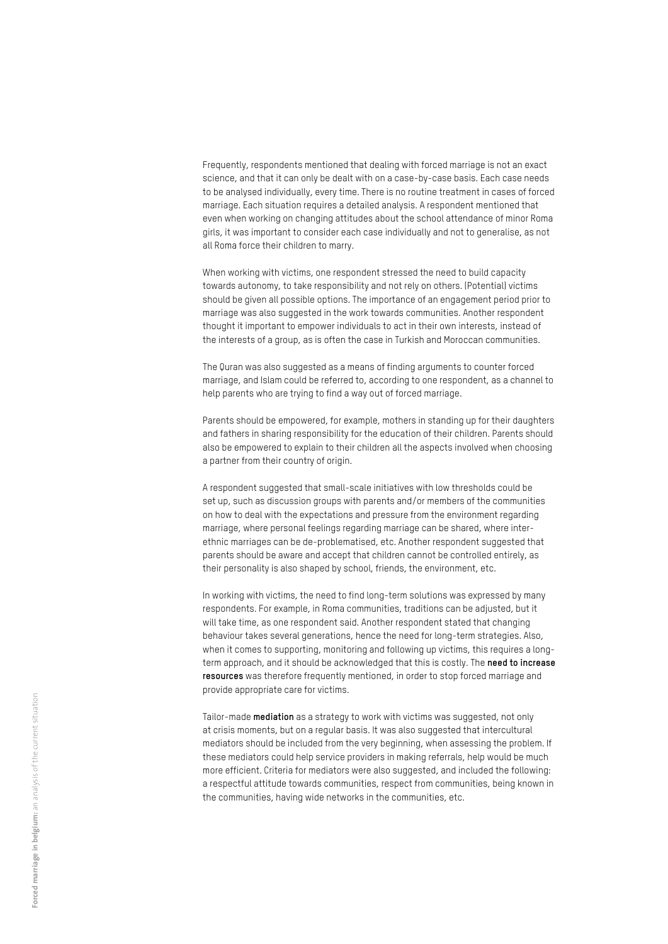Frequently, respondents mentioned that dealing with forced marriage is not an exact science, and that it can only be dealt with on a case-by-case basis. Each case needs to be analysed individually, every time. There is no routine treatment in cases of forced marriage. Each situation requires a detailed analysis. A respondent mentioned that even when working on changing attitudes about the school attendance of minor Roma girls, it was important to consider each case individually and not to generalise, as not all Roma force their children to marry.

When working with victims, one respondent stressed the need to build capacity towards autonomy, to take responsibility and not rely on others. (Potential) victims should be given all possible options. The importance of an engagement period prior to marriage was also suggested in the work towards communities. Another respondent thought it important to empower individuals to act in their own interests, instead of the interests of a group, as is often the case in Turkish and Moroccan communities.

The Quran was also suggested as a means of finding arguments to counter forced marriage, and Islam could be referred to, according to one respondent, as a channel to help parents who are trying to find a way out of forced marriage.

Parents should be empowered, for example, mothers in standing up for their daughters and fathers in sharing responsibility for the education of their children. Parents should also be empowered to explain to their children all the aspects involved when choosing a partner from their country of origin.

A respondent suggested that small-scale initiatives with low thresholds could be set up, such as discussion groups with parents and/or members of the communities on how to deal with the expectations and pressure from the environment regarding marriage, where personal feelings regarding marriage can be shared, where interethnic marriages can be de-problematised, etc. Another respondent suggested that parents should be aware and accept that children cannot be controlled entirely, as their personality is also shaped by school, friends, the environment, etc.

In working with victims, the need to find long-term solutions was expressed by many respondents. For example, in Roma communities, traditions can be adjusted, but it will take time, as one respondent said. Another respondent stated that changing behaviour takes several generations, hence the need for long-term strategies. Also, when it comes to supporting, monitoring and following up victims, this requires a longterm approach, and it should be acknowledged that this is costly. The **need to increase resources** was therefore frequently mentioned, in order to stop forced marriage and provide appropriate care for victims.

Tailor-made **mediation** as a strategy to work with victims was suggested, not only at crisis moments, but on a regular basis. It was also suggested that intercultural mediators should be included from the very beginning, when assessing the problem. If these mediators could help service providers in making referrals, help would be much more efficient. Criteria for mediators were also suggested, and included the following: a respectful attitude towards communities, respect from communities, being known in the communities, having wide networks in the communities, etc.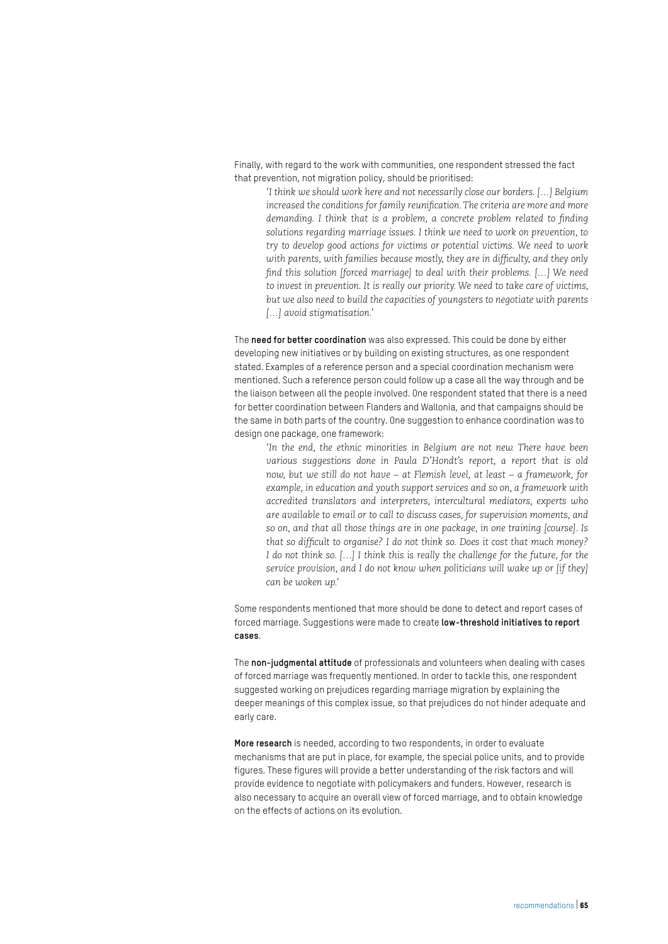Finally, with regard to the work with communities, one respondent stressed the fact that prevention, not migration policy, should be prioritised:

*'I think we should work here and not necessarily close our borders. […] Belgium increased the conditions for family reunification. The criteria are more and more demanding. I think that is a problem, a concrete problem related to finding solutions regarding marriage issues. I think we need to work on prevention, to try to develop good actions for victims or potential victims. We need to work with parents, with families because mostly, they are in difficulty, and they only find this solution [forced marriage] to deal with their problems. […] We need to invest in prevention. It is really our priority. We need to take care of victims, but we also need to build the capacities of youngsters to negotiate with parents […] avoid stigmatisation.'*

The **need for better coordination** was also expressed. This could be done by either developing new initiatives or by building on existing structures, as one respondent stated. Examples of a reference person and a special coordination mechanism were mentioned. Such a reference person could follow up a case all the way through and be the liaison between all the people involved. One respondent stated that there is a need for better coordination between Flanders and Wallonia, and that campaigns should be the same in both parts of the country. One suggestion to enhance coordination was to design one package, one framework:

*'In the end, the ethnic minorities in Belgium are not new. There have been various suggestions done in Paula D'Hondt's report, a report that is old now, but we still do not have – at Flemish level, at least – a framework, for example, in education and youth support services and so on, a framework with accredited translators and interpreters, intercultural mediators, experts who are available to email or to call to discuss cases, for supervision moments, and so on, and that all those things are in one package, in one training [course]. Is that so difficult to organise? I do not think so. Does it cost that much money? I* do not think so. [...] *I* think this is really the challenge for the future, for the *service provision, and I do not know when politicians will wake up or [if they] can be woken up.'*

Some respondents mentioned that more should be done to detect and report cases of forced marriage. Suggestions were made to create **low-threshold initiatives to report cases**.

The **non-judgmental attitude** of professionals and volunteers when dealing with cases of forced marriage was frequently mentioned. In order to tackle this, one respondent suggested working on prejudices regarding marriage migration by explaining the deeper meanings of this complex issue, so that prejudices do not hinder adequate and early care.

**More research** is needed, according to two respondents, in order to evaluate mechanisms that are put in place, for example, the special police units, and to provide figures. These figures will provide a better understanding of the risk factors and will provide evidence to negotiate with policymakers and funders. However, research is also necessary to acquire an overall view of forced marriage, and to obtain knowledge on the effects of actions on its evolution.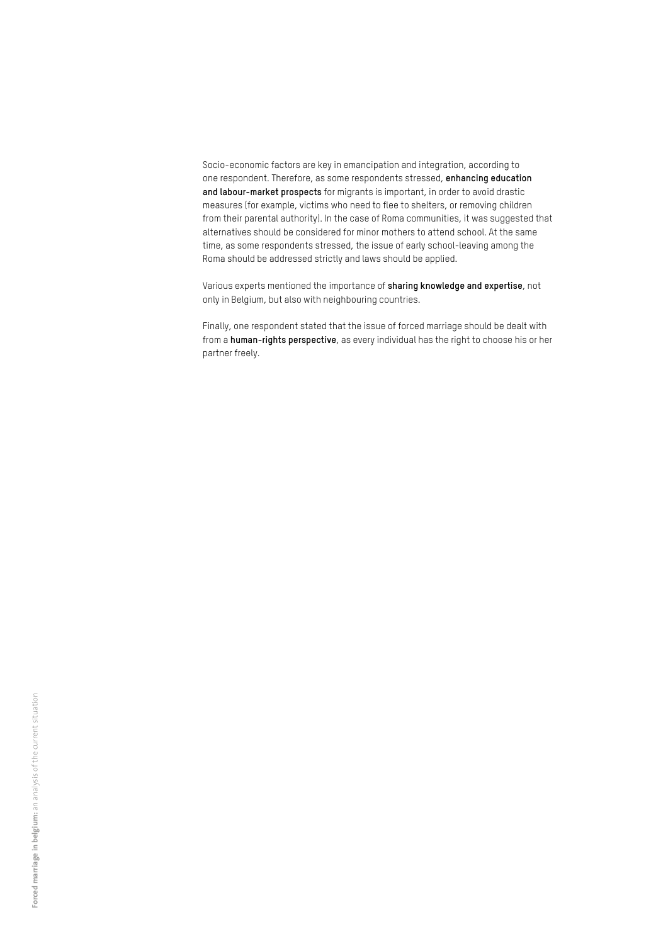Socio-economic factors are key in emancipation and integration, according to one respondent. Therefore, as some respondents stressed, **enhancing education and labour-market prospects** for migrants is important, in order to avoid drastic measures (for example, victims who need to flee to shelters, or removing children from their parental authority). In the case of Roma communities, it was suggested that alternatives should be considered for minor mothers to attend school. At the same time, as some respondents stressed, the issue of early school-leaving among the Roma should be addressed strictly and laws should be applied.

Various experts mentioned the importance of **sharing knowledge and expertise**, not only in Belgium, but also with neighbouring countries.

Finally, one respondent stated that the issue of forced marriage should be dealt with from a **human-rights perspective**, as every individual has the right to choose his or her partner freely.